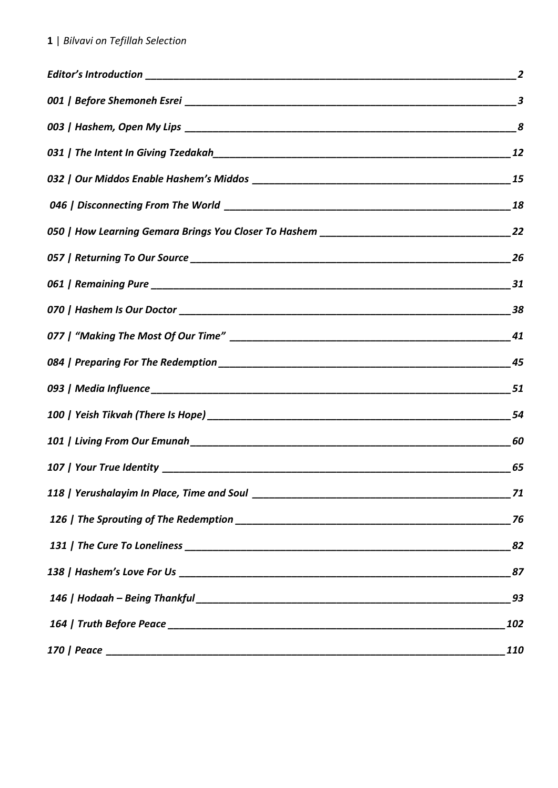| $\overline{2}$   |
|------------------|
| $\boldsymbol{3}$ |
|                  |
| 12               |
| 15               |
|                  |
|                  |
| 26               |
|                  |
| 38               |
| 41               |
|                  |
|                  |
| 54               |
| 60               |
| 65               |
| 71               |
| 76               |
| 82               |
| 87               |
| 93               |
| 102              |
| <b>110</b>       |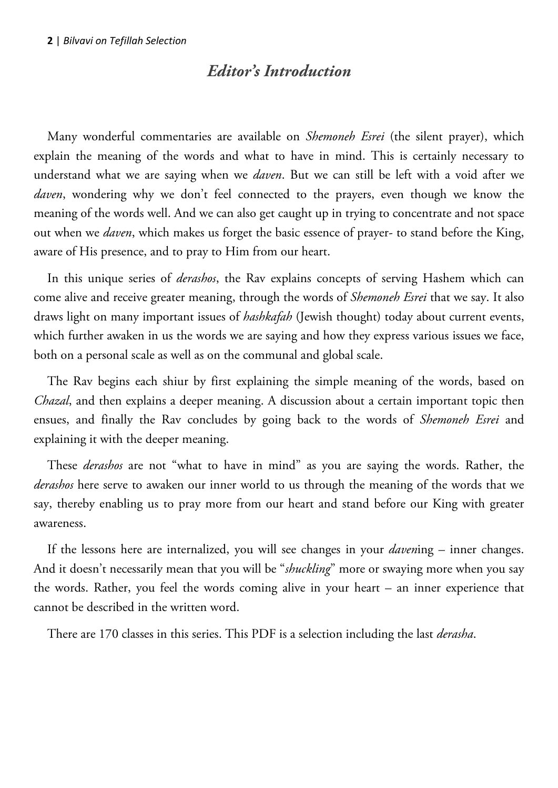# *Editor's Introduction*

<span id="page-1-0"></span>Many wonderful commentaries are available on *Shemoneh Esrei* (the silent prayer), which explain the meaning of the words and what to have in mind. This is certainly necessary to understand what we are saying when we *daven*. But we can still be left with a void after we *daven*, wondering why we don't feel connected to the prayers, even though we know the meaning of the words well. And we can also get caught up in trying to concentrate and not space out when we *daven*, which makes us forget the basic essence of prayer- to stand before the King, aware of His presence, and to pray to Him from our heart.

In this unique series of *derashos*, the Rav explains concepts of serving Hashem which can come alive and receive greater meaning, through the words of *Shemoneh Esrei* that we say. It also draws light on many important issues of *hashkafah* (Jewish thought) today about current events, which further awaken in us the words we are saying and how they express various issues we face, both on a personal scale as well as on the communal and global scale.

The Rav begins each shiur by first explaining the simple meaning of the words, based on *Chazal*, and then explains a deeper meaning. A discussion about a certain important topic then ensues, and finally the Rav concludes by going back to the words of *Shemoneh Esrei* and explaining it with the deeper meaning.

These *derashos* are not "what to have in mind" as you are saying the words. Rather, the *derashos* here serve to awaken our inner world to us through the meaning of the words that we say, thereby enabling us to pray more from our heart and stand before our King with greater awareness.

If the lessons here are internalized, you will see changes in your *daven*ing – inner changes. And it doesn't necessarily mean that you will be "*shuckling*" more or swaying more when you say the words. Rather, you feel the words coming alive in your heart – an inner experience that cannot be described in the written word.

There are 170 classes in this series. This PDF is a selection including the last *derasha*.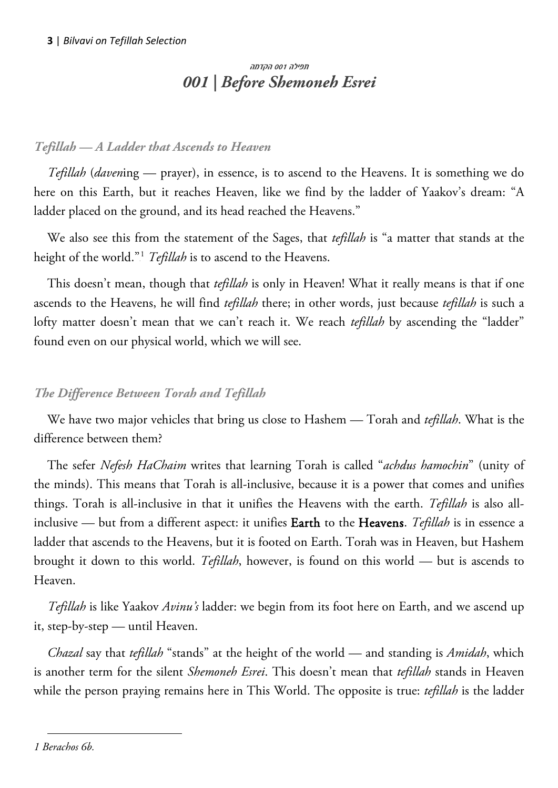# <span id="page-2-0"></span>תפילה 001 הקדמה *001 | Before Shemoneh Esrei*

## *Tefillah — A Ladder that Ascends to Heaven*

*Tefillah* (*daven*ing — prayer), in essence, is to ascend to the Heavens. It is something we do here on this Earth, but it reaches Heaven, like we find by the ladder of Yaakov's dream: "A ladder placed on the ground, and its head reached the Heavens."

We also see this from the statement of the Sages, that *tefillah* is "a matter that stands at the height of the world."<sup>1</sup> Tefillah is to ascend to the Heavens.

This doesn't mean, though that *tefillah* is only in Heaven! What it really means is that if one ascends to the Heavens, he will find *tefillah* there; in other words, just because *tefillah* is such a lofty matter doesn't mean that we can't reach it. We reach *tefillah* by ascending the "ladder" found even on our physical world, which we will see.

## *The Difference Between Torah and Tefillah*

We have two major vehicles that bring us close to Hashem — Torah and *tefillah*. What is the difference between them?

The sefer *Nefesh HaChaim* writes that learning Torah is called "*achdus hamochin*" (unity of the minds). This means that Torah is all-inclusive, because it is a power that comes and unifies things. Torah is all-inclusive in that it unifies the Heavens with the earth. *Tefillah* is also allinclusive — but from a different aspect: it unifies Earth to the Heavens. *Tefillah* is in essence a ladder that ascends to the Heavens, but it is footed on Earth. Torah was in Heaven, but Hashem brought it down to this world. *Tefillah*, however, is found on this world — but is ascends to Heaven.

*Tefillah* is like Yaakov *Avinu's* ladder: we begin from its foot here on Earth, and we ascend up it, step-by-step — until Heaven.

*Chazal* say that *tefillah* "stands" at the height of the world — and standing is *Amidah*, which is another term for the silent *Shemoneh Esrei*. This doesn't mean that *tefillah* stands in Heaven while the person praying remains here in This World. The opposite is true: *tefillah* is the ladder

*1 Berachos 6b.*

 $\overline{a}$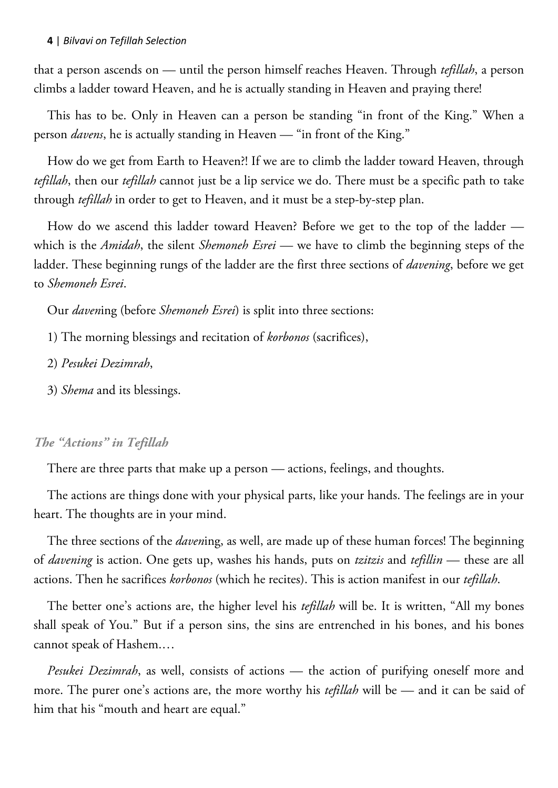that a person ascends on — until the person himself reaches Heaven. Through *tefillah*, a person climbs a ladder toward Heaven, and he is actually standing in Heaven and praying there!

This has to be. Only in Heaven can a person be standing "in front of the King." When a person *davens*, he is actually standing in Heaven — "in front of the King."

How do we get from Earth to Heaven?! If we are to climb the ladder toward Heaven, through *tefillah*, then our *tefillah* cannot just be a lip service we do. There must be a specific path to take through *tefillah* in order to get to Heaven, and it must be a step-by-step plan.

How do we ascend this ladder toward Heaven? Before we get to the top of the ladder which is the *Amidah*, the silent *Shemoneh Esrei* — we have to climb the beginning steps of the ladder. These beginning rungs of the ladder are the first three sections of *davening*, before we get to *Shemoneh Esrei*.

Our *daven*ing (before *Shemoneh Esrei*) is split into three sections:

- 1) The morning blessings and recitation of *korbonos* (sacrifices),
- 2) *Pesukei Dezimrah*,
- 3) *Shema* and its blessings.

#### *The "Actions" in Tefillah*

There are three parts that make up a person — actions, feelings, and thoughts.

The actions are things done with your physical parts, like your hands. The feelings are in your heart. The thoughts are in your mind.

The three sections of the *daven*ing, as well, are made up of these human forces! The beginning of *davening* is action. One gets up, washes his hands, puts on *tzitzis* and *tefillin* — these are all actions. Then he sacrifices *korbonos* (which he recites). This is action manifest in our *tefillah*.

The better one's actions are, the higher level his *tefillah* will be. It is written, "All my bones shall speak of You." But if a person sins, the sins are entrenched in his bones, and his bones cannot speak of Hashem.…

*Pesukei Dezimrah*, as well, consists of actions — the action of purifying oneself more and more. The purer one's actions are, the more worthy his *tefillah* will be — and it can be said of him that his "mouth and heart are equal."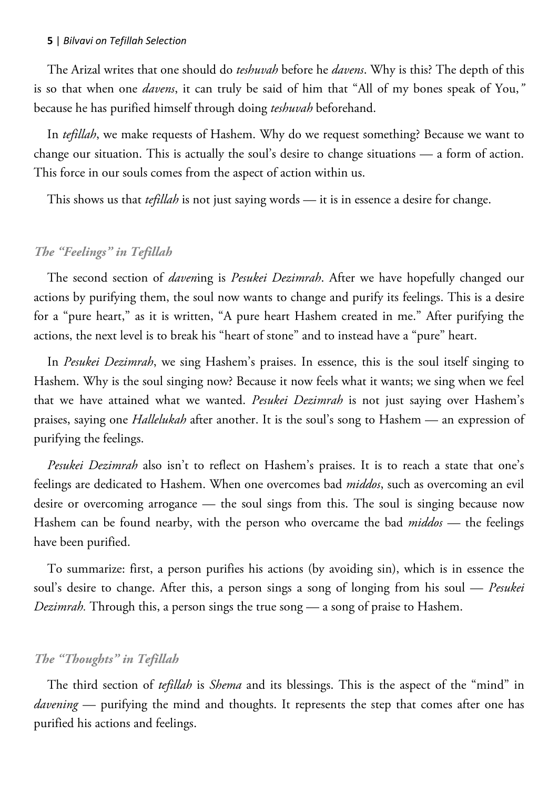The Arizal writes that one should do *teshuvah* before he *davens*. Why is this? The depth of this is so that when one *davens*, it can truly be said of him that "All of my bones speak of You,*"*  because he has purified himself through doing *teshuvah* beforehand.

In *tefillah*, we make requests of Hashem. Why do we request something? Because we want to change our situation. This is actually the soul's desire to change situations — a form of action. This force in our souls comes from the aspect of action within us.

This shows us that *tefillah* is not just saying words — it is in essence a desire for change.

## *The "Feelings" in Tefillah*

The second section of *daven*ing is *Pesukei Dezimrah*. After we have hopefully changed our actions by purifying them, the soul now wants to change and purify its feelings. This is a desire for a "pure heart," as it is written, "A pure heart Hashem created in me." After purifying the actions, the next level is to break his "heart of stone" and to instead have a "pure" heart.

In *Pesukei Dezimrah*, we sing Hashem's praises. In essence, this is the soul itself singing to Hashem. Why is the soul singing now? Because it now feels what it wants; we sing when we feel that we have attained what we wanted. *Pesukei Dezimrah* is not just saying over Hashem's praises, saying one *Hallelukah* after another. It is the soul's song to Hashem — an expression of purifying the feelings.

*Pesukei Dezimrah* also isn't to reflect on Hashem's praises. It is to reach a state that one's feelings are dedicated to Hashem. When one overcomes bad *middos*, such as overcoming an evil desire or overcoming arrogance — the soul sings from this. The soul is singing because now Hashem can be found nearby, with the person who overcame the bad *middos* — the feelings have been purified.

To summarize: first, a person purifies his actions (by avoiding sin), which is in essence the soul's desire to change. After this, a person sings a song of longing from his soul — *Pesukei Dezimrah.* Through this, a person sings the true song — a song of praise to Hashem.

#### *The "Thoughts" in Tefillah*

The third section of *tefillah* is *Shema* and its blessings. This is the aspect of the "mind" in *davening* — purifying the mind and thoughts. It represents the step that comes after one has purified his actions and feelings.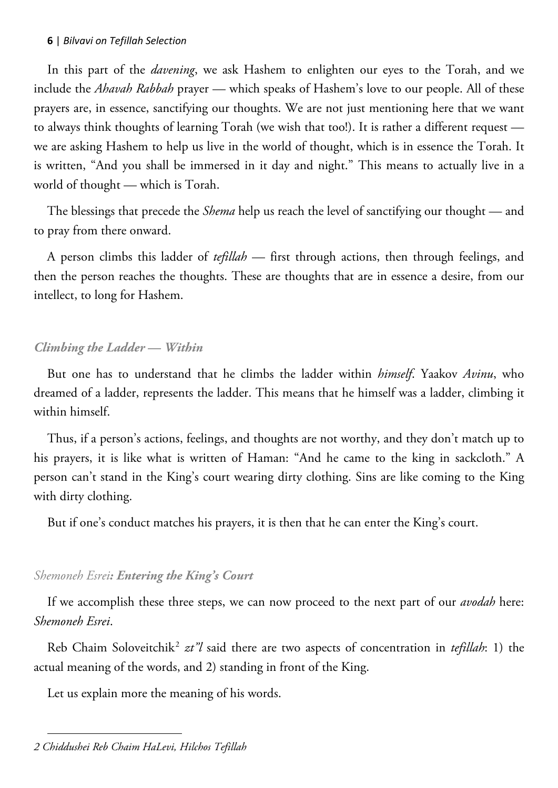In this part of the *davening*, we ask Hashem to enlighten our eyes to the Torah, and we include the *Ahavah Rabbah* prayer — which speaks of Hashem's love to our people. All of these prayers are, in essence, sanctifying our thoughts. We are not just mentioning here that we want to always think thoughts of learning Torah (we wish that too!). It is rather a different request we are asking Hashem to help us live in the world of thought, which is in essence the Torah. It is written, "And you shall be immersed in it day and night." This means to actually live in a world of thought — which is Torah.

The blessings that precede the *Shema* help us reach the level of sanctifying our thought — and to pray from there onward.

A person climbs this ladder of *tefillah* — first through actions, then through feelings, and then the person reaches the thoughts. These are thoughts that are in essence a desire, from our intellect, to long for Hashem.

## *Climbing the Ladder — Within*

But one has to understand that he climbs the ladder within *himself*. Yaakov *Avinu*, who dreamed of a ladder, represents the ladder. This means that he himself was a ladder, climbing it within himself.

Thus, if a person's actions, feelings, and thoughts are not worthy, and they don't match up to his prayers, it is like what is written of Haman: "And he came to the king in sackcloth." A person can't stand in the King's court wearing dirty clothing. Sins are like coming to the King with dirty clothing.

But if one's conduct matches his prayers, it is then that he can enter the King's court.

## *Shemoneh Esrei: Entering the King's Court*

If we accomplish these three steps, we can now proceed to the next part of our *avodah* here: *Shemoneh Esrei*.

Reb Chaim Soloveitchik<sup>2</sup> zt"l said there are two aspects of concentration in *tefillah*: 1) the actual meaning of the words, and 2) standing in front of the King.

Let us explain more the meaning of his words.

 $\overline{a}$ *2 Chiddushei Reb Chaim HaLevi, Hilchos Tefillah*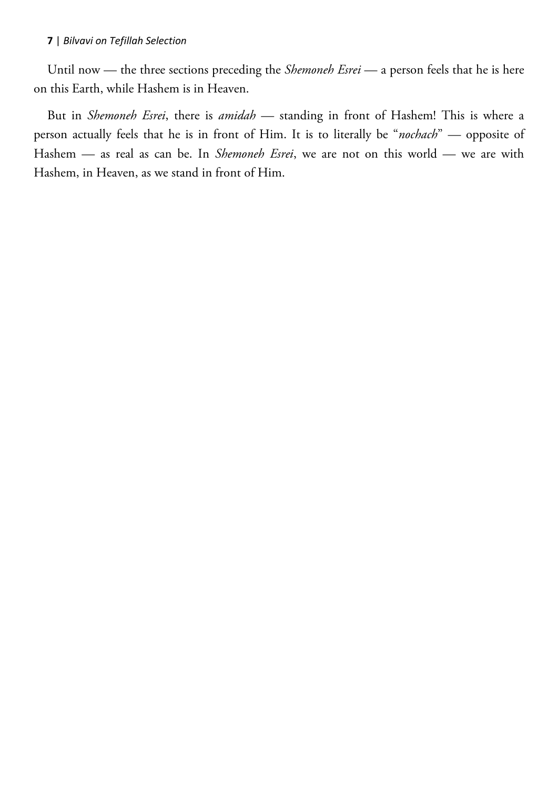Until now — the three sections preceding the *Shemoneh Esrei* — a person feels that he is here on this Earth, while Hashem is in Heaven.

But in *Shemoneh Esrei*, there is *amidah* — standing in front of Hashem! This is where a person actually feels that he is in front of Him. It is to literally be "*nochach*" — opposite of Hashem — as real as can be. In *Shemoneh Esrei*, we are not on this world — we are with Hashem, in Heaven, as we stand in front of Him.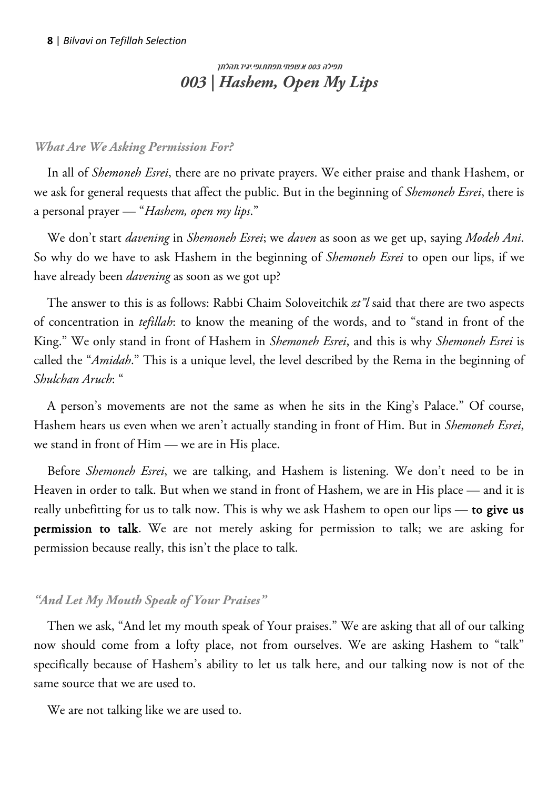# <span id="page-7-0"></span> תפילה 003 א.שפתי.תפתח.ופי.יגיד.תהלתך *003 | Hashem, Open My Lips*

## *What Are We Asking Permission For?*

In all of *Shemoneh Esrei*, there are no private prayers. We either praise and thank Hashem, or we ask for general requests that affect the public. But in the beginning of *Shemoneh Esrei*, there is a personal prayer — "*Hashem, open my lips*."

We don't start *davening* in *Shemoneh Esrei*; we *daven* as soon as we get up, saying *Modeh Ani*. So why do we have to ask Hashem in the beginning of *Shemoneh Esrei* to open our lips, if we have already been *davening* as soon as we got up?

The answer to this is as follows: Rabbi Chaim Soloveitchik *zt"l* said that there are two aspects of concentration in *tefillah*: to know the meaning of the words, and to "stand in front of the King." We only stand in front of Hashem in *Shemoneh Esrei*, and this is why *Shemoneh Esrei* is called the "*Amidah*." This is a unique level, the level described by the Rema in the beginning of *Shulchan Aruch*: "

A person's movements are not the same as when he sits in the King's Palace." Of course, Hashem hears us even when we aren't actually standing in front of Him. But in *Shemoneh Esrei*, we stand in front of Him — we are in His place.

Before *Shemoneh Esrei*, we are talking, and Hashem is listening. We don't need to be in Heaven in order to talk. But when we stand in front of Hashem, we are in His place — and it is really unbefitting for us to talk now. This is why we ask Hashem to open our lips — to give us permission to talk. We are not merely asking for permission to talk; we are asking for permission because really, this isn't the place to talk.

## *"And Let My Mouth Speak of Your Praises"*

Then we ask, "And let my mouth speak of Your praises." We are asking that all of our talking now should come from a lofty place, not from ourselves. We are asking Hashem to "talk" specifically because of Hashem's ability to let us talk here, and our talking now is not of the same source that we are used to.

We are not talking like we are used to.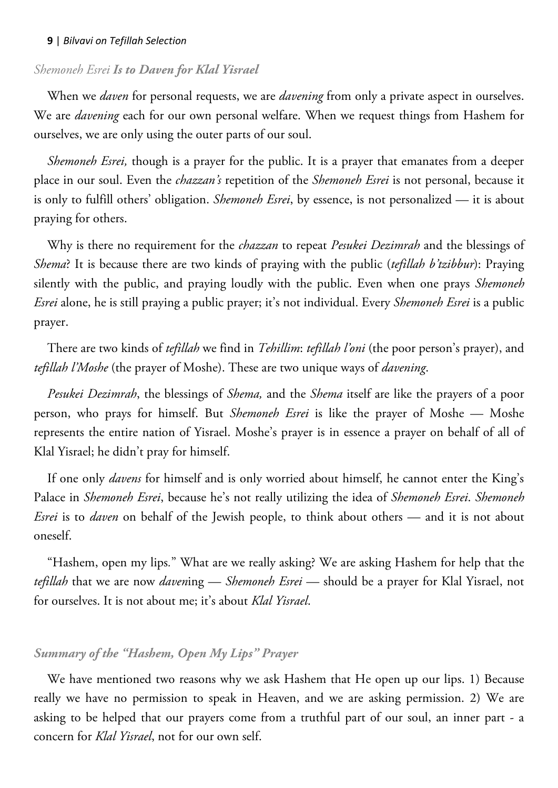## *Shemoneh Esrei Is to Daven for Klal Yisrael*

When we *daven* for personal requests, we are *davening* from only a private aspect in ourselves. We are *davening* each for our own personal welfare. When we request things from Hashem for ourselves, we are only using the outer parts of our soul.

*Shemoneh Esrei,* though is a prayer for the public. It is a prayer that emanates from a deeper place in our soul. Even the *chazzan's* repetition of the *Shemoneh Esrei* is not personal, because it is only to fulfill others' obligation. *Shemoneh Esrei*, by essence, is not personalized — it is about praying for others.

Why is there no requirement for the *chazzan* to repeat *Pesukei Dezimrah* and the blessings of *Shema*? It is because there are two kinds of praying with the public (*tefillah b'tzibbur*): Praying silently with the public, and praying loudly with the public. Even when one prays *Shemoneh Esrei* alone, he is still praying a public prayer; it's not individual. Every *Shemoneh Esrei* is a public prayer.

There are two kinds of *tefillah* we find in *Tehillim*: *tefillah l'oni* (the poor person's prayer), and *tefillah l'Moshe* (the prayer of Moshe). These are two unique ways of *davening*.

*Pesukei Dezimrah*, the blessings of *Shema,* and the *Shema* itself are like the prayers of a poor person, who prays for himself. But *Shemoneh Esrei* is like the prayer of Moshe — Moshe represents the entire nation of Yisrael. Moshe's prayer is in essence a prayer on behalf of all of Klal Yisrael; he didn't pray for himself.

If one only *davens* for himself and is only worried about himself, he cannot enter the King's Palace in *Shemoneh Esrei*, because he's not really utilizing the idea of *Shemoneh Esrei*. *Shemoneh Esrei* is to *daven* on behalf of the Jewish people, to think about others — and it is not about oneself.

"Hashem, open my lips*.*" What are we really asking? We are asking Hashem for help that the *tefillah* that we are now *daven*ing — *Shemoneh Esrei* — should be a prayer for Klal Yisrael, not for ourselves. It is not about me; it's about *Klal Yisrael*.

## *Summary of the "Hashem, Open My Lips" Prayer*

We have mentioned two reasons why we ask Hashem that He open up our lips. 1) Because really we have no permission to speak in Heaven, and we are asking permission. 2) We are asking to be helped that our prayers come from a truthful part of our soul, an inner part - a concern for *Klal Yisrael*, not for our own self.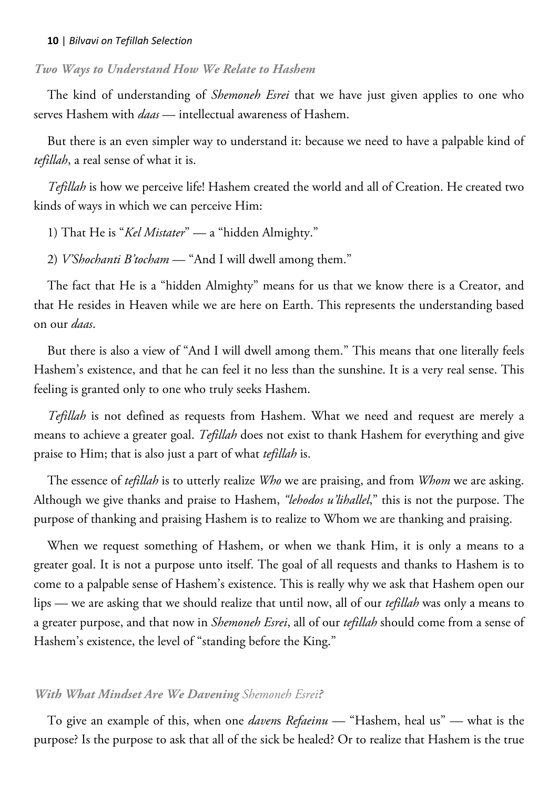## *Two Ways to Understand How We Relate to Hashem*

The kind of understanding of *Shemoneh Esrei* that we have just given applies to one who serves Hashem with *daas* — intellectual awareness of Hashem.

But there is an even simpler way to understand it: because we need to have a palpable kind of *tefillah*, a real sense of what it is.

*Tefillah* is how we perceive life! Hashem created the world and all of Creation. He created two kinds of ways in which we can perceive Him:

- 1) That He is "*Kel Mistater*" a "hidden Almighty."
- 2) *V'Shochanti B'tocham* "And I will dwell among them."

The fact that He is a "hidden Almighty" means for us that we know there is a Creator, and that He resides in Heaven while we are here on Earth. This represents the understanding based on our *daas*.

But there is also a view of "And I will dwell among them." This means that one literally feels Hashem's existence, and that he can feel it no less than the sunshine. It is a very real sense. This feeling is granted only to one who truly seeks Hashem.

*Tefillah* is not defined as requests from Hashem. What we need and request are merely a means to achieve a greater goal. *Tefillah* does not exist to thank Hashem for everything and give praise to Him; that is also just a part of what *tefillah* is.

The essence of *tefillah* is to utterly realize *Who* we are praising, and from *Whom* we are asking. Although we give thanks and praise to Hashem, *"lehodos u'lihallel*," this is not the purpose. The purpose of thanking and praising Hashem is to realize to Whom we are thanking and praising.

When we request something of Hashem, or when we thank Him, it is only a means to a greater goal. It is not a purpose unto itself. The goal of all requests and thanks to Hashem is to come to a palpable sense of Hashem's existence. This is really why we ask that Hashem open our lips — we are asking that we should realize that until now, all of our *tefillah* was only a means to a greater purpose, and that now in *Shemoneh Esrei*, all of our *tefillah* should come from a sense of Hashem's existence, the level of "standing before the King."

## *With What Mindset Are We Davening Shemoneh Esrei?*

To give an example of this, when one *daven*s *Refaeinu* — "Hashem, heal us" — what is the purpose? Is the purpose to ask that all of the sick be healed? Or to realize that Hashem is the true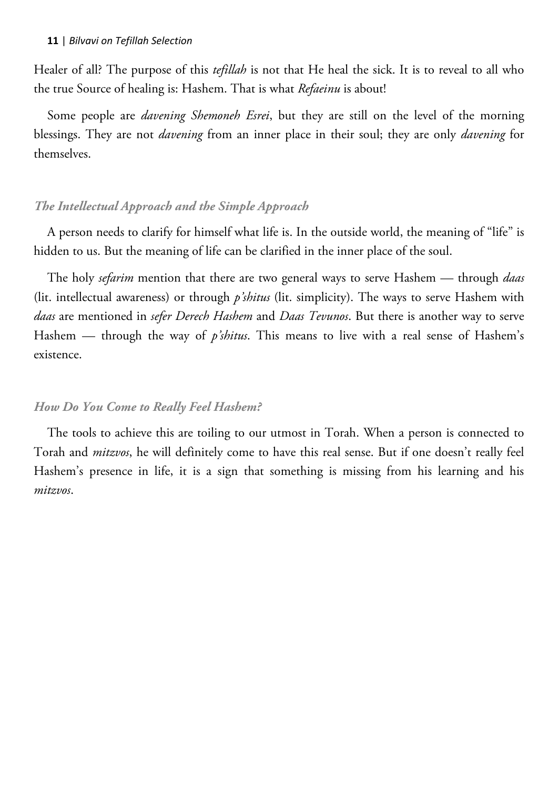Healer of all? The purpose of this *tefillah* is not that He heal the sick. It is to reveal to all who the true Source of healing is: Hashem. That is what *Refaeinu* is about!

Some people are *davening Shemoneh Esrei*, but they are still on the level of the morning blessings. They are not *davening* from an inner place in their soul; they are only *davening* for themselves.

#### *The Intellectual Approach and the Simple Approach*

A person needs to clarify for himself what life is. In the outside world, the meaning of "life" is hidden to us. But the meaning of life can be clarified in the inner place of the soul.

The holy *sefarim* mention that there are two general ways to serve Hashem — through *daas* (lit. intellectual awareness) or through *p'shitus* (lit. simplicity). The ways to serve Hashem with *daas* are mentioned in *sefer Derech Hashem* and *Daas Tevunos*. But there is another way to serve Hashem — through the way of *p'shitus*. This means to live with a real sense of Hashem's existence.

#### *How Do You Come to Really Feel Hashem?*

The tools to achieve this are toiling to our utmost in Torah. When a person is connected to Torah and *mitzvos*, he will definitely come to have this real sense. But if one doesn't really feel Hashem's presence in life, it is a sign that something is missing from his learning and his *mitzvos*.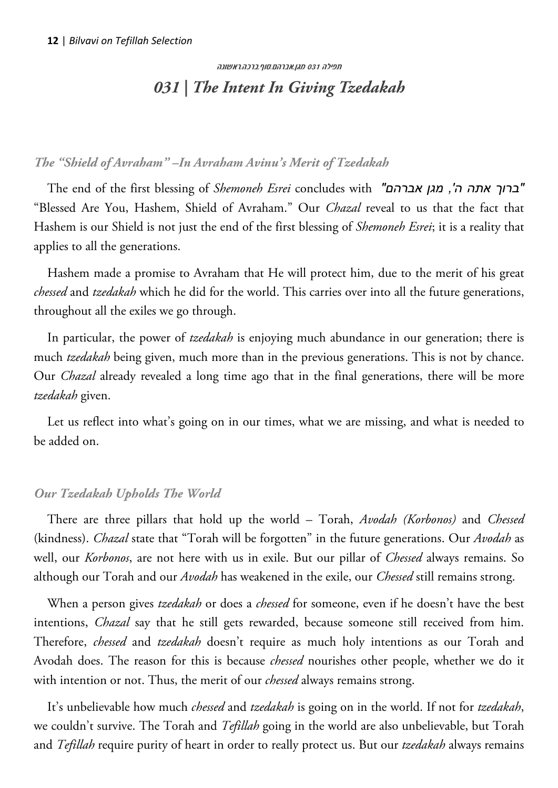# <span id="page-11-0"></span> תפילה 031 מגן.אברהם.סוף.ברכה.ראשונה *031 | The Intent In Giving Tzedakah*

## *The "Shield of Avraham" –In Avraham Avinu's Merit of Tzedakah*

The end of the first blessing of *Shemoneh Esrei* concludes with *"אברהם מגן ,'ה אתה ברוך"* "Blessed Are You, Hashem, Shield of Avraham." Our *Chazal* reveal to us that the fact that Hashem is our Shield is not just the end of the first blessing of *Shemoneh Esrei*; it is a reality that applies to all the generations.

Hashem made a promise to Avraham that He will protect him, due to the merit of his great *chessed* and *tzedakah* which he did for the world. This carries over into all the future generations, throughout all the exiles we go through.

In particular, the power of *tzedakah* is enjoying much abundance in our generation; there is much *tzedakah* being given, much more than in the previous generations. This is not by chance. Our *Chazal* already revealed a long time ago that in the final generations, there will be more *tzedakah* given.

Let us reflect into what's going on in our times, what we are missing, and what is needed to be added on.

## *Our Tzedakah Upholds The World*

There are three pillars that hold up the world – Torah, *Avodah (Korbonos)* and *Chessed* (kindness). *Chazal* state that "Torah will be forgotten" in the future generations. Our *Avodah* as well, our *Korbonos*, are not here with us in exile. But our pillar of *Chessed* always remains. So although our Torah and our *Avodah* has weakened in the exile, our *Chessed* still remains strong.

When a person gives *tzedakah* or does a *chessed* for someone, even if he doesn't have the best intentions, *Chazal* say that he still gets rewarded, because someone still received from him. Therefore, *chessed* and *tzedakah* doesn't require as much holy intentions as our Torah and Avodah does. The reason for this is because *chessed* nourishes other people, whether we do it with intention or not. Thus, the merit of our *chessed* always remains strong.

It's unbelievable how much *chessed* and *tzedakah* is going on in the world. If not for *tzedakah*, we couldn't survive. The Torah and *Tefillah* going in the world are also unbelievable, but Torah and *Tefillah* require purity of heart in order to really protect us. But our *tzedakah* always remains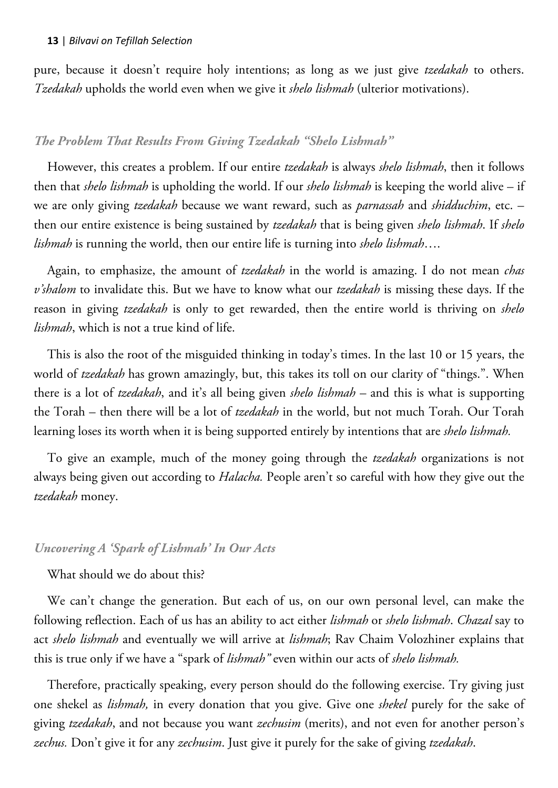pure, because it doesn't require holy intentions; as long as we just give *tzedakah* to others. *Tzedakah* upholds the world even when we give it *shelo lishmah* (ulterior motivations).

### *The Problem That Results From Giving Tzedakah "Shelo Lishmah"*

However, this creates a problem. If our entire *tzedakah* is always *shelo lishmah*, then it follows then that *shelo lishmah* is upholding the world. If our *shelo lishmah* is keeping the world alive – if we are only giving *tzedakah* because we want reward, such as *parnassah* and *shidduchim*, etc. – then our entire existence is being sustained by *tzedakah* that is being given *shelo lishmah*. If *shelo lishmah* is running the world, then our entire life is turning into *shelo lishmah*….

Again, to emphasize, the amount of *tzedakah* in the world is amazing. I do not mean *chas v'shalom* to invalidate this. But we have to know what our *tzedakah* is missing these days. If the reason in giving *tzedakah* is only to get rewarded, then the entire world is thriving on *shelo lishmah*, which is not a true kind of life.

This is also the root of the misguided thinking in today's times. In the last 10 or 15 years, the world of *tzedakah* has grown amazingly, but, this takes its toll on our clarity of "things.". When there is a lot of *tzedakah*, and it's all being given *shelo lishmah* – and this is what is supporting the Torah – then there will be a lot of *tzedakah* in the world, but not much Torah. Our Torah learning loses its worth when it is being supported entirely by intentions that are *shelo lishmah.*

To give an example, much of the money going through the *tzedakah* organizations is not always being given out according to *Halacha.* People aren't so careful with how they give out the *tzedakah* money.

#### *Uncovering A 'Spark of Lishmah' In Our Acts*

What should we do about this?

We can't change the generation. But each of us, on our own personal level, can make the following reflection. Each of us has an ability to act either *lishmah* or *shelo lishmah*. *Chazal* say to act *shelo lishmah* and eventually we will arrive at *lishmah*; Rav Chaim Volozhiner explains that this is true only if we have a "spark of *lishmah"* even within our acts of *shelo lishmah.*

Therefore, practically speaking, every person should do the following exercise. Try giving just one shekel as *lishmah,* in every donation that you give. Give one *shekel* purely for the sake of giving *tzedakah*, and not because you want *zechusim* (merits), and not even for another person's *zechus.* Don't give it for any *zechusim*. Just give it purely for the sake of giving *tzedakah*.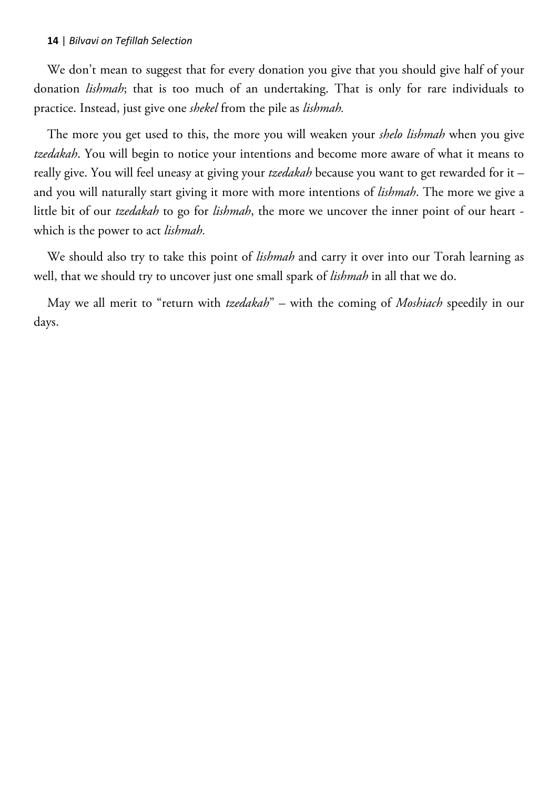We don't mean to suggest that for every donation you give that you should give half of your donation *lishmah*; that is too much of an undertaking. That is only for rare individuals to practice. Instead, just give one *shekel* from the pile as *lishmah.*

The more you get used to this, the more you will weaken your *shelo lishmah* when you give *tzedakah*. You will begin to notice your intentions and become more aware of what it means to really give. You will feel uneasy at giving your *tzedakah* because you want to get rewarded for it – and you will naturally start giving it more with more intentions of *lishmah*. The more we give a little bit of our *tzedakah* to go for *lishmah*, the more we uncover the inner point of our heart which is the power to act *lishmah.*

We should also try to take this point of *lishmah* and carry it over into our Torah learning as well, that we should try to uncover just one small spark of *lishmah* in all that we do.

May we all merit to "return with *tzedakah*" – with the coming of *Moshiach* speedily in our days.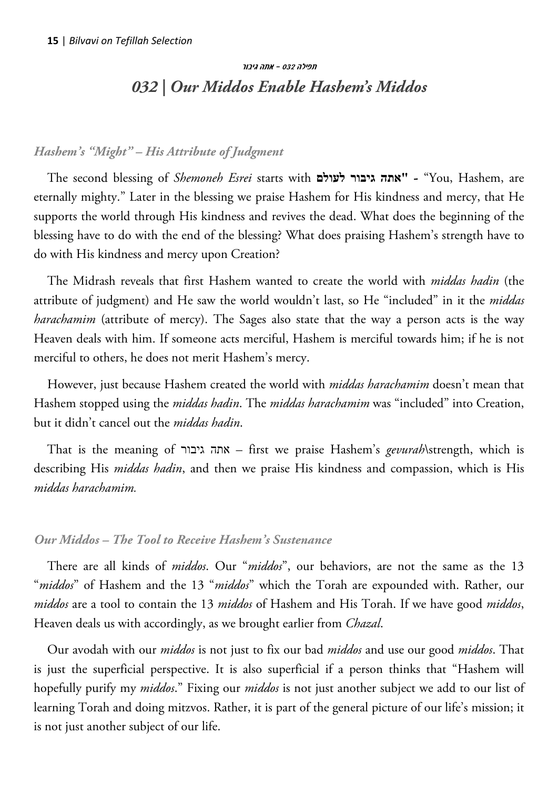# תפילה 032 – אתה גיבור *032 | Our Middos Enable Hashem's Middos*

## <span id="page-14-0"></span>*Hashem's "Might" – His Attribute of Judgment*

The second blessing of *Shemoneh Esrei* starts with **לעולם גיבור אתה "**-" You, Hashem, are eternally mighty." Later in the blessing we praise Hashem for His kindness and mercy, that He supports the world through His kindness and revives the dead. What does the beginning of the blessing have to do with the end of the blessing? What does praising Hashem's strength have to do with His kindness and mercy upon Creation?

The Midrash reveals that first Hashem wanted to create the world with *middas hadin* (the attribute of judgment) and He saw the world wouldn't last, so He "included" in it the *middas harachamim* (attribute of mercy). The Sages also state that the way a person acts is the way Heaven deals with him. If someone acts merciful, Hashem is merciful towards him; if he is not merciful to others, he does not merit Hashem's mercy.

However, just because Hashem created the world with *middas harachamim* doesn't mean that Hashem stopped using the *middas hadin*. The *middas harachamim* was "included" into Creation, but it didn't cancel out the *middas hadin*.

That is the meaning of גיבור אתה – first we praise Hashem's *gevurah*\strength, which is describing His *middas hadin*, and then we praise His kindness and compassion, which is His *middas harachamim.*

## *Our Middos – The Tool to Receive Hashem's Sustenance*

There are all kinds of *middos*. Our "*middos*", our behaviors, are not the same as the 13 "*middos*" of Hashem and the 13 "*middos*" which the Torah are expounded with. Rather, our *middos* are a tool to contain the 13 *middos* of Hashem and His Torah. If we have good *middos*, Heaven deals us with accordingly, as we brought earlier from *Chazal*.

Our avodah with our *middos* is not just to fix our bad *middos* and use our good *middos*. That is just the superficial perspective. It is also superficial if a person thinks that "Hashem will hopefully purify my *middos*." Fixing our *middos* is not just another subject we add to our list of learning Torah and doing mitzvos. Rather, it is part of the general picture of our life's mission; it is not just another subject of our life.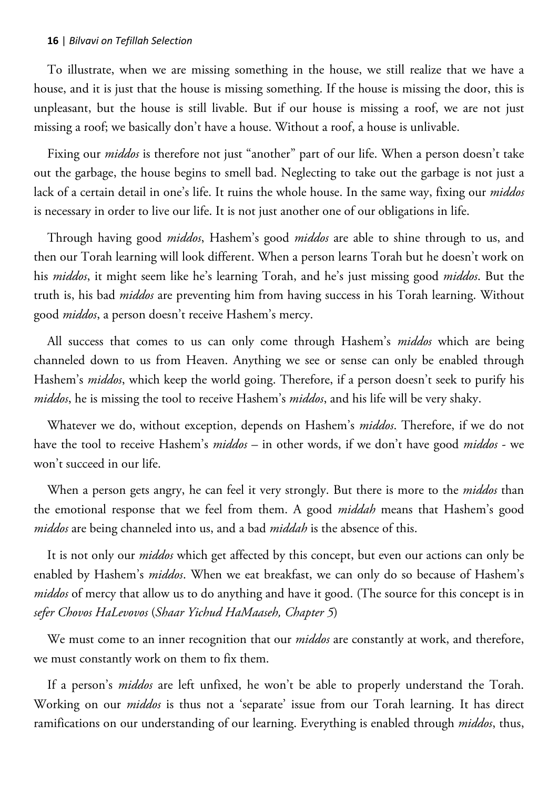To illustrate, when we are missing something in the house, we still realize that we have a house, and it is just that the house is missing something. If the house is missing the door, this is unpleasant, but the house is still livable. But if our house is missing a roof, we are not just missing a roof; we basically don't have a house. Without a roof, a house is unlivable.

Fixing our *middos* is therefore not just "another" part of our life. When a person doesn't take out the garbage, the house begins to smell bad. Neglecting to take out the garbage is not just a lack of a certain detail in one's life. It ruins the whole house. In the same way, fixing our *middos* is necessary in order to live our life. It is not just another one of our obligations in life.

Through having good *middos*, Hashem's good *middos* are able to shine through to us, and then our Torah learning will look different. When a person learns Torah but he doesn't work on his *middos*, it might seem like he's learning Torah, and he's just missing good *middos*. But the truth is, his bad *middos* are preventing him from having success in his Torah learning. Without good *middos*, a person doesn't receive Hashem's mercy.

All success that comes to us can only come through Hashem's *middos* which are being channeled down to us from Heaven. Anything we see or sense can only be enabled through Hashem's *middos*, which keep the world going. Therefore, if a person doesn't seek to purify his *middos*, he is missing the tool to receive Hashem's *middos*, and his life will be very shaky.

Whatever we do, without exception, depends on Hashem's *middos*. Therefore, if we do not have the tool to receive Hashem's *middos* – in other words, if we don't have good *middos* - we won't succeed in our life.

When a person gets angry, he can feel it very strongly. But there is more to the *middos* than the emotional response that we feel from them. A good *middah* means that Hashem's good *middos* are being channeled into us, and a bad *middah* is the absence of this.

It is not only our *middos* which get affected by this concept, but even our actions can only be enabled by Hashem's *middos*. When we eat breakfast, we can only do so because of Hashem's *middos* of mercy that allow us to do anything and have it good. (The source for this concept is in *sefer Chovos HaLevovos* (*Shaar Yichud HaMaaseh, Chapter 5*)

We must come to an inner recognition that our *middos* are constantly at work, and therefore, we must constantly work on them to fix them.

If a person's *middos* are left unfixed, he won't be able to properly understand the Torah. Working on our *middos* is thus not a 'separate' issue from our Torah learning. It has direct ramifications on our understanding of our learning. Everything is enabled through *middos*, thus,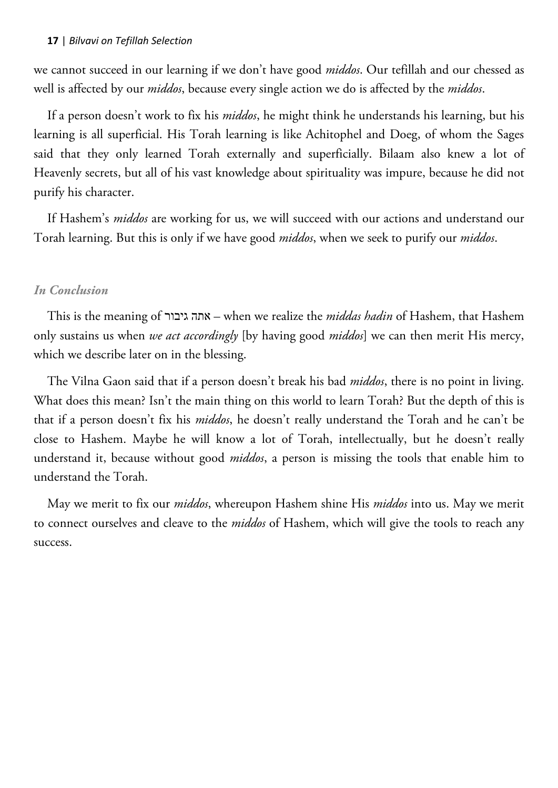we cannot succeed in our learning if we don't have good *middos*. Our tefillah and our chessed as well is affected by our *middos*, because every single action we do is affected by the *middos*.

If a person doesn't work to fix his *middos*, he might think he understands his learning, but his learning is all superficial. His Torah learning is like Achitophel and Doeg, of whom the Sages said that they only learned Torah externally and superficially. Bilaam also knew a lot of Heavenly secrets, but all of his vast knowledge about spirituality was impure, because he did not purify his character.

If Hashem's *middos* are working for us, we will succeed with our actions and understand our Torah learning. But this is only if we have good *middos*, when we seek to purify our *middos*.

## *In Conclusion*

This is the meaning of גיבור אתה – when we realize the *middas hadin* of Hashem, that Hashem only sustains us when *we act accordingly* [by having good *middos*] we can then merit His mercy, which we describe later on in the blessing.

The Vilna Gaon said that if a person doesn't break his bad *middos*, there is no point in living. What does this mean? Isn't the main thing on this world to learn Torah? But the depth of this is that if a person doesn't fix his *middos*, he doesn't really understand the Torah and he can't be close to Hashem. Maybe he will know a lot of Torah, intellectually, but he doesn't really understand it, because without good *middos*, a person is missing the tools that enable him to understand the Torah.

May we merit to fix our *middos*, whereupon Hashem shine His *middos* into us. May we merit to connect ourselves and cleave to the *middos* of Hashem, which will give the tools to reach any success.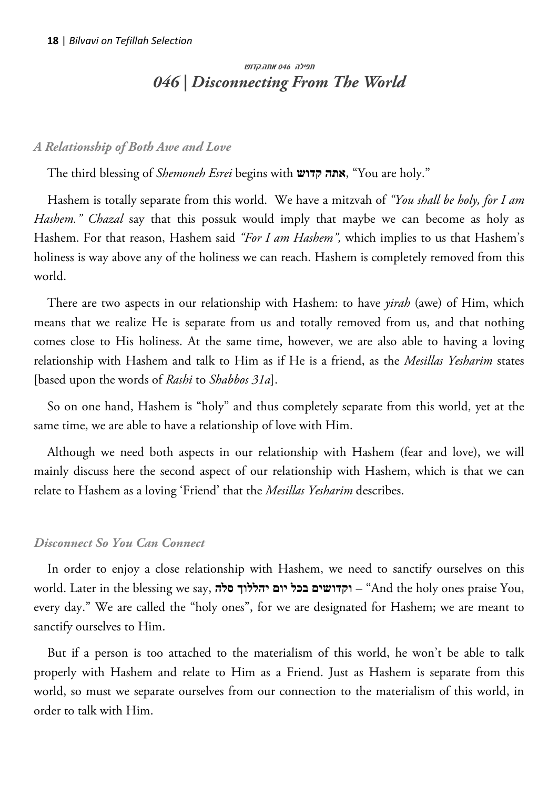# <span id="page-17-0"></span>תפילה 046 אתה.קדוש *046 | Disconnecting From The World*

## *A Relationship of Both Awe and Love*

The third blessing of *Shemoneh Esrei* begins with **קדוש אתה**," You are holy."

Hashem is totally separate from this world. We have a mitzvah of *"You shall be holy, for I am Hashem." Chazal* say that this possuk would imply that maybe we can become as holy as Hashem. For that reason, Hashem said *"For I am Hashem",* which implies to us that Hashem's holiness is way above any of the holiness we can reach. Hashem is completely removed from this world.

There are two aspects in our relationship with Hashem: to have *yirah* (awe) of Him, which means that we realize He is separate from us and totally removed from us, and that nothing comes close to His holiness. At the same time, however, we are also able to having a loving relationship with Hashem and talk to Him as if He is a friend, as the *Mesillas Yesharim* states [based upon the words of *Rashi* to *Shabbos 31a*].

So on one hand, Hashem is "holy" and thus completely separate from this world, yet at the same time, we are able to have a relationship of love with Him.

Although we need both aspects in our relationship with Hashem (fear and love), we will mainly discuss here the second aspect of our relationship with Hashem, which is that we can relate to Hashem as a loving 'Friend' that the *Mesillas Yesharim* describes.

## *Disconnect So You Can Connect*

In order to enjoy a close relationship with Hashem, we need to sanctify ourselves on this world. Later in the blessing we say, **סלה יהללוך יום בכל וקדושים**" – And the holy ones praise You, every day." We are called the "holy ones", for we are designated for Hashem; we are meant to sanctify ourselves to Him.

But if a person is too attached to the materialism of this world, he won't be able to talk properly with Hashem and relate to Him as a Friend. Just as Hashem is separate from this world, so must we separate ourselves from our connection to the materialism of this world, in order to talk with Him.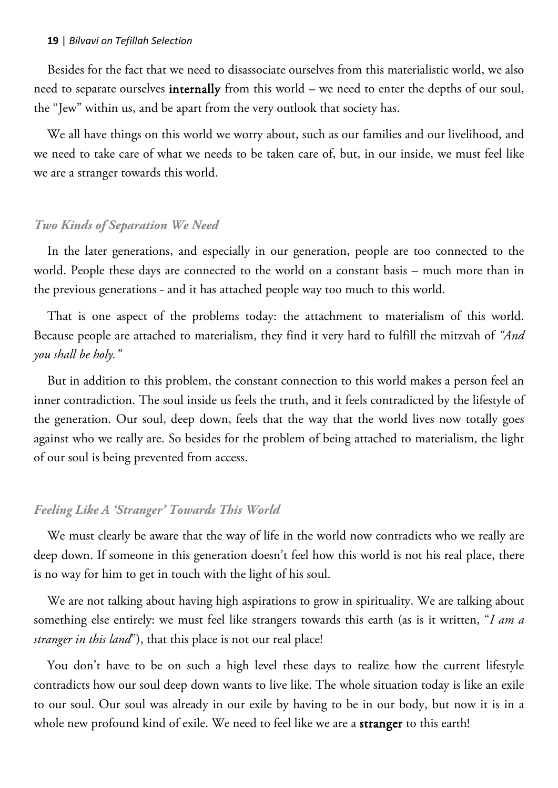Besides for the fact that we need to disassociate ourselves from this materialistic world, we also need to separate ourselves internally from this world – we need to enter the depths of our soul, the "Jew" within us, and be apart from the very outlook that society has.

We all have things on this world we worry about, such as our families and our livelihood, and we need to take care of what we needs to be taken care of, but, in our inside, we must feel like we are a stranger towards this world.

#### *Two Kinds of Separation We Need*

In the later generations, and especially in our generation, people are too connected to the world. People these days are connected to the world on a constant basis – much more than in the previous generations - and it has attached people way too much to this world.

That is one aspect of the problems today: the attachment to materialism of this world. Because people are attached to materialism, they find it very hard to fulfill the mitzvah of *"And you shall be holy."*

But in addition to this problem, the constant connection to this world makes a person feel an inner contradiction. The soul inside us feels the truth, and it feels contradicted by the lifestyle of the generation. Our soul, deep down, feels that the way that the world lives now totally goes against who we really are. So besides for the problem of being attached to materialism, the light of our soul is being prevented from access.

#### *Feeling Like A 'Stranger' Towards This World*

We must clearly be aware that the way of life in the world now contradicts who we really are deep down. If someone in this generation doesn't feel how this world is not his real place, there is no way for him to get in touch with the light of his soul.

We are not talking about having high aspirations to grow in spirituality. We are talking about something else entirely: we must feel like strangers towards this earth (as is it written, "*I am a stranger in this land*"), that this place is not our real place!

You don't have to be on such a high level these days to realize how the current lifestyle contradicts how our soul deep down wants to live like. The whole situation today is like an exile to our soul. Our soul was already in our exile by having to be in our body, but now it is in a whole new profound kind of exile. We need to feel like we are a **stranger** to this earth!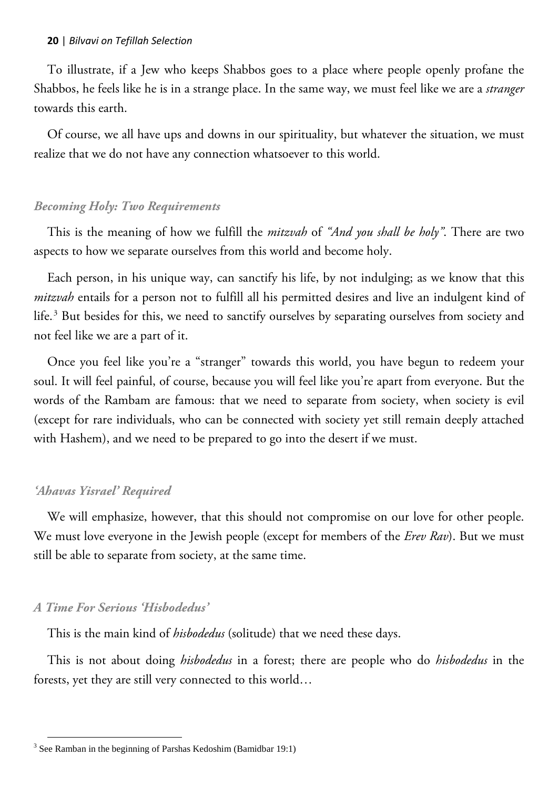To illustrate, if a Jew who keeps Shabbos goes to a place where people openly profane the Shabbos, he feels like he is in a strange place. In the same way, we must feel like we are a *stranger* towards this earth.

Of course, we all have ups and downs in our spirituality, but whatever the situation, we must realize that we do not have any connection whatsoever to this world.

#### *Becoming Holy: Two Requirements*

This is the meaning of how we fulfill the *mitzvah* of *"And you shall be holy"*. There are two aspects to how we separate ourselves from this world and become holy.

Each person, in his unique way, can sanctify his life, by not indulging; as we know that this *mitzvah* entails for a person not to fulfill all his permitted desires and live an indulgent kind of life.<sup>3</sup> But besides for this, we need to sanctify ourselves by separating ourselves from society and not feel like we are a part of it.

Once you feel like you're a "stranger" towards this world, you have begun to redeem your soul. It will feel painful, of course, because you will feel like you're apart from everyone. But the words of the Rambam are famous: that we need to separate from society, when society is evil (except for rare individuals, who can be connected with society yet still remain deeply attached with Hashem), and we need to be prepared to go into the desert if we must.

#### *'Ahavas Yisrael' Required*

We will emphasize, however, that this should not compromise on our love for other people. We must love everyone in the Jewish people (except for members of the *Erev Rav*). But we must still be able to separate from society, at the same time.

#### *A Time For Serious 'Hisbodedus'*

 $\overline{a}$ 

This is the main kind of *hisbodedus* (solitude) that we need these days.

This is not about doing *hisbodedus* in a forest; there are people who do *hisbodedus* in the forests, yet they are still very connected to this world…

 $3$  See Ramban in the beginning of Parshas Kedoshim (Bamidbar 19:1)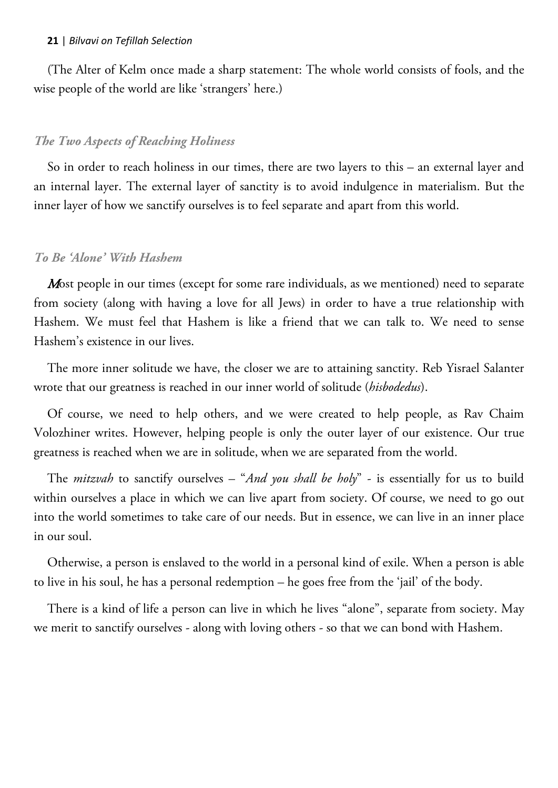(The Alter of Kelm once made a sharp statement: The whole world consists of fools, and the wise people of the world are like 'strangers' here.)

## *The Two Aspects of Reaching Holiness*

So in order to reach holiness in our times, there are two layers to this – an external layer and an internal layer. The external layer of sanctity is to avoid indulgence in materialism. But the inner layer of how we sanctify ourselves is to feel separate and apart from this world.

## *To Be 'Alone' With Hashem*

Most people in our times (except for some rare individuals, as we mentioned) need to separate from society (along with having a love for all Jews) in order to have a true relationship with Hashem. We must feel that Hashem is like a friend that we can talk to. We need to sense Hashem's existence in our lives.

The more inner solitude we have, the closer we are to attaining sanctity. Reb Yisrael Salanter wrote that our greatness is reached in our inner world of solitude (*hisbodedus*).

Of course, we need to help others, and we were created to help people, as Rav Chaim Volozhiner writes. However, helping people is only the outer layer of our existence. Our true greatness is reached when we are in solitude, when we are separated from the world.

The *mitzvah* to sanctify ourselves – "*And you shall be holy*" - is essentially for us to build within ourselves a place in which we can live apart from society. Of course, we need to go out into the world sometimes to take care of our needs. But in essence, we can live in an inner place in our soul.

Otherwise, a person is enslaved to the world in a personal kind of exile. When a person is able to live in his soul, he has a personal redemption – he goes free from the 'jail' of the body.

There is a kind of life a person can live in which he lives "alone", separate from society. May we merit to sanctify ourselves - along with loving others - so that we can bond with Hashem.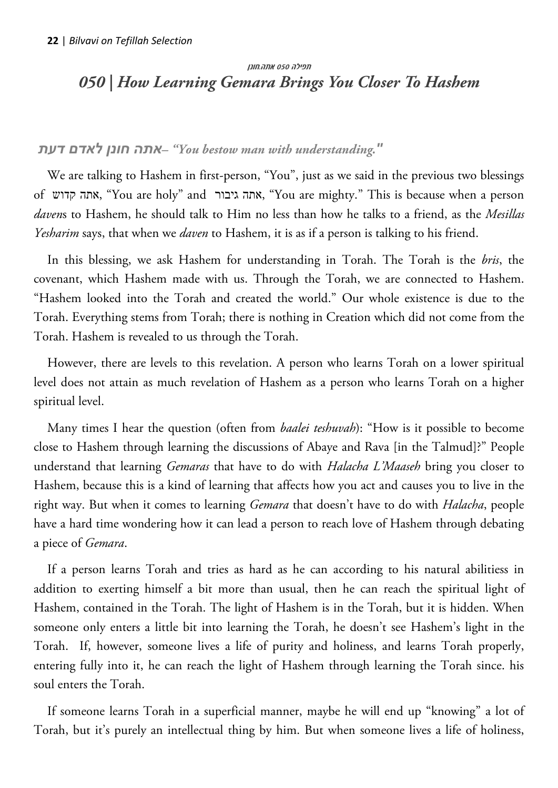# <span id="page-21-0"></span>תפילה 050 אתה.חונן *050 | How Learning Gemara Brings You Closer To Hashem*

## *דעת לאדם חונן אתה" –You bestow man with understanding."*

We are talking to Hashem in first-person, "You", just as we said in the previous two blessings of קדוש אתה," You are holy" and גיבור אתה," You are mighty." This is because when a person *daven*s to Hashem, he should talk to Him no less than how he talks to a friend, as the *Mesillas Yesharim* says, that when we *daven* to Hashem, it is as if a person is talking to his friend.

In this blessing, we ask Hashem for understanding in Torah. The Torah is the *bris*, the covenant, which Hashem made with us. Through the Torah, we are connected to Hashem. "Hashem looked into the Torah and created the world." Our whole existence is due to the Torah. Everything stems from Torah; there is nothing in Creation which did not come from the Torah. Hashem is revealed to us through the Torah.

However, there are levels to this revelation. A person who learns Torah on a lower spiritual level does not attain as much revelation of Hashem as a person who learns Torah on a higher spiritual level.

Many times I hear the question (often from *baalei teshuvah*): "How is it possible to become close to Hashem through learning the discussions of Abaye and Rava [in the Talmud]?" People understand that learning *Gemaras* that have to do with *Halacha L'Maaseh* bring you closer to Hashem, because this is a kind of learning that affects how you act and causes you to live in the right way. But when it comes to learning *Gemara* that doesn't have to do with *Halacha*, people have a hard time wondering how it can lead a person to reach love of Hashem through debating a piece of *Gemara*.

If a person learns Torah and tries as hard as he can according to his natural abilitiess in addition to exerting himself a bit more than usual, then he can reach the spiritual light of Hashem, contained in the Torah. The light of Hashem is in the Torah, but it is hidden. When someone only enters a little bit into learning the Torah, he doesn't see Hashem's light in the Torah. If, however, someone lives a life of purity and holiness, and learns Torah properly, entering fully into it, he can reach the light of Hashem through learning the Torah since. his soul enters the Torah.

If someone learns Torah in a superficial manner, maybe he will end up "knowing" a lot of Torah, but it's purely an intellectual thing by him. But when someone lives a life of holiness,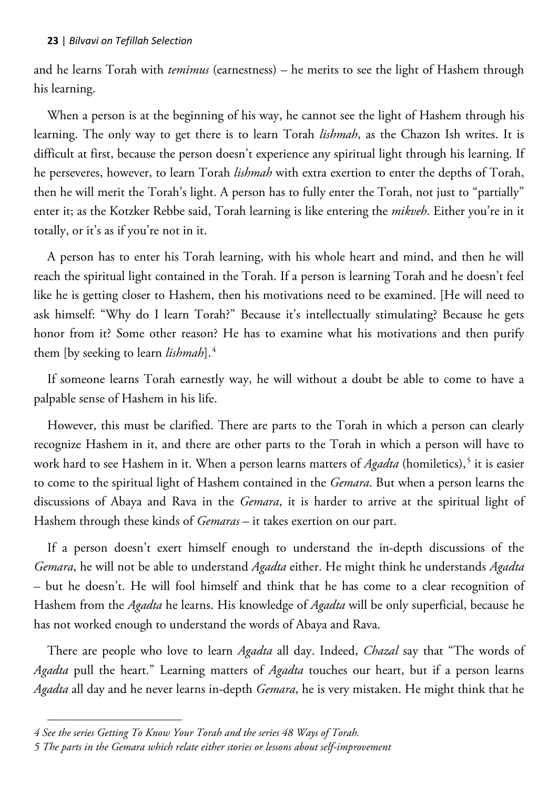and he learns Torah with *temimus* (earnestness) – he merits to see the light of Hashem through his learning.

When a person is at the beginning of his way, he cannot see the light of Hashem through his learning. The only way to get there is to learn Torah *lishmah*, as the Chazon Ish writes. It is difficult at first, because the person doesn't experience any spiritual light through his learning. If he perseveres, however, to learn Torah *lishmah* with extra exertion to enter the depths of Torah, then he will merit the Torah's light. A person has to fully enter the Torah, not just to "partially" enter it; as the Kotzker Rebbe said, Torah learning is like entering the *mikveh*. Either you're in it totally, or it's as if you're not in it.

A person has to enter his Torah learning, with his whole heart and mind, and then he will reach the spiritual light contained in the Torah. If a person is learning Torah and he doesn't feel like he is getting closer to Hashem, then his motivations need to be examined. [He will need to ask himself: "Why do I learn Torah?" Because it's intellectually stimulating? Because he gets honor from it? Some other reason? He has to examine what his motivations and then purify them [by seeking to learn *lishmah*].<sup>4</sup>

If someone learns Torah earnestly way, he will without a doubt be able to come to have a palpable sense of Hashem in his life.

However, this must be clarified. There are parts to the Torah in which a person can clearly recognize Hashem in it, and there are other parts to the Torah in which a person will have to work hard to see Hashem in it. When a person learns matters of *Agadta* (homiletics),<sup>5</sup> it is easier to come to the spiritual light of Hashem contained in the *Gemara*. But when a person learns the discussions of Abaya and Rava in the *Gemara*, it is harder to arrive at the spiritual light of Hashem through these kinds of *Gemaras* – it takes exertion on our part.

If a person doesn't exert himself enough to understand the in-depth discussions of the *Gemara*, he will not be able to understand *Agadta* either. He might think he understands *Agadta* – but he doesn't. He will fool himself and think that he has come to a clear recognition of Hashem from the *Agadta* he learns. His knowledge of *Agadta* will be only superficial, because he has not worked enough to understand the words of Abaya and Rava.

There are people who love to learn *Agadta* all day. Indeed, *Chazal* say that "The words of *Agadta* pull the heart." Learning matters of *Agadta* touches our heart, but if a person learns *Agadta* all day and he never learns in-depth *Gemara*, he is very mistaken. He might think that he

 $\overline{a}$ 

*<sup>4</sup> See the series Getting To Know Your Torah and the series 48 Ways of Torah.*

*<sup>5</sup> The parts in the Gemara which relate either stories or lessons about self-improvement*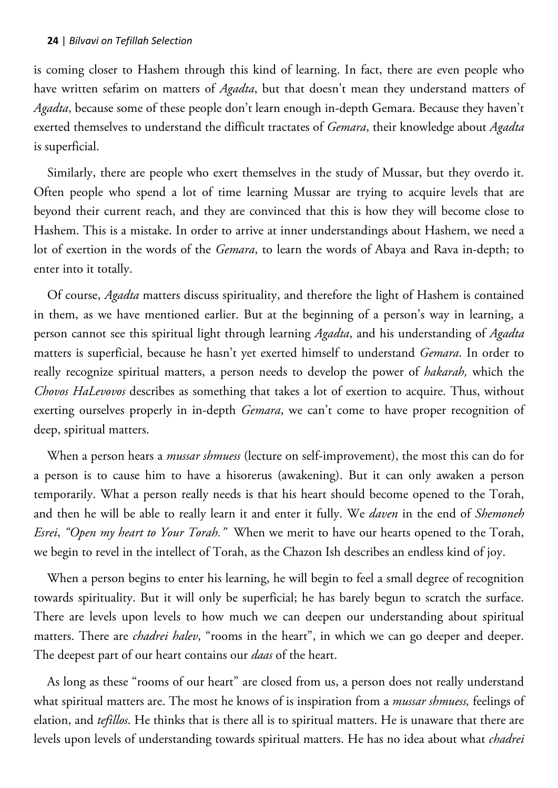is coming closer to Hashem through this kind of learning. In fact, there are even people who have written sefarim on matters of *Agadta*, but that doesn't mean they understand matters of *Agadta*, because some of these people don't learn enough in-depth Gemara. Because they haven't exerted themselves to understand the difficult tractates of *Gemara*, their knowledge about *Agadta* is superficial.

Similarly, there are people who exert themselves in the study of Mussar, but they overdo it. Often people who spend a lot of time learning Mussar are trying to acquire levels that are beyond their current reach, and they are convinced that this is how they will become close to Hashem. This is a mistake. In order to arrive at inner understandings about Hashem, we need a lot of exertion in the words of the *Gemara*, to learn the words of Abaya and Rava in-depth; to enter into it totally.

Of course, *Agadta* matters discuss spirituality, and therefore the light of Hashem is contained in them, as we have mentioned earlier. But at the beginning of a person's way in learning, a person cannot see this spiritual light through learning *Agadta*, and his understanding of *Agadta* matters is superficial, because he hasn't yet exerted himself to understand *Gemara*. In order to really recognize spiritual matters, a person needs to develop the power of *hakarah,* which the *Chovos HaLevovos* describes as something that takes a lot of exertion to acquire. Thus, without exerting ourselves properly in in-depth *Gemara*, we can't come to have proper recognition of deep, spiritual matters.

When a person hears a *mussar shmuess* (lecture on self-improvement), the most this can do for a person is to cause him to have a hisorerus (awakening). But it can only awaken a person temporarily. What a person really needs is that his heart should become opened to the Torah, and then he will be able to really learn it and enter it fully. We *daven* in the end of *Shemoneh Esrei*, *"Open my heart to Your Torah."* When we merit to have our hearts opened to the Torah, we begin to revel in the intellect of Torah, as the Chazon Ish describes an endless kind of joy.

When a person begins to enter his learning, he will begin to feel a small degree of recognition towards spirituality. But it will only be superficial; he has barely begun to scratch the surface. There are levels upon levels to how much we can deepen our understanding about spiritual matters. There are *chadrei halev*, "rooms in the heart", in which we can go deeper and deeper. The deepest part of our heart contains our *daas* of the heart.

As long as these "rooms of our heart" are closed from us, a person does not really understand what spiritual matters are. The most he knows of is inspiration from a *mussar shmuess,* feelings of elation, and *tefillos*. He thinks that is there all is to spiritual matters. He is unaware that there are levels upon levels of understanding towards spiritual matters. He has no idea about what *chadrei*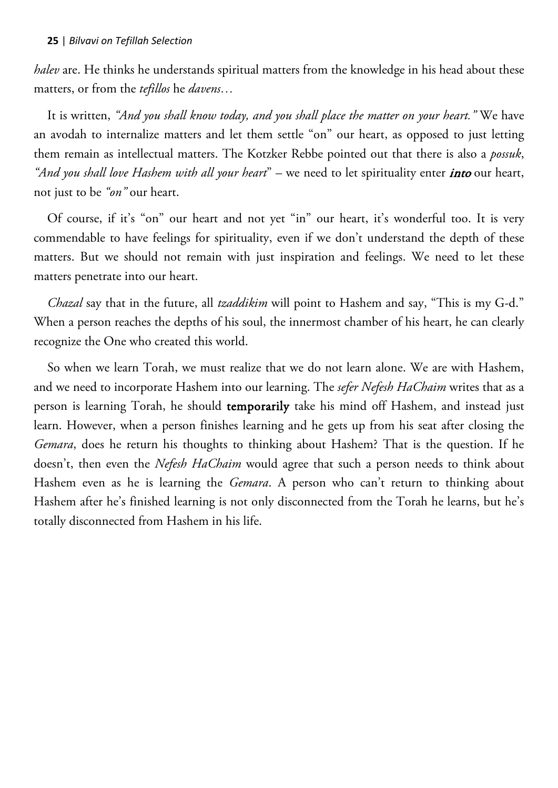*halev* are. He thinks he understands spiritual matters from the knowledge in his head about these matters, or from the *tefillos* he *davens…*

It is written, *"And you shall know today, and you shall place the matter on your heart."* We have an avodah to internalize matters and let them settle "on" our heart, as opposed to just letting them remain as intellectual matters. The Kotzker Rebbe pointed out that there is also a *possuk*, *"And you shall love Hashem with all your heart*" – we need to let spirituality enter into our heart, not just to be *"on"* our heart.

Of course, if it's "on" our heart and not yet "in" our heart, it's wonderful too. It is very commendable to have feelings for spirituality, even if we don't understand the depth of these matters. But we should not remain with just inspiration and feelings. We need to let these matters penetrate into our heart.

*Chazal* say that in the future, all *tzaddikim* will point to Hashem and say, "This is my G-d." When a person reaches the depths of his soul, the innermost chamber of his heart, he can clearly recognize the One who created this world.

So when we learn Torah, we must realize that we do not learn alone. We are with Hashem, and we need to incorporate Hashem into our learning. The *sefer Nefesh HaChaim* writes that as a person is learning Torah, he should temporarily take his mind off Hashem, and instead just learn. However, when a person finishes learning and he gets up from his seat after closing the *Gemara*, does he return his thoughts to thinking about Hashem? That is the question. If he doesn't, then even the *Nefesh HaChaim* would agree that such a person needs to think about Hashem even as he is learning the *Gemara*. A person who can't return to thinking about Hashem after he's finished learning is not only disconnected from the Torah he learns, but he's totally disconnected from Hashem in his life.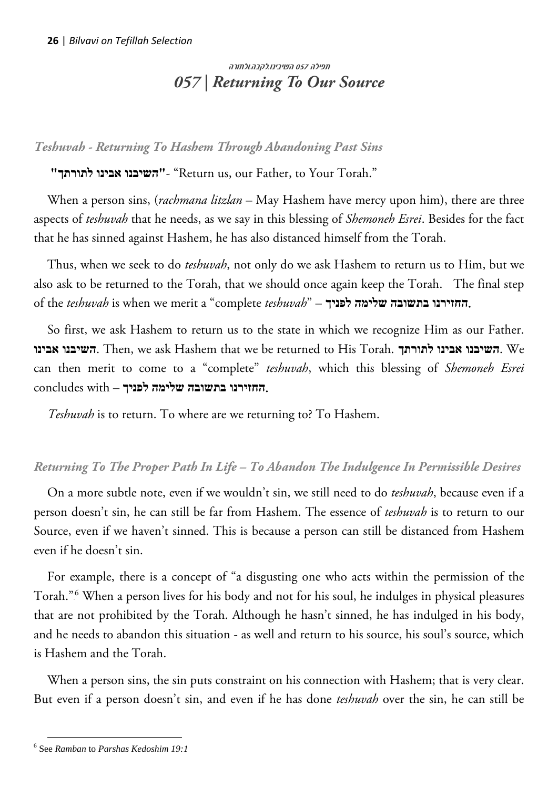# <span id="page-25-0"></span>תפילה 057 השיבינו.לקבה.ולתורה *057 | Returning To Our Source*

*Teshuvah - Returning To Hashem Through Abandoning Past Sins*

**"לתורתך אבינו השיבנו"**-" Return us, our Father, to Your Torah."

When a person sins, (*rachmana litzlan* – May Hashem have mercy upon him), there are three aspects of *teshuvah* that he needs, as we say in this blessing of *Shemoneh Esrei*. Besides for the fact that he has sinned against Hashem, he has also distanced himself from the Torah.

Thus, when we seek to do *teshuvah*, not only do we ask Hashem to return us to Him, but we also ask to be returned to the Torah, that we should once again keep the Torah. The final step of the *teshuvah* is when we merit a "complete *teshuvah*" – **לפניך שלימה בתשובה החזירנו**.

So first, we ask Hashem to return us to the state in which we recognize Him as our Father. **אבינו השיבנו**. Then, we ask Hashem that we be returned to His Torah. **לתורתך אבינו השיבנו**. We can then merit to come to a "complete" *teshuvah*, which this blessing of *Shemoneh Esrei* .**החזירנו בתשובה שלימה לפניך** – with concludes

*Teshuvah* is to return. To where are we returning to? To Hashem.

## *Returning To The Proper Path In Life – To Abandon The Indulgence In Permissible Desires*

On a more subtle note, even if we wouldn't sin, we still need to do *teshuvah*, because even if a person doesn't sin, he can still be far from Hashem. The essence of *teshuvah* is to return to our Source, even if we haven't sinned. This is because a person can still be distanced from Hashem even if he doesn't sin.

For example, there is a concept of "a disgusting one who acts within the permission of the Torah."<sup>6</sup> When a person lives for his body and not for his soul, he indulges in physical pleasures that are not prohibited by the Torah. Although he hasn't sinned, he has indulged in his body, and he needs to abandon this situation - as well and return to his source, his soul's source, which is Hashem and the Torah.

When a person sins, the sin puts constraint on his connection with Hashem; that is very clear. But even if a person doesn't sin, and even if he has done *teshuvah* over the sin, he can still be

 $\overline{a}$ 

<sup>6</sup> See *Ramban* to *Parshas Kedoshim 19:1*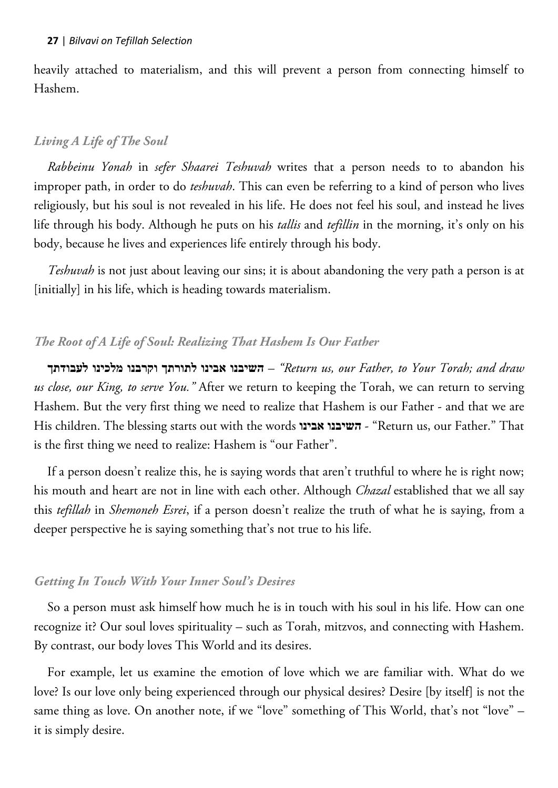heavily attached to materialism, and this will prevent a person from connecting himself to Hashem.

# *Living A Life of The Soul*

*Rabbeinu Yonah* in *sefer Shaarei Teshuvah* writes that a person needs to to abandon his improper path, in order to do *teshuvah*. This can even be referring to a kind of person who lives religiously, but his soul is not revealed in his life. He does not feel his soul, and instead he lives life through his body. Although he puts on his *tallis* and *tefillin* in the morning, it's only on his body, because he lives and experiences life entirely through his body.

*Teshuvah* is not just about leaving our sins; it is about abandoning the very path a person is at [initially] in his life, which is heading towards materialism.

## *The Root of A Life of Soul: Realizing That Hashem Is Our Father*

**לעבודתך מלכינו וקרבנו לתורתך אבינו השיבנו***"* – *Return us, our Father, to Your Torah; and draw us close, our King, to serve You."* After we return to keeping the Torah, we can return to serving Hashem. But the very first thing we need to realize that Hashem is our Father - and that we are His children. The blessing starts out with the words **אבינו השיבנו** -" Return us, our Father." That is the first thing we need to realize: Hashem is "our Father".

If a person doesn't realize this, he is saying words that aren't truthful to where he is right now; his mouth and heart are not in line with each other. Although *Chazal* established that we all say this *tefillah* in *Shemoneh Esrei*, if a person doesn't realize the truth of what he is saying, from a deeper perspective he is saying something that's not true to his life.

## *Getting In Touch With Your Inner Soul's Desires*

So a person must ask himself how much he is in touch with his soul in his life. How can one recognize it? Our soul loves spirituality – such as Torah, mitzvos, and connecting with Hashem. By contrast, our body loves This World and its desires.

For example, let us examine the emotion of love which we are familiar with. What do we love? Is our love only being experienced through our physical desires? Desire [by itself] is not the same thing as love. On another note, if we "love" something of This World, that's not "love" – it is simply desire.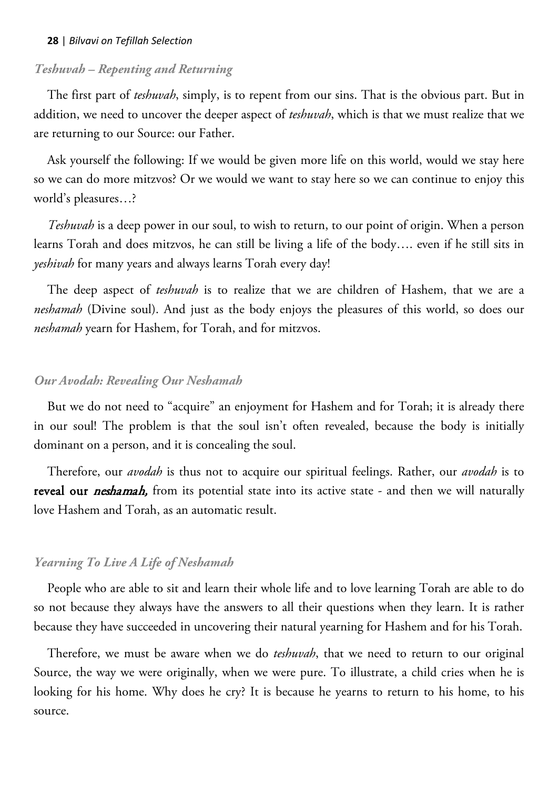## *Teshuvah – Repenting and Returning*

The first part of *teshuvah*, simply, is to repent from our sins. That is the obvious part. But in addition, we need to uncover the deeper aspect of *teshuvah*, which is that we must realize that we are returning to our Source: our Father.

Ask yourself the following: If we would be given more life on this world, would we stay here so we can do more mitzvos? Or we would we want to stay here so we can continue to enjoy this world's pleasures…?

*Teshuvah* is a deep power in our soul, to wish to return, to our point of origin. When a person learns Torah and does mitzvos, he can still be living a life of the body…. even if he still sits in *yeshivah* for many years and always learns Torah every day!

The deep aspect of *teshuvah* is to realize that we are children of Hashem, that we are a *neshamah* (Divine soul). And just as the body enjoys the pleasures of this world, so does our *neshamah* yearn for Hashem, for Torah, and for mitzvos.

## *Our Avodah: Revealing Our Neshamah*

But we do not need to "acquire" an enjoyment for Hashem and for Torah; it is already there in our soul! The problem is that the soul isn't often revealed, because the body is initially dominant on a person, and it is concealing the soul.

Therefore, our *avodah* is thus not to acquire our spiritual feelings. Rather, our *avodah* is to reveal our *neshamah*, from its potential state into its active state - and then we will naturally love Hashem and Torah, as an automatic result.

## *Yearning To Live A Life of Neshamah*

People who are able to sit and learn their whole life and to love learning Torah are able to do so not because they always have the answers to all their questions when they learn. It is rather because they have succeeded in uncovering their natural yearning for Hashem and for his Torah.

Therefore, we must be aware when we do *teshuvah*, that we need to return to our original Source, the way we were originally, when we were pure. To illustrate, a child cries when he is looking for his home. Why does he cry? It is because he yearns to return to his home, to his source.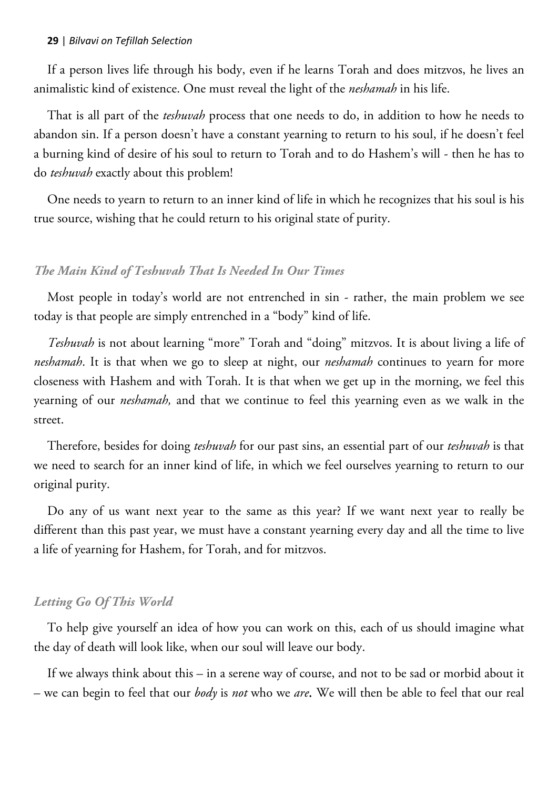If a person lives life through his body, even if he learns Torah and does mitzvos, he lives an animalistic kind of existence. One must reveal the light of the *neshamah* in his life.

That is all part of the *teshuvah* process that one needs to do, in addition to how he needs to abandon sin. If a person doesn't have a constant yearning to return to his soul, if he doesn't feel a burning kind of desire of his soul to return to Torah and to do Hashem's will - then he has to do *teshuvah* exactly about this problem!

One needs to yearn to return to an inner kind of life in which he recognizes that his soul is his true source, wishing that he could return to his original state of purity.

#### *The Main Kind of Teshuvah That Is Needed In Our Times*

Most people in today's world are not entrenched in sin - rather, the main problem we see today is that people are simply entrenched in a "body" kind of life.

*Teshuvah* is not about learning "more" Torah and "doing" mitzvos. It is about living a life of *neshamah*. It is that when we go to sleep at night, our *neshamah* continues to yearn for more closeness with Hashem and with Torah. It is that when we get up in the morning, we feel this yearning of our *neshamah,* and that we continue to feel this yearning even as we walk in the street.

Therefore, besides for doing *teshuvah* for our past sins, an essential part of our *teshuvah* is that we need to search for an inner kind of life, in which we feel ourselves yearning to return to our original purity.

Do any of us want next year to the same as this year? If we want next year to really be different than this past year, we must have a constant yearning every day and all the time to live a life of yearning for Hashem, for Torah, and for mitzvos.

## *Letting Go Of This World*

To help give yourself an idea of how you can work on this, each of us should imagine what the day of death will look like, when our soul will leave our body.

If we always think about this – in a serene way of course, and not to be sad or morbid about it – we can begin to feel that our *body* is *not* who we *are*. We will then be able to feel that our real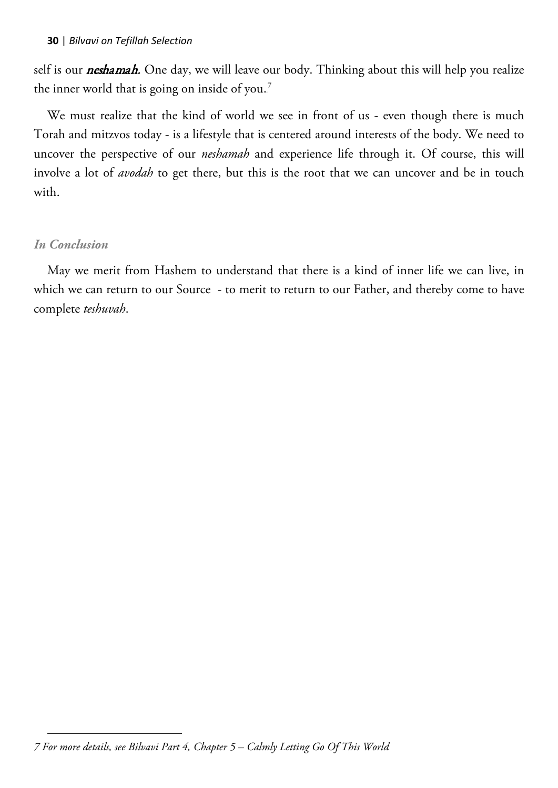self is our *neshamah*. One day, we will leave our body. Thinking about this will help you realize the inner world that is going on inside of you. $^7$ 

We must realize that the kind of world we see in front of us - even though there is much Torah and mitzvos today - is a lifestyle that is centered around interests of the body. We need to uncover the perspective of our *neshamah* and experience life through it. Of course, this will involve a lot of *avodah* to get there, but this is the root that we can uncover and be in touch with.

## *In Conclusion*

May we merit from Hashem to understand that there is a kind of inner life we can live, in which we can return to our Source - to merit to return to our Father, and thereby come to have complete *teshuvah*.

 $\overline{a}$ *7 For more details, see Bilvavi Part 4, Chapter 5 – Calmly Letting Go Of This World*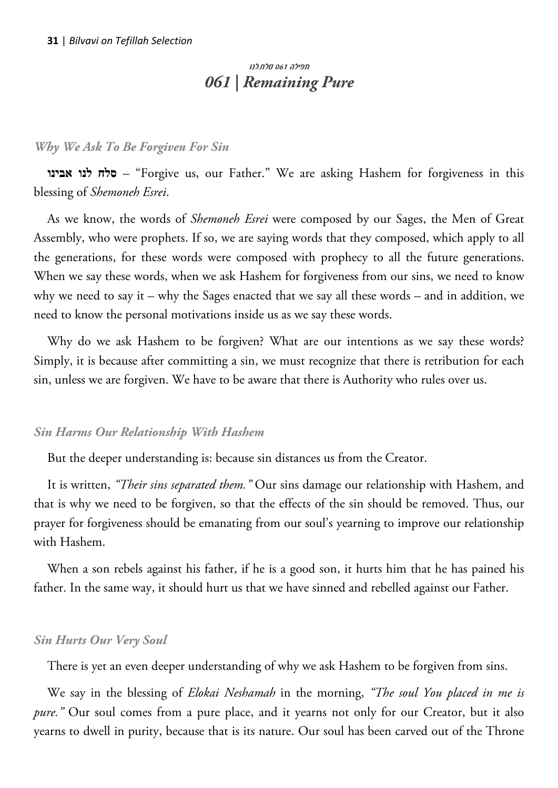## <span id="page-30-0"></span> תפילה 061 סלח.לנו *061 | Remaining Pure*

#### *Why We Ask To Be Forgiven For Sin*

**אבינו לנו סלח**" – Forgive us, our Father." We are asking Hashem for forgiveness in this blessing of *Shemoneh Esrei*.

As we know, the words of *Shemoneh Esrei* were composed by our Sages, the Men of Great Assembly, who were prophets. If so, we are saying words that they composed, which apply to all the generations, for these words were composed with prophecy to all the future generations. When we say these words, when we ask Hashem for forgiveness from our sins, we need to know why we need to say it – why the Sages enacted that we say all these words – and in addition, we need to know the personal motivations inside us as we say these words.

Why do we ask Hashem to be forgiven? What are our intentions as we say these words? Simply, it is because after committing a sin, we must recognize that there is retribution for each sin, unless we are forgiven. We have to be aware that there is Authority who rules over us.

#### *Sin Harms Our Relationship With Hashem*

But the deeper understanding is: because sin distances us from the Creator.

It is written, *"Their sins separated them."* Our sins damage our relationship with Hashem, and that is why we need to be forgiven, so that the effects of the sin should be removed. Thus, our prayer for forgiveness should be emanating from our soul's yearning to improve our relationship with Hashem.

When a son rebels against his father, if he is a good son, it hurts him that he has pained his father. In the same way, it should hurt us that we have sinned and rebelled against our Father.

#### *Sin Hurts Our Very Soul*

There is yet an even deeper understanding of why we ask Hashem to be forgiven from sins.

We say in the blessing of *Elokai Neshamah* in the morning, *"The soul You placed in me is pure.*" Our soul comes from a pure place, and it yearns not only for our Creator, but it also yearns to dwell in purity, because that is its nature. Our soul has been carved out of the Throne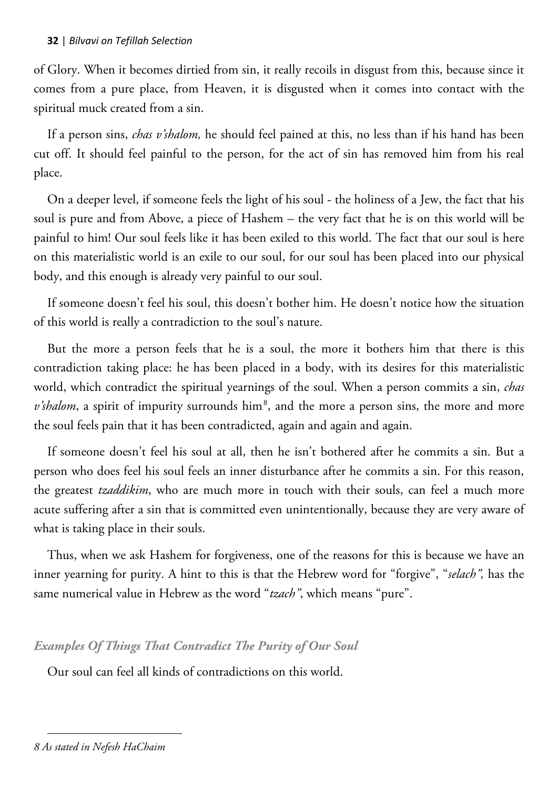of Glory. When it becomes dirtied from sin, it really recoils in disgust from this, because since it comes from a pure place, from Heaven, it is disgusted when it comes into contact with the spiritual muck created from a sin.

If a person sins, *chas v'shalom,* he should feel pained at this, no less than if his hand has been cut off. It should feel painful to the person, for the act of sin has removed him from his real place.

On a deeper level, if someone feels the light of his soul - the holiness of a Jew, the fact that his soul is pure and from Above, a piece of Hashem – the very fact that he is on this world will be painful to him! Our soul feels like it has been exiled to this world. The fact that our soul is here on this materialistic world is an exile to our soul, for our soul has been placed into our physical body, and this enough is already very painful to our soul.

If someone doesn't feel his soul, this doesn't bother him. He doesn't notice how the situation of this world is really a contradiction to the soul's nature.

But the more a person feels that he is a soul, the more it bothers him that there is this contradiction taking place: he has been placed in a body, with its desires for this materialistic world, which contradict the spiritual yearnings of the soul. When a person commits a sin, *chas*   $v's$ *halom*, a spirit of impurity surrounds him<sup>8</sup>, and the more a person sins, the more and more the soul feels pain that it has been contradicted, again and again and again.

If someone doesn't feel his soul at all, then he isn't bothered after he commits a sin. But a person who does feel his soul feels an inner disturbance after he commits a sin. For this reason, the greatest *tzaddikim*, who are much more in touch with their souls, can feel a much more acute suffering after a sin that is committed even unintentionally, because they are very aware of what is taking place in their souls.

Thus, when we ask Hashem for forgiveness, one of the reasons for this is because we have an inner yearning for purity. A hint to this is that the Hebrew word for "forgive", "*selach",* has the same numerical value in Hebrew as the word "*tzach"*, which means "pure".

## *Examples Of Things That Contradict The Purity of Our Soul*

Our soul can feel all kinds of contradictions on this world.

 $\overline{a}$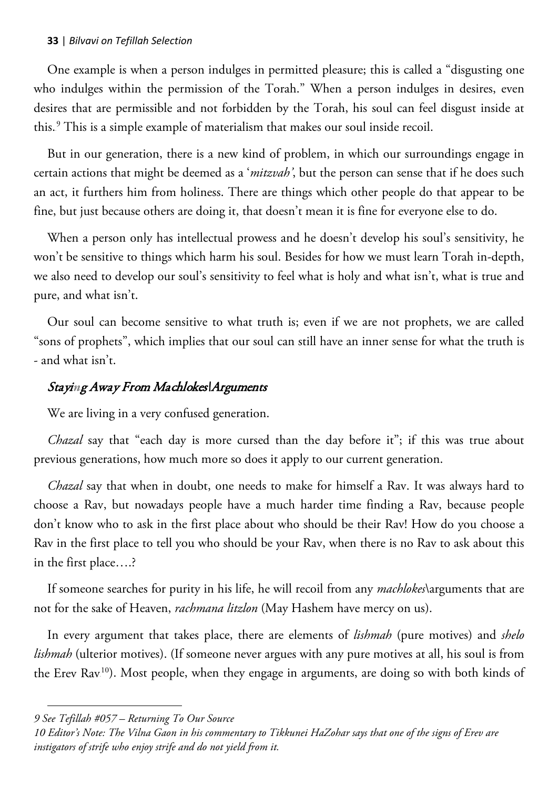One example is when a person indulges in permitted pleasure; this is called a "disgusting one who indulges within the permission of the Torah." When a person indulges in desires, even desires that are permissible and not forbidden by the Torah, his soul can feel disgust inside at this.<sup>9</sup> This is a simple example of materialism that makes our soul inside recoil.

But in our generation, there is a new kind of problem, in which our surroundings engage in certain actions that might be deemed as a '*mitzvah'*, but the person can sense that if he does such an act, it furthers him from holiness. There are things which other people do that appear to be fine, but just because others are doing it, that doesn't mean it is fine for everyone else to do.

When a person only has intellectual prowess and he doesn't develop his soul's sensitivity, he won't be sensitive to things which harm his soul. Besides for how we must learn Torah in-depth, we also need to develop our soul's sensitivity to feel what is holy and what isn't, what is true and pure, and what isn't.

Our soul can become sensitive to what truth is; even if we are not prophets, we are called "sons of prophets", which implies that our soul can still have an inner sense for what the truth is - and what isn't.

### Stayi*n*g Away From Machlokes\Arguments

We are living in a very confused generation.

*Chazal* say that "each day is more cursed than the day before it"; if this was true about previous generations, how much more so does it apply to our current generation.

*Chazal* say that when in doubt, one needs to make for himself a Rav. It was always hard to choose a Rav, but nowadays people have a much harder time finding a Rav, because people don't know who to ask in the first place about who should be their Rav! How do you choose a Rav in the first place to tell you who should be your Rav, when there is no Rav to ask about this in the first place….?

If someone searches for purity in his life, he will recoil from any *machlokes*\arguments that are not for the sake of Heaven, *rachmana litzlon* (May Hashem have mercy on us).

In every argument that takes place, there are elements of *lishmah* (pure motives) and *shelo lishmah* (ulterior motives). (If someone never argues with any pure motives at all, his soul is from the Erev Rav<sup>10</sup>). Most people, when they engage in arguments, are doing so with both kinds of

 $\overline{a}$ 

*<sup>9</sup> See Tefillah #057 – Returning To Our Source*

*<sup>10</sup> Editor's Note: The Vilna Gaon in his commentary to Tikkunei HaZohar says that one of the signs of Erev are instigators of strife who enjoy strife and do not yield from it.*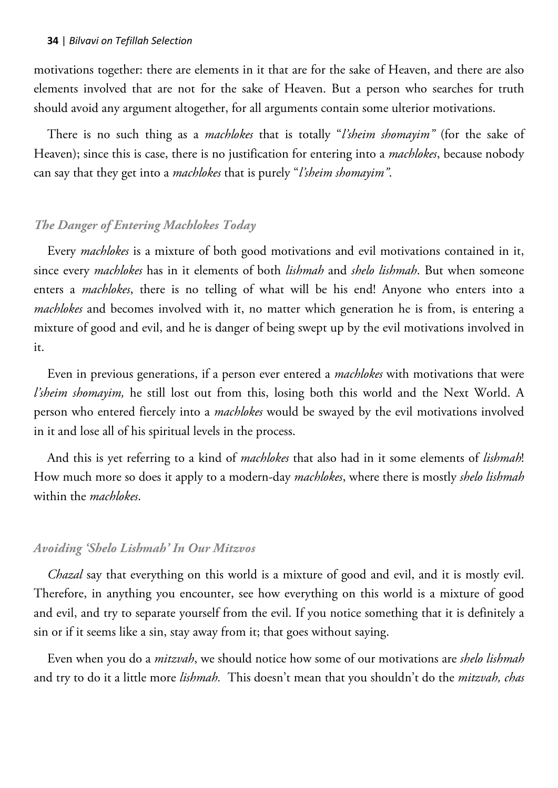motivations together: there are elements in it that are for the sake of Heaven, and there are also elements involved that are not for the sake of Heaven. But a person who searches for truth should avoid any argument altogether, for all arguments contain some ulterior motivations.

There is no such thing as a *machlokes* that is totally "*l'sheim shomayim"* (for the sake of Heaven); since this is case, there is no justification for entering into a *machlokes*, because nobody can say that they get into a *machlokes* that is purely "*l'sheim shomayim"*.

### *The Danger of Entering Machlokes Today*

Every *machlokes* is a mixture of both good motivations and evil motivations contained in it, since every *machlokes* has in it elements of both *lishmah* and *shelo lishmah*. But when someone enters a *machlokes*, there is no telling of what will be his end! Anyone who enters into a *machlokes* and becomes involved with it, no matter which generation he is from, is entering a mixture of good and evil, and he is danger of being swept up by the evil motivations involved in it.

Even in previous generations, if a person ever entered a *machlokes* with motivations that were *l'sheim shomayim,* he still lost out from this, losing both this world and the Next World. A person who entered fiercely into a *machlokes* would be swayed by the evil motivations involved in it and lose all of his spiritual levels in the process.

And this is yet referring to a kind of *machlokes* that also had in it some elements of *lishmah*! How much more so does it apply to a modern-day *machlokes*, where there is mostly *shelo lishmah* within the *machlokes*.

#### *Avoiding 'Shelo Lishmah' In Our Mitzvos*

*Chazal* say that everything on this world is a mixture of good and evil, and it is mostly evil. Therefore, in anything you encounter, see how everything on this world is a mixture of good and evil, and try to separate yourself from the evil. If you notice something that it is definitely a sin or if it seems like a sin, stay away from it; that goes without saying.

Even when you do a *mitzvah*, we should notice how some of our motivations are *shelo lishmah* and try to do it a little more *lishmah.* This doesn't mean that you shouldn't do the *mitzvah, chas*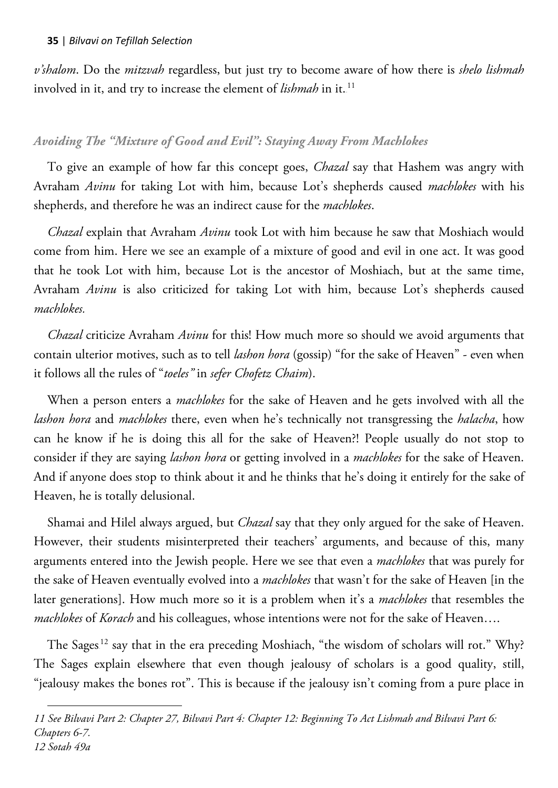$\overline{a}$ 

*v'shalom*. Do the *mitzvah* regardless, but just try to become aware of how there is *shelo lishmah* involved in it, and try to increase the element of *lishmah* in it.<sup>11</sup>

## *Avoiding The "Mixture of Good and Evil": Staying Away From Machlokes*

To give an example of how far this concept goes, *Chazal* say that Hashem was angry with Avraham *Avinu* for taking Lot with him, because Lot's shepherds caused *machlokes* with his shepherds, and therefore he was an indirect cause for the *machlokes*.

*Chazal* explain that Avraham *Avinu* took Lot with him because he saw that Moshiach would come from him. Here we see an example of a mixture of good and evil in one act. It was good that he took Lot with him, because Lot is the ancestor of Moshiach, but at the same time, Avraham *Avinu* is also criticized for taking Lot with him, because Lot's shepherds caused *machlokes.* 

*Chazal* criticize Avraham *Avinu* for this! How much more so should we avoid arguments that contain ulterior motives, such as to tell *lashon hora* (gossip) "for the sake of Heaven" - even when it follows all the rules of "*toeles"* in *sefer Chofetz Chaim*).

When a person enters a *machlokes* for the sake of Heaven and he gets involved with all the *lashon hora* and *machlokes* there, even when he's technically not transgressing the *halacha*, how can he know if he is doing this all for the sake of Heaven?! People usually do not stop to consider if they are saying *lashon hora* or getting involved in a *machlokes* for the sake of Heaven. And if anyone does stop to think about it and he thinks that he's doing it entirely for the sake of Heaven, he is totally delusional.

Shamai and Hilel always argued, but *Chazal* say that they only argued for the sake of Heaven. However, their students misinterpreted their teachers' arguments, and because of this, many arguments entered into the Jewish people. Here we see that even a *machlokes* that was purely for the sake of Heaven eventually evolved into a *machlokes* that wasn't for the sake of Heaven [in the later generations]. How much more so it is a problem when it's a *machlokes* that resembles the *machlokes* of *Korach* and his colleagues, whose intentions were not for the sake of Heaven….

The Sages.<sup>12</sup> say that in the era preceding Moshiach, "the wisdom of scholars will rot." Why? The Sages explain elsewhere that even though jealousy of scholars is a good quality, still, "jealousy makes the bones rot". This is because if the jealousy isn't coming from a pure place in

*11 See Bilvavi Part 2: Chapter 27, Bilvavi Part 4: Chapter 12: Beginning To Act Lishmah and Bilvavi Part 6: Chapters 6-7. 12 Sotah 49a*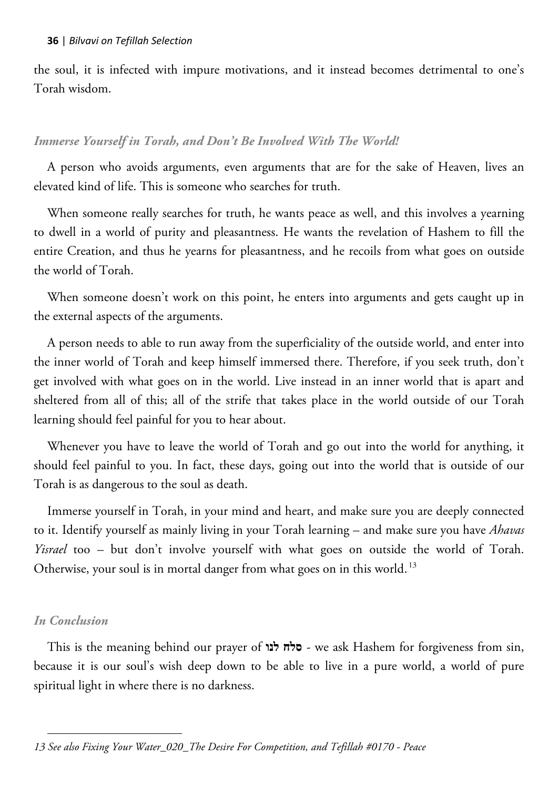the soul, it is infected with impure motivations, and it instead becomes detrimental to one's Torah wisdom.

## *Immerse Yourself in Torah, and Don't Be Involved With The World!*

A person who avoids arguments, even arguments that are for the sake of Heaven, lives an elevated kind of life. This is someone who searches for truth.

When someone really searches for truth, he wants peace as well, and this involves a yearning to dwell in a world of purity and pleasantness. He wants the revelation of Hashem to fill the entire Creation, and thus he yearns for pleasantness, and he recoils from what goes on outside the world of Torah.

When someone doesn't work on this point, he enters into arguments and gets caught up in the external aspects of the arguments.

A person needs to able to run away from the superficiality of the outside world, and enter into the inner world of Torah and keep himself immersed there. Therefore, if you seek truth, don't get involved with what goes on in the world. Live instead in an inner world that is apart and sheltered from all of this; all of the strife that takes place in the world outside of our Torah learning should feel painful for you to hear about.

Whenever you have to leave the world of Torah and go out into the world for anything, it should feel painful to you. In fact, these days, going out into the world that is outside of our Torah is as dangerous to the soul as death.

Immerse yourself in Torah, in your mind and heart, and make sure you are deeply connected to it. Identify yourself as mainly living in your Torah learning – and make sure you have *Ahavas Yisrael* too – but don't involve yourself with what goes on outside the world of Torah. Otherwise, your soul is in mortal danger from what goes on in this world.<sup>13</sup>

## *In Conclusion*

 $\overline{a}$ 

This is the meaning behind our prayer of **לנו סלח** - we ask Hashem for forgiveness from sin, because it is our soul's wish deep down to be able to live in a pure world, a world of pure spiritual light in where there is no darkness.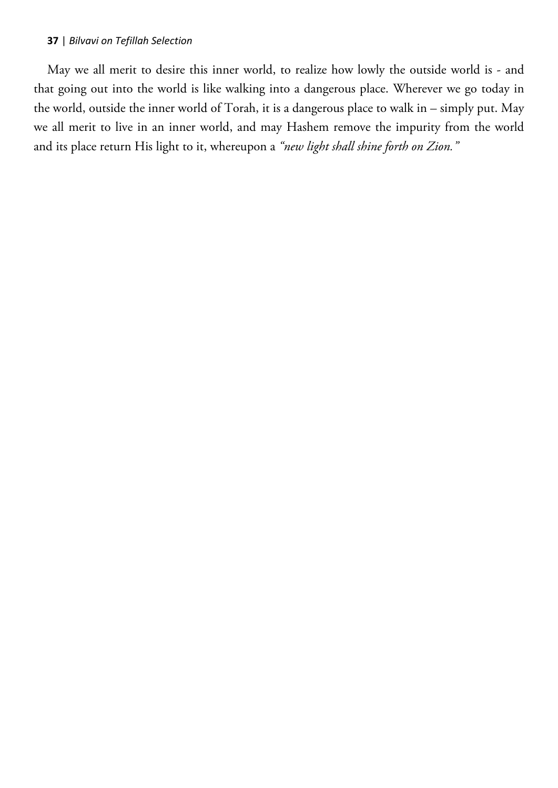May we all merit to desire this inner world, to realize how lowly the outside world is - and that going out into the world is like walking into a dangerous place. Wherever we go today in the world, outside the inner world of Torah, it is a dangerous place to walk in – simply put. May we all merit to live in an inner world, and may Hashem remove the impurity from the world and its place return His light to it, whereupon a *"new light shall shine forth on Zion."*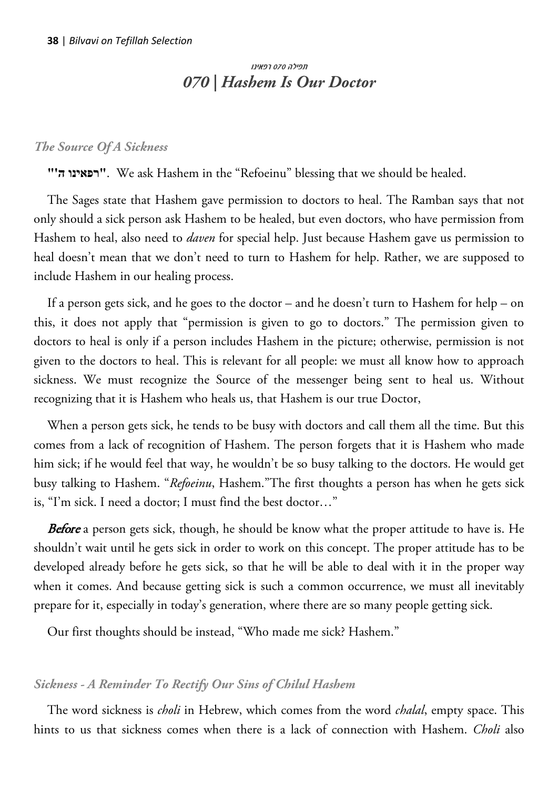# תפילה 070 רפאינו *070 | Hashem Is Our Doctor*

### *The Source Of A Sickness*

**"'ה רפאינו"**. We ask Hashem in the "Refoeinu" blessing that we should be healed.

The Sages state that Hashem gave permission to doctors to heal. The Ramban says that not only should a sick person ask Hashem to be healed, but even doctors, who have permission from Hashem to heal, also need to *daven* for special help. Just because Hashem gave us permission to heal doesn't mean that we don't need to turn to Hashem for help. Rather, we are supposed to include Hashem in our healing process.

If a person gets sick, and he goes to the doctor – and he doesn't turn to Hashem for help – on this, it does not apply that "permission is given to go to doctors." The permission given to doctors to heal is only if a person includes Hashem in the picture; otherwise, permission is not given to the doctors to heal. This is relevant for all people: we must all know how to approach sickness. We must recognize the Source of the messenger being sent to heal us. Without recognizing that it is Hashem who heals us, that Hashem is our true Doctor,

When a person gets sick, he tends to be busy with doctors and call them all the time. But this comes from a lack of recognition of Hashem. The person forgets that it is Hashem who made him sick; if he would feel that way, he wouldn't be so busy talking to the doctors. He would get busy talking to Hashem. "*Refoeinu*, Hashem."The first thoughts a person has when he gets sick is, "I'm sick. I need a doctor; I must find the best doctor…"

**Before** a person gets sick, though, he should be know what the proper attitude to have is. He shouldn't wait until he gets sick in order to work on this concept. The proper attitude has to be developed already before he gets sick, so that he will be able to deal with it in the proper way when it comes. And because getting sick is such a common occurrence, we must all inevitably prepare for it, especially in today's generation, where there are so many people getting sick.

Our first thoughts should be instead, "Who made me sick? Hashem."

### *Sickness - A Reminder To Rectify Our Sins of Chilul Hashem*

The word sickness is *choli* in Hebrew, which comes from the word *chalal*, empty space. This hints to us that sickness comes when there is a lack of connection with Hashem. *Choli* also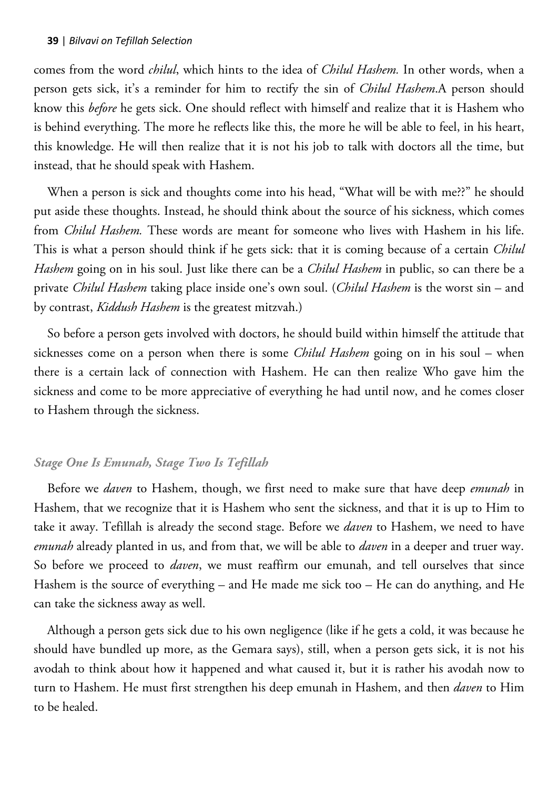comes from the word *chilul*, which hints to the idea of *Chilul Hashem.* In other words, when a person gets sick, it's a reminder for him to rectify the sin of *Chilul Hashem*.A person should know this *before* he gets sick. One should reflect with himself and realize that it is Hashem who is behind everything. The more he reflects like this, the more he will be able to feel, in his heart, this knowledge. He will then realize that it is not his job to talk with doctors all the time, but instead, that he should speak with Hashem.

When a person is sick and thoughts come into his head, "What will be with me??" he should put aside these thoughts. Instead, he should think about the source of his sickness, which comes from *Chilul Hashem.* These words are meant for someone who lives with Hashem in his life. This is what a person should think if he gets sick: that it is coming because of a certain *Chilul Hashem* going on in his soul. Just like there can be a *Chilul Hashem* in public, so can there be a private *Chilul Hashem* taking place inside one's own soul. (*Chilul Hashem* is the worst sin – and by contrast, *Kiddush Hashem* is the greatest mitzvah.)

So before a person gets involved with doctors, he should build within himself the attitude that sicknesses come on a person when there is some *Chilul Hashem* going on in his soul – when there is a certain lack of connection with Hashem. He can then realize Who gave him the sickness and come to be more appreciative of everything he had until now, and he comes closer to Hashem through the sickness.

## *Stage One Is Emunah, Stage Two Is Tefillah*

Before we *daven* to Hashem, though, we first need to make sure that have deep *emunah* in Hashem, that we recognize that it is Hashem who sent the sickness, and that it is up to Him to take it away. Tefillah is already the second stage. Before we *daven* to Hashem, we need to have *emunah* already planted in us, and from that, we will be able to *daven* in a deeper and truer way. So before we proceed to *daven*, we must reaffirm our emunah, and tell ourselves that since Hashem is the source of everything – and He made me sick too – He can do anything, and He can take the sickness away as well.

Although a person gets sick due to his own negligence (like if he gets a cold, it was because he should have bundled up more, as the Gemara says), still, when a person gets sick, it is not his avodah to think about how it happened and what caused it, but it is rather his avodah now to turn to Hashem. He must first strengthen his deep emunah in Hashem, and then *daven* to Him to be healed.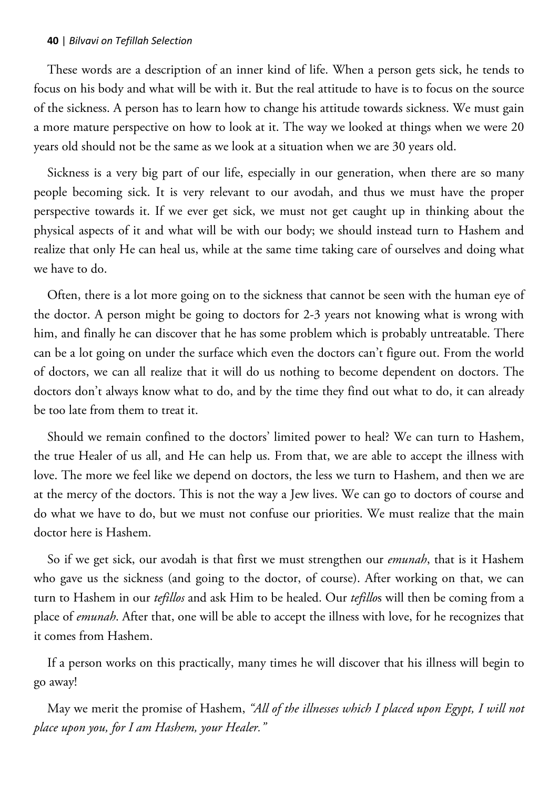These words are a description of an inner kind of life. When a person gets sick, he tends to focus on his body and what will be with it. But the real attitude to have is to focus on the source of the sickness. A person has to learn how to change his attitude towards sickness. We must gain a more mature perspective on how to look at it. The way we looked at things when we were 20 years old should not be the same as we look at a situation when we are 30 years old.

Sickness is a very big part of our life, especially in our generation, when there are so many people becoming sick. It is very relevant to our avodah, and thus we must have the proper perspective towards it. If we ever get sick, we must not get caught up in thinking about the physical aspects of it and what will be with our body; we should instead turn to Hashem and realize that only He can heal us, while at the same time taking care of ourselves and doing what we have to do.

Often, there is a lot more going on to the sickness that cannot be seen with the human eye of the doctor. A person might be going to doctors for 2-3 years not knowing what is wrong with him, and finally he can discover that he has some problem which is probably untreatable. There can be a lot going on under the surface which even the doctors can't figure out. From the world of doctors, we can all realize that it will do us nothing to become dependent on doctors. The doctors don't always know what to do, and by the time they find out what to do, it can already be too late from them to treat it.

Should we remain confined to the doctors' limited power to heal? We can turn to Hashem, the true Healer of us all, and He can help us. From that, we are able to accept the illness with love. The more we feel like we depend on doctors, the less we turn to Hashem, and then we are at the mercy of the doctors. This is not the way a Jew lives. We can go to doctors of course and do what we have to do, but we must not confuse our priorities. We must realize that the main doctor here is Hashem.

So if we get sick, our avodah is that first we must strengthen our *emunah*, that is it Hashem who gave us the sickness (and going to the doctor, of course). After working on that, we can turn to Hashem in our *tefillos* and ask Him to be healed. Our *tefillo*s will then be coming from a place of *emunah*. After that, one will be able to accept the illness with love, for he recognizes that it comes from Hashem.

If a person works on this practically, many times he will discover that his illness will begin to go away!

May we merit the promise of Hashem, *"All of the illnesses which I placed upon Egypt, I will not place upon you, for I am Hashem, your Healer."*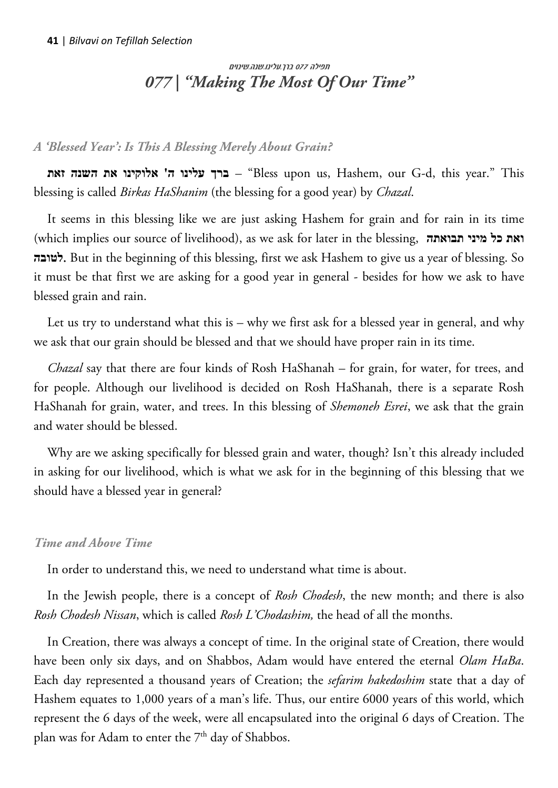# תפילה 077 ברך.עלינו.שנה.שינוים *077 | "Making The Most Of Our Time"*

## *A 'Blessed Year': Is This A Blessing Merely About Grain?*

**זאת השנה את אלוקינו' ה עלינו ברך**" – Bless upon us, Hashem, our G-d, this year." This blessing is called *Birkas HaShanim* (the blessing for a good year) by *Chazal*.

It seems in this blessing like we are just asking Hashem for grain and for rain in its time (which implies our source of livelihood), as we ask for later in the blessing, **תבואתה מיני כל ואת לטובה**. But in the beginning of this blessing, first we ask Hashem to give us a year of blessing. So it must be that first we are asking for a good year in general - besides for how we ask to have blessed grain and rain.

Let us try to understand what this is – why we first ask for a blessed year in general, and why we ask that our grain should be blessed and that we should have proper rain in its time.

*Chazal* say that there are four kinds of Rosh HaShanah – for grain, for water, for trees, and for people. Although our livelihood is decided on Rosh HaShanah, there is a separate Rosh HaShanah for grain, water, and trees. In this blessing of *Shemoneh Esrei*, we ask that the grain and water should be blessed.

Why are we asking specifically for blessed grain and water, though? Isn't this already included in asking for our livelihood, which is what we ask for in the beginning of this blessing that we should have a blessed year in general?

## *Time and Above Time*

In order to understand this, we need to understand what time is about.

In the Jewish people, there is a concept of *Rosh Chodesh*, the new month; and there is also *Rosh Chodesh Nissan*, which is called *Rosh L'Chodashim,* the head of all the months.

In Creation, there was always a concept of time. In the original state of Creation, there would have been only six days, and on Shabbos, Adam would have entered the eternal *Olam HaBa*. Each day represented a thousand years of Creation; the *sefarim hakedoshim* state that a day of Hashem equates to 1,000 years of a man's life. Thus, our entire 6000 years of this world, which represent the 6 days of the week, were all encapsulated into the original 6 days of Creation. The plan was for Adam to enter the 7<sup>th</sup> day of Shabbos.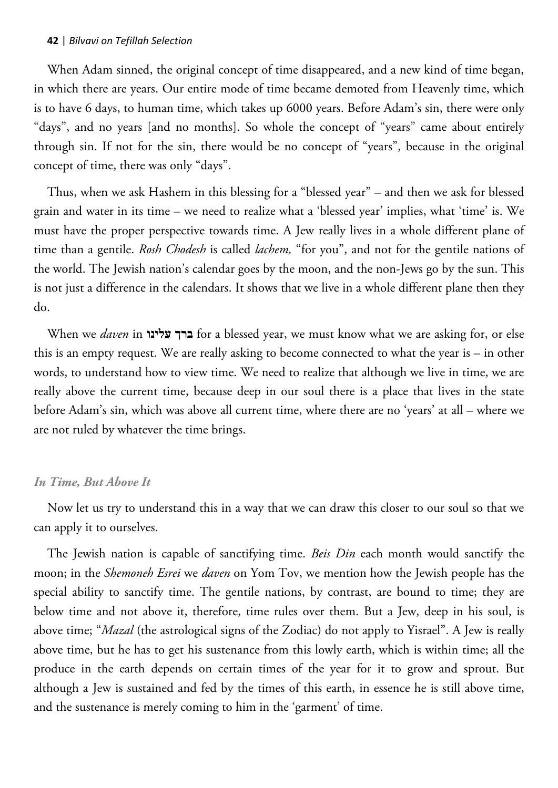When Adam sinned, the original concept of time disappeared, and a new kind of time began, in which there are years. Our entire mode of time became demoted from Heavenly time, which is to have 6 days, to human time, which takes up 6000 years. Before Adam's sin, there were only "days", and no years [and no months]. So whole the concept of "years" came about entirely through sin. If not for the sin, there would be no concept of "years", because in the original concept of time, there was only "days".

Thus, when we ask Hashem in this blessing for a "blessed year" – and then we ask for blessed grain and water in its time – we need to realize what a 'blessed year' implies, what 'time' is. We must have the proper perspective towards time. A Jew really lives in a whole different plane of time than a gentile. *Rosh Chodesh* is called *lachem,* "for you", and not for the gentile nations of the world. The Jewish nation's calendar goes by the moon, and the non-Jews go by the sun. This is not just a difference in the calendars. It shows that we live in a whole different plane then they do.

When we *daven* in **עלינו ברך** for a blessed year, we must know what we are asking for, or else this is an empty request. We are really asking to become connected to what the year is – in other words, to understand how to view time. We need to realize that although we live in time, we are really above the current time, because deep in our soul there is a place that lives in the state before Adam's sin, which was above all current time, where there are no 'years' at all – where we are not ruled by whatever the time brings.

#### *In Time, But Above It*

Now let us try to understand this in a way that we can draw this closer to our soul so that we can apply it to ourselves.

The Jewish nation is capable of sanctifying time. *Beis Din* each month would sanctify the moon; in the *Shemoneh Esrei* we *daven* on Yom Tov, we mention how the Jewish people has the special ability to sanctify time. The gentile nations, by contrast, are bound to time; they are below time and not above it, therefore, time rules over them. But a Jew, deep in his soul, is above time; "*Mazal* (the astrological signs of the Zodiac) do not apply to Yisrael". A Jew is really above time, but he has to get his sustenance from this lowly earth, which is within time; all the produce in the earth depends on certain times of the year for it to grow and sprout. But although a Jew is sustained and fed by the times of this earth, in essence he is still above time, and the sustenance is merely coming to him in the 'garment' of time.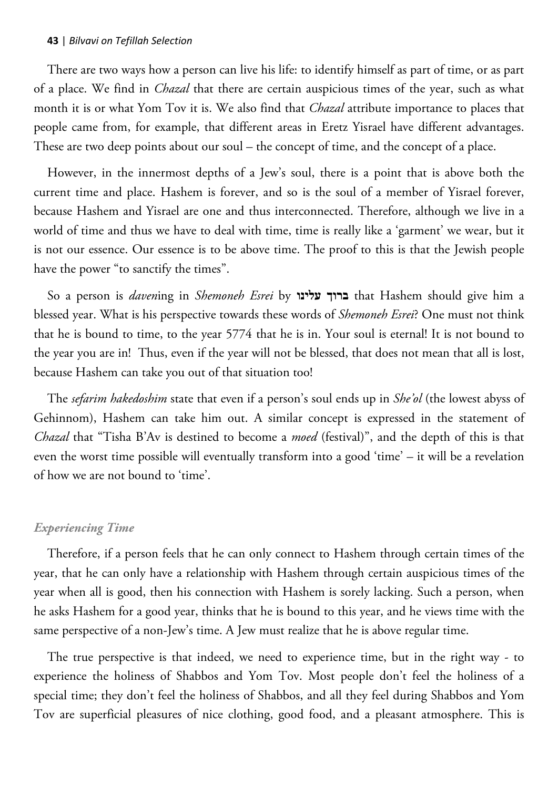There are two ways how a person can live his life: to identify himself as part of time, or as part of a place. We find in *Chazal* that there are certain auspicious times of the year, such as what month it is or what Yom Tov it is. We also find that *Chazal* attribute importance to places that people came from, for example, that different areas in Eretz Yisrael have different advantages. These are two deep points about our soul – the concept of time, and the concept of a place.

However, in the innermost depths of a Jew's soul, there is a point that is above both the current time and place. Hashem is forever, and so is the soul of a member of Yisrael forever, because Hashem and Yisrael are one and thus interconnected. Therefore, although we live in a world of time and thus we have to deal with time, time is really like a 'garment' we wear, but it is not our essence. Our essence is to be above time. The proof to this is that the Jewish people have the power "to sanctify the times".

So a person is *daven*ing in *Shemoneh Esrei* by **עלינו ברוך** that Hashem should give him a blessed year. What is his perspective towards these words of *Shemoneh Esrei*? One must not think that he is bound to time, to the year 5774 that he is in. Your soul is eternal! It is not bound to the year you are in! Thus, even if the year will not be blessed, that does not mean that all is lost, because Hashem can take you out of that situation too!

The *sefarim hakedoshim* state that even if a person's soul ends up in *She'ol* (the lowest abyss of Gehinnom), Hashem can take him out. A similar concept is expressed in the statement of *Chazal* that "Tisha B'Av is destined to become a *moed* (festival)", and the depth of this is that even the worst time possible will eventually transform into a good 'time' – it will be a revelation of how we are not bound to 'time'.

#### *Experiencing Time*

Therefore, if a person feels that he can only connect to Hashem through certain times of the year, that he can only have a relationship with Hashem through certain auspicious times of the year when all is good, then his connection with Hashem is sorely lacking. Such a person, when he asks Hashem for a good year, thinks that he is bound to this year, and he views time with the same perspective of a non-Jew's time. A Jew must realize that he is above regular time.

The true perspective is that indeed, we need to experience time, but in the right way - to experience the holiness of Shabbos and Yom Tov. Most people don't feel the holiness of a special time; they don't feel the holiness of Shabbos, and all they feel during Shabbos and Yom Tov are superficial pleasures of nice clothing, good food, and a pleasant atmosphere. This is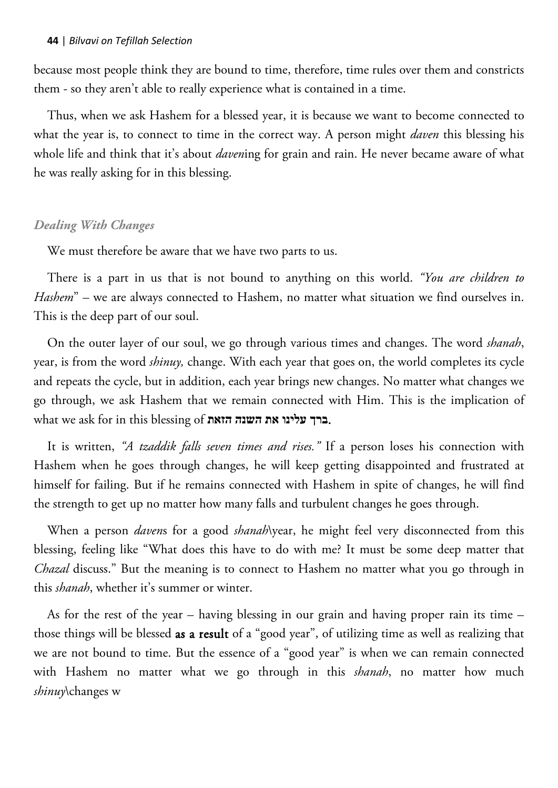because most people think they are bound to time, therefore, time rules over them and constricts them - so they aren't able to really experience what is contained in a time.

Thus, when we ask Hashem for a blessed year, it is because we want to become connected to what the year is, to connect to time in the correct way. A person might *daven* this blessing his whole life and think that it's about *daven*ing for grain and rain. He never became aware of what he was really asking for in this blessing.

### *Dealing With Changes*

We must therefore be aware that we have two parts to us.

There is a part in us that is not bound to anything on this world. *"You are children to Hashem*" – we are always connected to Hashem, no matter what situation we find ourselves in. This is the deep part of our soul.

On the outer layer of our soul, we go through various times and changes. The word *shanah*, year, is from the word *shinuy,* change. With each year that goes on, the world completes its cycle and repeats the cycle, but in addition, each year brings new changes. No matter what changes we go through, we ask Hashem that we remain connected with Him. This is the implication of what we ask for in this blessing of **הזאת השנה את עלינו ברך**.

It is written, *"A tzaddik falls seven times and rises."* If a person loses his connection with Hashem when he goes through changes, he will keep getting disappointed and frustrated at himself for failing. But if he remains connected with Hashem in spite of changes, he will find the strength to get up no matter how many falls and turbulent changes he goes through.

When a person *daven*s for a good *shanah*\year, he might feel very disconnected from this blessing, feeling like "What does this have to do with me? It must be some deep matter that *Chazal* discuss." But the meaning is to connect to Hashem no matter what you go through in this *shanah*, whether it's summer or winter.

As for the rest of the year – having blessing in our grain and having proper rain its time – those things will be blessed as a result of a "good year", of utilizing time as well as realizing that we are not bound to time. But the essence of a "good year" is when we can remain connected with Hashem no matter what we go through in this *shanah*, no matter how much *shinuy*\changes w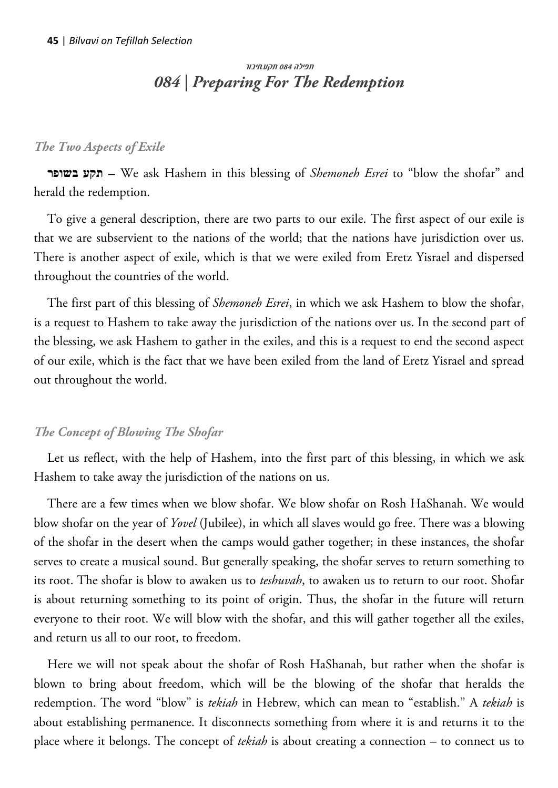# תפילה 084 תקע.חיבור *084 | Preparing For The Redemption*

### *The Two Aspects of Exile*

**בשופר תקע** – We ask Hashem in this blessing of *Shemoneh Esrei* to "blow the shofar" and herald the redemption.

To give a general description, there are two parts to our exile. The first aspect of our exile is that we are subservient to the nations of the world; that the nations have jurisdiction over us. There is another aspect of exile, which is that we were exiled from Eretz Yisrael and dispersed throughout the countries of the world.

The first part of this blessing of *Shemoneh Esrei*, in which we ask Hashem to blow the shofar, is a request to Hashem to take away the jurisdiction of the nations over us. In the second part of the blessing, we ask Hashem to gather in the exiles, and this is a request to end the second aspect of our exile, which is the fact that we have been exiled from the land of Eretz Yisrael and spread out throughout the world.

### *The Concept of Blowing The Shofar*

Let us reflect, with the help of Hashem, into the first part of this blessing, in which we ask Hashem to take away the jurisdiction of the nations on us.

There are a few times when we blow shofar. We blow shofar on Rosh HaShanah. We would blow shofar on the year of *Yovel* (Jubilee), in which all slaves would go free. There was a blowing of the shofar in the desert when the camps would gather together; in these instances, the shofar serves to create a musical sound. But generally speaking, the shofar serves to return something to its root. The shofar is blow to awaken us to *teshuvah*, to awaken us to return to our root. Shofar is about returning something to its point of origin. Thus, the shofar in the future will return everyone to their root. We will blow with the shofar, and this will gather together all the exiles, and return us all to our root, to freedom.

Here we will not speak about the shofar of Rosh HaShanah, but rather when the shofar is blown to bring about freedom, which will be the blowing of the shofar that heralds the redemption. The word "blow" is *tekiah* in Hebrew, which can mean to "establish." A *tekiah* is about establishing permanence. It disconnects something from where it is and returns it to the place where it belongs. The concept of *tekiah* is about creating a connection – to connect us to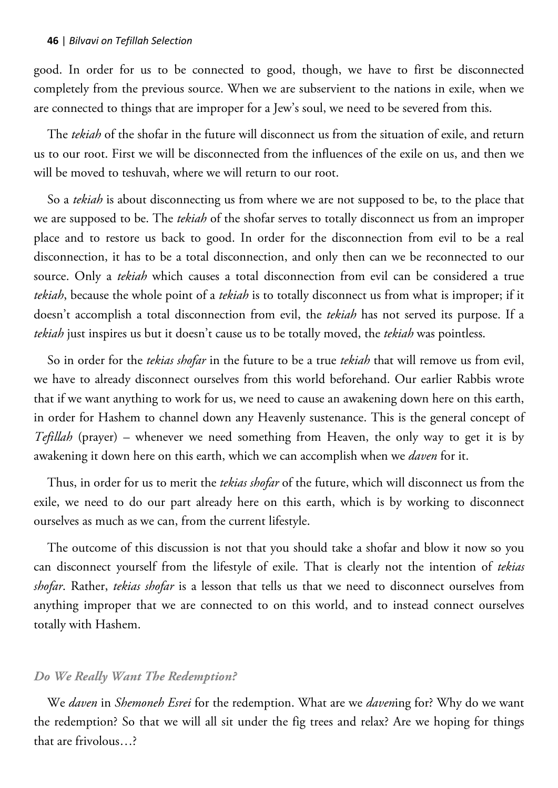good. In order for us to be connected to good, though, we have to first be disconnected completely from the previous source. When we are subservient to the nations in exile, when we are connected to things that are improper for a Jew's soul, we need to be severed from this.

The *tekiah* of the shofar in the future will disconnect us from the situation of exile, and return us to our root. First we will be disconnected from the influences of the exile on us, and then we will be moved to teshuvah, where we will return to our root.

So a *tekiah* is about disconnecting us from where we are not supposed to be, to the place that we are supposed to be. The *tekiah* of the shofar serves to totally disconnect us from an improper place and to restore us back to good. In order for the disconnection from evil to be a real disconnection, it has to be a total disconnection, and only then can we be reconnected to our source. Only a *tekiah* which causes a total disconnection from evil can be considered a true *tekiah*, because the whole point of a *tekiah* is to totally disconnect us from what is improper; if it doesn't accomplish a total disconnection from evil, the *tekiah* has not served its purpose. If a *tekiah* just inspires us but it doesn't cause us to be totally moved, the *tekiah* was pointless.

So in order for the *tekias shofar* in the future to be a true *tekiah* that will remove us from evil, we have to already disconnect ourselves from this world beforehand. Our earlier Rabbis wrote that if we want anything to work for us, we need to cause an awakening down here on this earth, in order for Hashem to channel down any Heavenly sustenance. This is the general concept of *Tefillah* (prayer) – whenever we need something from Heaven, the only way to get it is by awakening it down here on this earth, which we can accomplish when we *daven* for it.

Thus, in order for us to merit the *tekias shofar* of the future, which will disconnect us from the exile, we need to do our part already here on this earth, which is by working to disconnect ourselves as much as we can, from the current lifestyle.

The outcome of this discussion is not that you should take a shofar and blow it now so you can disconnect yourself from the lifestyle of exile. That is clearly not the intention of *tekias shofar*. Rather, *tekias shofar* is a lesson that tells us that we need to disconnect ourselves from anything improper that we are connected to on this world, and to instead connect ourselves totally with Hashem.

### *Do We Really Want The Redemption?*

We *daven* in *Shemoneh Esrei* for the redemption. What are we *daven*ing for? Why do we want the redemption? So that we will all sit under the fig trees and relax? Are we hoping for things that are frivolous…?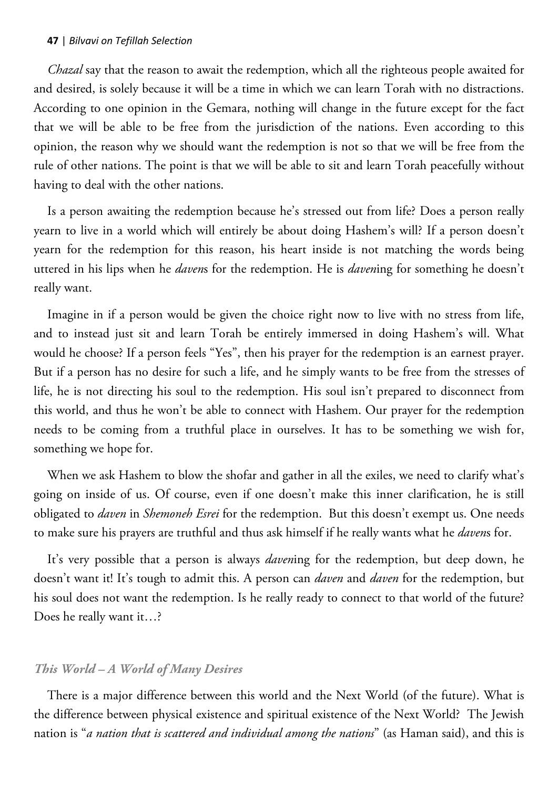*Chazal* say that the reason to await the redemption, which all the righteous people awaited for and desired, is solely because it will be a time in which we can learn Torah with no distractions. According to one opinion in the Gemara, nothing will change in the future except for the fact that we will be able to be free from the jurisdiction of the nations. Even according to this opinion, the reason why we should want the redemption is not so that we will be free from the rule of other nations. The point is that we will be able to sit and learn Torah peacefully without having to deal with the other nations.

Is a person awaiting the redemption because he's stressed out from life? Does a person really yearn to live in a world which will entirely be about doing Hashem's will? If a person doesn't yearn for the redemption for this reason, his heart inside is not matching the words being uttered in his lips when he *daven*s for the redemption. He is *daven*ing for something he doesn't really want.

Imagine in if a person would be given the choice right now to live with no stress from life, and to instead just sit and learn Torah be entirely immersed in doing Hashem's will. What would he choose? If a person feels "Yes", then his prayer for the redemption is an earnest prayer. But if a person has no desire for such a life, and he simply wants to be free from the stresses of life, he is not directing his soul to the redemption. His soul isn't prepared to disconnect from this world, and thus he won't be able to connect with Hashem. Our prayer for the redemption needs to be coming from a truthful place in ourselves. It has to be something we wish for, something we hope for.

When we ask Hashem to blow the shofar and gather in all the exiles, we need to clarify what's going on inside of us. Of course, even if one doesn't make this inner clarification, he is still obligated to *daven* in *Shemoneh Esrei* for the redemption. But this doesn't exempt us. One needs to make sure his prayers are truthful and thus ask himself if he really wants what he *daven*s for.

It's very possible that a person is always *daven*ing for the redemption, but deep down, he doesn't want it! It's tough to admit this. A person can *daven* and *daven* for the redemption, but his soul does not want the redemption. Is he really ready to connect to that world of the future? Does he really want it…?

### *This World – A World of Many Desires*

There is a major difference between this world and the Next World (of the future). What is the difference between physical existence and spiritual existence of the Next World? The Jewish nation is "*a nation that is scattered and individual among the nations*" (as Haman said), and this is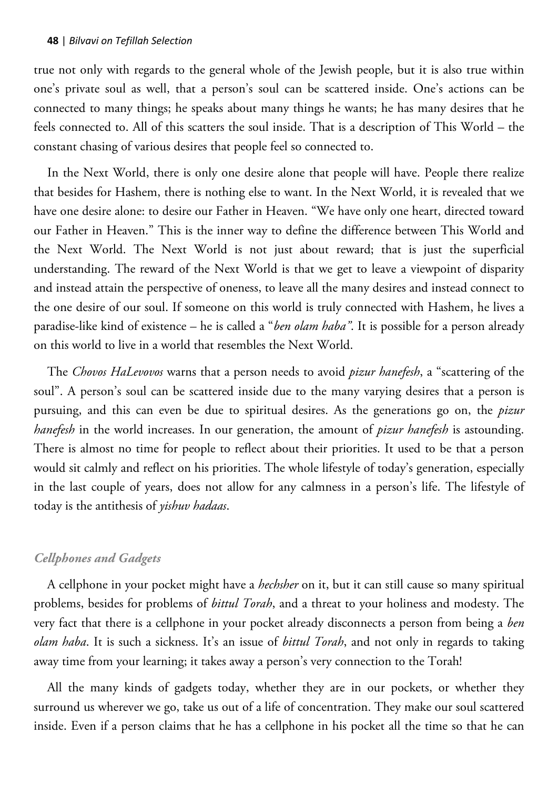true not only with regards to the general whole of the Jewish people, but it is also true within one's private soul as well, that a person's soul can be scattered inside. One's actions can be connected to many things; he speaks about many things he wants; he has many desires that he feels connected to. All of this scatters the soul inside. That is a description of This World – the constant chasing of various desires that people feel so connected to.

In the Next World, there is only one desire alone that people will have. People there realize that besides for Hashem, there is nothing else to want. In the Next World, it is revealed that we have one desire alone: to desire our Father in Heaven. "We have only one heart, directed toward our Father in Heaven." This is the inner way to define the difference between This World and the Next World. The Next World is not just about reward; that is just the superficial understanding. The reward of the Next World is that we get to leave a viewpoint of disparity and instead attain the perspective of oneness, to leave all the many desires and instead connect to the one desire of our soul. If someone on this world is truly connected with Hashem, he lives a paradise-like kind of existence – he is called a "*ben olam haba"*. It is possible for a person already on this world to live in a world that resembles the Next World.

The *Chovos HaLevovos* warns that a person needs to avoid *pizur hanefesh*, a "scattering of the soul". A person's soul can be scattered inside due to the many varying desires that a person is pursuing, and this can even be due to spiritual desires. As the generations go on, the *pizur hanefesh* in the world increases. In our generation, the amount of *pizur hanefesh* is astounding. There is almost no time for people to reflect about their priorities. It used to be that a person would sit calmly and reflect on his priorities. The whole lifestyle of today's generation, especially in the last couple of years, does not allow for any calmness in a person's life. The lifestyle of today is the antithesis of *yishuv hadaas*.

### *Cellphones and Gadgets*

A cellphone in your pocket might have a *hechsher* on it, but it can still cause so many spiritual problems, besides for problems of *bittul Torah*, and a threat to your holiness and modesty. The very fact that there is a cellphone in your pocket already disconnects a person from being a *ben olam haba*. It is such a sickness. It's an issue of *bittul Torah*, and not only in regards to taking away time from your learning; it takes away a person's very connection to the Torah!

All the many kinds of gadgets today, whether they are in our pockets, or whether they surround us wherever we go, take us out of a life of concentration. They make our soul scattered inside. Even if a person claims that he has a cellphone in his pocket all the time so that he can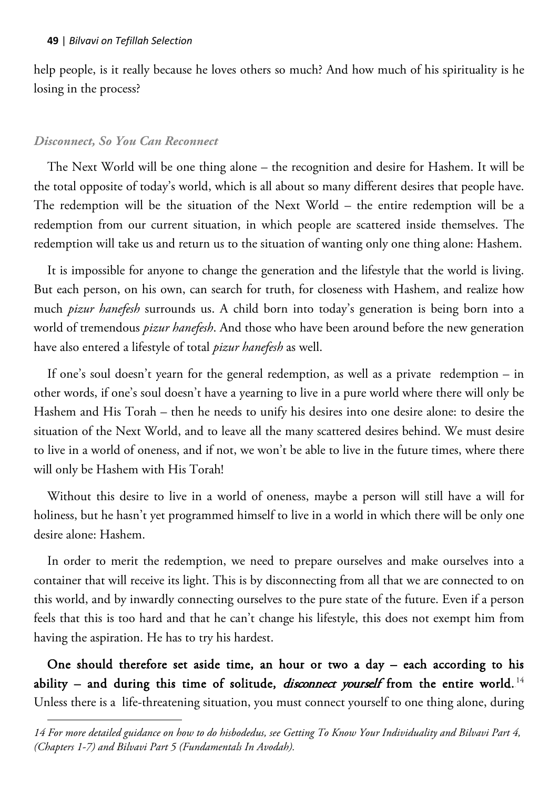help people, is it really because he loves others so much? And how much of his spirituality is he losing in the process?

## *Disconnect, So You Can Reconnect*

 $\overline{a}$ 

The Next World will be one thing alone – the recognition and desire for Hashem. It will be the total opposite of today's world, which is all about so many different desires that people have. The redemption will be the situation of the Next World – the entire redemption will be a redemption from our current situation, in which people are scattered inside themselves. The redemption will take us and return us to the situation of wanting only one thing alone: Hashem.

It is impossible for anyone to change the generation and the lifestyle that the world is living. But each person, on his own, can search for truth, for closeness with Hashem, and realize how much *pizur hanefesh* surrounds us. A child born into today's generation is being born into a world of tremendous *pizur hanefesh*. And those who have been around before the new generation have also entered a lifestyle of total *pizur hanefesh* as well.

If one's soul doesn't yearn for the general redemption, as well as a private redemption – in other words, if one's soul doesn't have a yearning to live in a pure world where there will only be Hashem and His Torah – then he needs to unify his desires into one desire alone: to desire the situation of the Next World, and to leave all the many scattered desires behind. We must desire to live in a world of oneness, and if not, we won't be able to live in the future times, where there will only be Hashem with His Torah!

Without this desire to live in a world of oneness, maybe a person will still have a will for holiness, but he hasn't yet programmed himself to live in a world in which there will be only one desire alone: Hashem.

In order to merit the redemption, we need to prepare ourselves and make ourselves into a container that will receive its light. This is by disconnecting from all that we are connected to on this world, and by inwardly connecting ourselves to the pure state of the future. Even if a person feels that this is too hard and that he can't change his lifestyle, this does not exempt him from having the aspiration. He has to try his hardest.

One should therefore set aside time, an hour or two a day – each according to his ability – and during this time of solitude, *disconnect yourself* from the entire world.  $^{14}$ Unless there is a life-threatening situation, you must connect yourself to one thing alone, during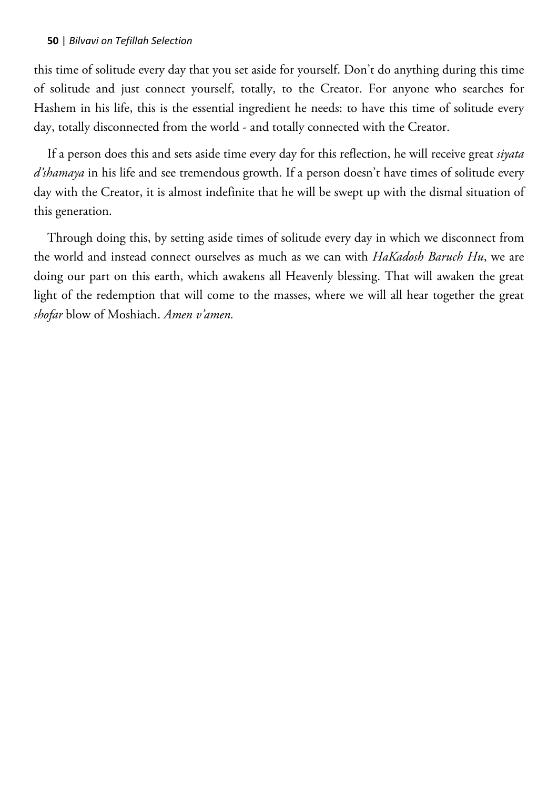this time of solitude every day that you set aside for yourself. Don't do anything during this time of solitude and just connect yourself, totally, to the Creator. For anyone who searches for Hashem in his life, this is the essential ingredient he needs: to have this time of solitude every day, totally disconnected from the world - and totally connected with the Creator.

If a person does this and sets aside time every day for this reflection, he will receive great *siyata*  d'shamaya in his life and see tremendous growth. If a person doesn't have times of solitude every day with the Creator, it is almost indefinite that he will be swept up with the dismal situation of this generation.

Through doing this, by setting aside times of solitude every day in which we disconnect from the world and instead connect ourselves as much as we can with *HaKadosh Baruch Hu*, we are doing our part on this earth, which awakens all Heavenly blessing. That will awaken the great light of the redemption that will come to the masses, where we will all hear together the great *shofar* blow of Moshiach. *Amen v'amen.*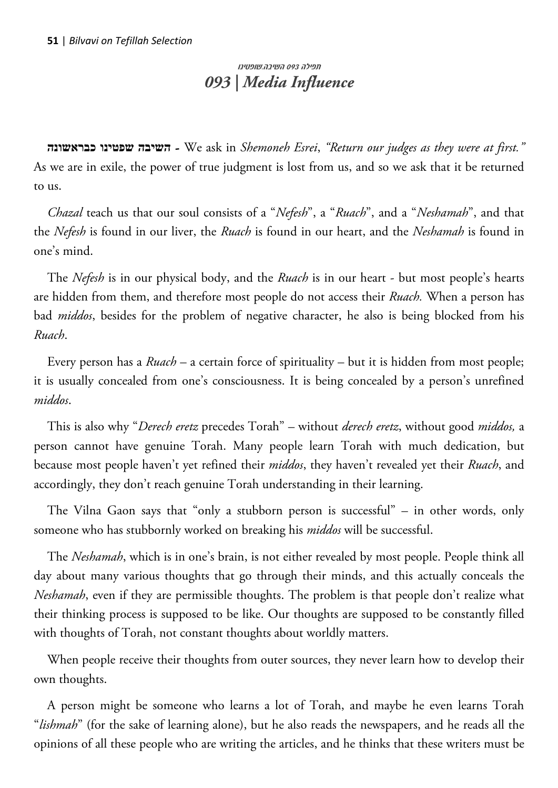# תפילה 093 השיבה.שופטינו *093 | Media Influence*

**כבראשונה שפטינו השיבה** - We ask in *Shemoneh Esrei*, *"Return our judges as they were at first."* As we are in exile, the power of true judgment is lost from us, and so we ask that it be returned to us.

*Chazal* teach us that our soul consists of a "*Nefesh*", a "*Ruach*", and a "*Neshamah*", and that the *Nefesh* is found in our liver, the *Ruach* is found in our heart, and the *Neshamah* is found in one's mind.

The *Nefesh* is in our physical body, and the *Ruach* is in our heart - but most people's hearts are hidden from them, and therefore most people do not access their *Ruach.* When a person has bad *middos*, besides for the problem of negative character, he also is being blocked from his *Ruach*.

Every person has a *Ruach* – a certain force of spirituality – but it is hidden from most people; it is usually concealed from one's consciousness. It is being concealed by a person's unrefined *middos*.

This is also why "*Derech eretz* precedes Torah" – without *derech eretz*, without good *middos,* a person cannot have genuine Torah. Many people learn Torah with much dedication, but because most people haven't yet refined their *middos*, they haven't revealed yet their *Ruach*, and accordingly, they don't reach genuine Torah understanding in their learning.

The Vilna Gaon says that "only a stubborn person is successful" – in other words, only someone who has stubbornly worked on breaking his *middos* will be successful.

The *Neshamah*, which is in one's brain, is not either revealed by most people. People think all day about many various thoughts that go through their minds, and this actually conceals the *Neshamah*, even if they are permissible thoughts. The problem is that people don't realize what their thinking process is supposed to be like. Our thoughts are supposed to be constantly filled with thoughts of Torah, not constant thoughts about worldly matters.

When people receive their thoughts from outer sources, they never learn how to develop their own thoughts.

A person might be someone who learns a lot of Torah, and maybe he even learns Torah "*lishmah*" (for the sake of learning alone), but he also reads the newspapers, and he reads all the opinions of all these people who are writing the articles, and he thinks that these writers must be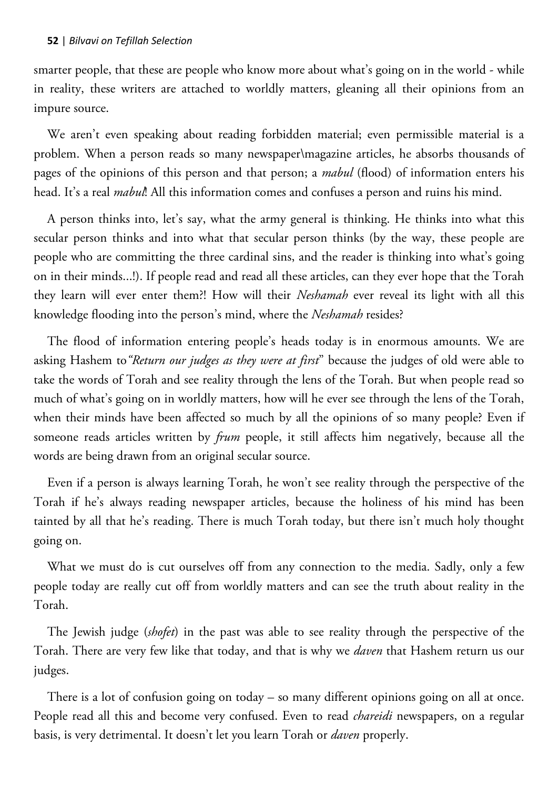smarter people, that these are people who know more about what's going on in the world - while in reality, these writers are attached to worldly matters, gleaning all their opinions from an impure source.

We aren't even speaking about reading forbidden material; even permissible material is a problem. When a person reads so many newspaper\magazine articles, he absorbs thousands of pages of the opinions of this person and that person; a *mabul* (flood) of information enters his head. It's a real *mabul*! All this information comes and confuses a person and ruins his mind.

A person thinks into, let's say, what the army general is thinking. He thinks into what this secular person thinks and into what that secular person thinks (by the way, these people are people who are committing the three cardinal sins, and the reader is thinking into what's going on in their minds...!). If people read and read all these articles, can they ever hope that the Torah they learn will ever enter them?! How will their *Neshamah* ever reveal its light with all this knowledge flooding into the person's mind, where the *Neshamah* resides?

The flood of information entering people's heads today is in enormous amounts. We are asking Hashem to*"Return our judges as they were at first*" because the judges of old were able to take the words of Torah and see reality through the lens of the Torah. But when people read so much of what's going on in worldly matters, how will he ever see through the lens of the Torah, when their minds have been affected so much by all the opinions of so many people? Even if someone reads articles written by *frum* people, it still affects him negatively, because all the words are being drawn from an original secular source.

Even if a person is always learning Torah, he won't see reality through the perspective of the Torah if he's always reading newspaper articles, because the holiness of his mind has been tainted by all that he's reading. There is much Torah today, but there isn't much holy thought going on.

What we must do is cut ourselves off from any connection to the media. Sadly, only a few people today are really cut off from worldly matters and can see the truth about reality in the Torah.

The Jewish judge (*shofet*) in the past was able to see reality through the perspective of the Torah. There are very few like that today, and that is why we *daven* that Hashem return us our judges.

There is a lot of confusion going on today – so many different opinions going on all at once. People read all this and become very confused. Even to read *chareidi* newspapers, on a regular basis, is very detrimental. It doesn't let you learn Torah or *daven* properly.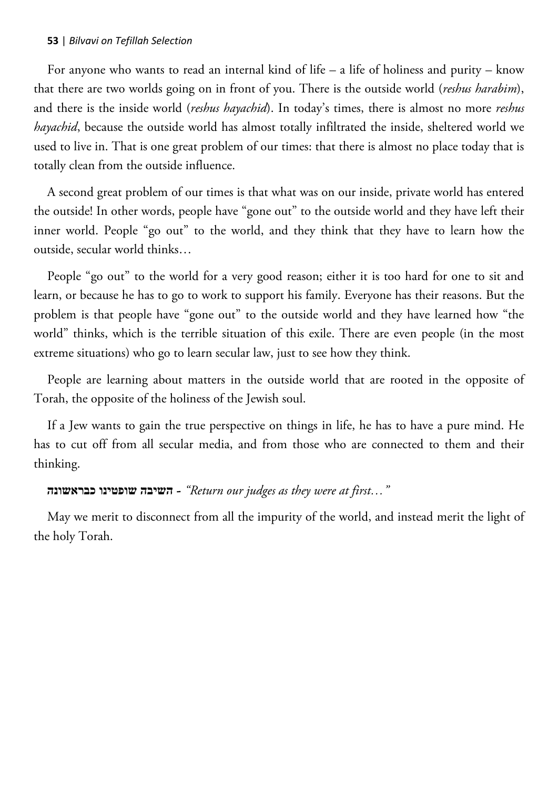For anyone who wants to read an internal kind of life – a life of holiness and purity – know that there are two worlds going on in front of you. There is the outside world (*reshus harabim*), and there is the inside world (*reshus hayachid*). In today's times, there is almost no more *reshus hayachid*, because the outside world has almost totally infiltrated the inside, sheltered world we used to live in. That is one great problem of our times: that there is almost no place today that is totally clean from the outside influence.

A second great problem of our times is that what was on our inside, private world has entered the outside! In other words, people have "gone out" to the outside world and they have left their inner world. People "go out" to the world, and they think that they have to learn how the outside, secular world thinks…

People "go out" to the world for a very good reason; either it is too hard for one to sit and learn, or because he has to go to work to support his family. Everyone has their reasons. But the problem is that people have "gone out" to the outside world and they have learned how "the world" thinks, which is the terrible situation of this exile. There are even people (in the most extreme situations) who go to learn secular law, just to see how they think.

People are learning about matters in the outside world that are rooted in the opposite of Torah, the opposite of the holiness of the Jewish soul.

If a Jew wants to gain the true perspective on things in life, he has to have a pure mind. He has to cut off from all secular media, and from those who are connected to them and their thinking.

### **כבראשונה שופטינו השיבה** -*" Return our judges as they were at first…"*

May we merit to disconnect from all the impurity of the world, and instead merit the light of the holy Torah.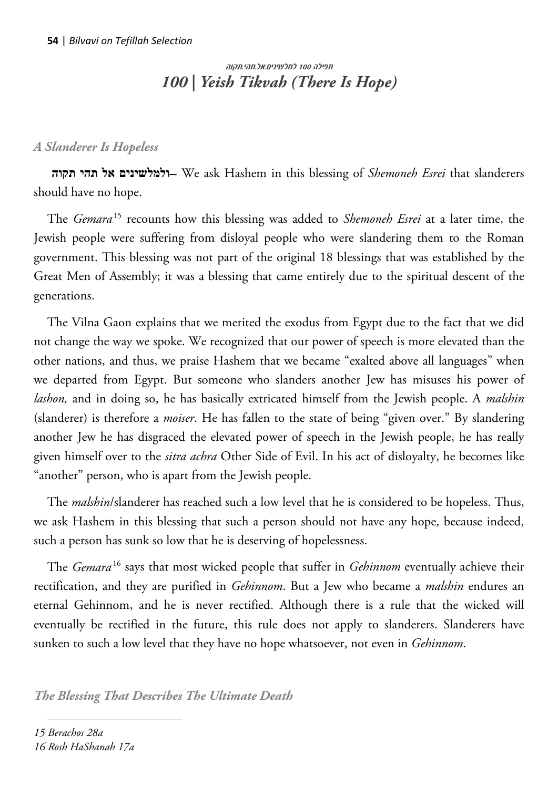# תפילה 100 למלשינים.אל.תהי.תקוה *100 | Yeish Tikvah (There Is Hope)*

# *A Slanderer Is Hopeless*

 **תקוה תהי אל ולמלשינים** –We ask Hashem in this blessing of *Shemoneh Esrei* that slanderers should have no hope.

The *Gemara*<sup>15</sup> recounts how this blessing was added to *Shemoneh Esrei* at a later time, the Jewish people were suffering from disloyal people who were slandering them to the Roman government. This blessing was not part of the original 18 blessings that was established by the Great Men of Assembly; it was a blessing that came entirely due to the spiritual descent of the generations.

The Vilna Gaon explains that we merited the exodus from Egypt due to the fact that we did not change the way we spoke. We recognized that our power of speech is more elevated than the other nations, and thus, we praise Hashem that we became "exalted above all languages" when we departed from Egypt. But someone who slanders another Jew has misuses his power of *lashon,* and in doing so, he has basically extricated himself from the Jewish people. A *malshin* (slanderer) is therefore a *moiser*. He has fallen to the state of being "given over." By slandering another Jew he has disgraced the elevated power of speech in the Jewish people, he has really given himself over to the *sitra achra* Other Side of Evil. In his act of disloyalty, he becomes like "another" person, who is apart from the Jewish people.

The *malshin*/slanderer has reached such a low level that he is considered to be hopeless. Thus, we ask Hashem in this blessing that such a person should not have any hope, because indeed, such a person has sunk so low that he is deserving of hopelessness.

The *Gemara*<sup>16</sup> says that most wicked people that suffer in *Gehinnom* eventually achieve their rectification, and they are purified in *Gehinnom*. But a Jew who became a *malshin* endures an eternal Gehinnom, and he is never rectified. Although there is a rule that the wicked will eventually be rectified in the future, this rule does not apply to slanderers. Slanderers have sunken to such a low level that they have no hope whatsoever, not even in *Gehinnom*.

*The Blessing That Describes The Ultimate Death*

 $\overline{a}$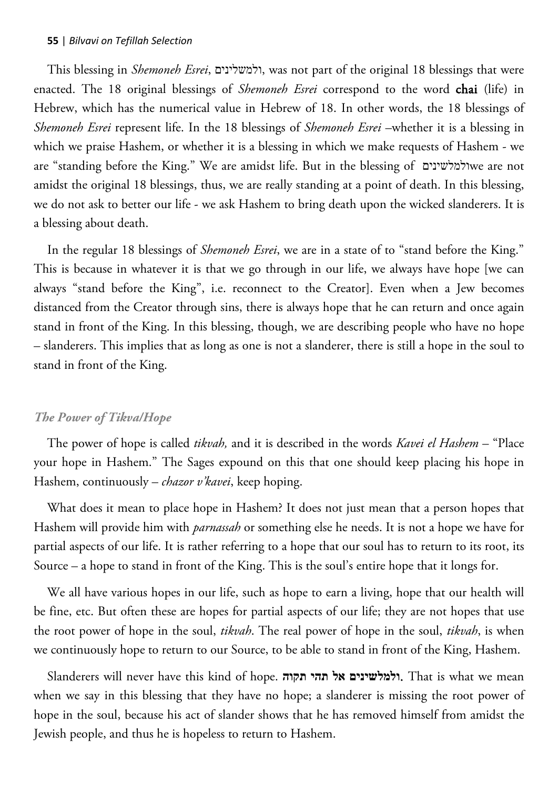This blessing in *Shemoneh Esrei*, ולמשלינים, was not part of the original 18 blessings that were enacted. The 18 original blessings of *Shemoneh Esrei* correspond to the word chai (life) in Hebrew, which has the numerical value in Hebrew of 18. In other words, the 18 blessings of *Shemoneh Esrei* represent life. In the 18 blessings of *Shemoneh Esrei* –whether it is a blessing in which we praise Hashem, or whether it is a blessing in which we make requests of Hashem - we are "standing before the King." We are amidst life. But in the blessing of ולמלשינים we are not amidst the original 18 blessings, thus, we are really standing at a point of death. In this blessing, we do not ask to better our life - we ask Hashem to bring death upon the wicked slanderers. It is a blessing about death.

In the regular 18 blessings of *Shemoneh Esrei*, we are in a state of to "stand before the King." This is because in whatever it is that we go through in our life, we always have hope [we can always "stand before the King", i.e. reconnect to the Creator]. Even when a Jew becomes distanced from the Creator through sins, there is always hope that he can return and once again stand in front of the King. In this blessing, though, we are describing people who have no hope – slanderers. This implies that as long as one is not a slanderer, there is still a hope in the soul to stand in front of the King.

### *The Power of Tikva/Hope*

The power of hope is called *tikvah,* and it is described in the words *Kavei el Hashem* – "Place your hope in Hashem." The Sages expound on this that one should keep placing his hope in Hashem, continuously – *chazor v'kavei*, keep hoping.

What does it mean to place hope in Hashem? It does not just mean that a person hopes that Hashem will provide him with *parnassah* or something else he needs. It is not a hope we have for partial aspects of our life. It is rather referring to a hope that our soul has to return to its root, its Source – a hope to stand in front of the King. This is the soul's entire hope that it longs for.

We all have various hopes in our life, such as hope to earn a living, hope that our health will be fine, etc. But often these are hopes for partial aspects of our life; they are not hopes that use the root power of hope in the soul, *tikvah*. The real power of hope in the soul, *tikvah*, is when we continuously hope to return to our Source, to be able to stand in front of the King, Hashem.

Slanderers will never have this kind of hope. **תקוה תהי אל ולמלשינים**. That is what we mean when we say in this blessing that they have no hope; a slanderer is missing the root power of hope in the soul, because his act of slander shows that he has removed himself from amidst the Jewish people, and thus he is hopeless to return to Hashem.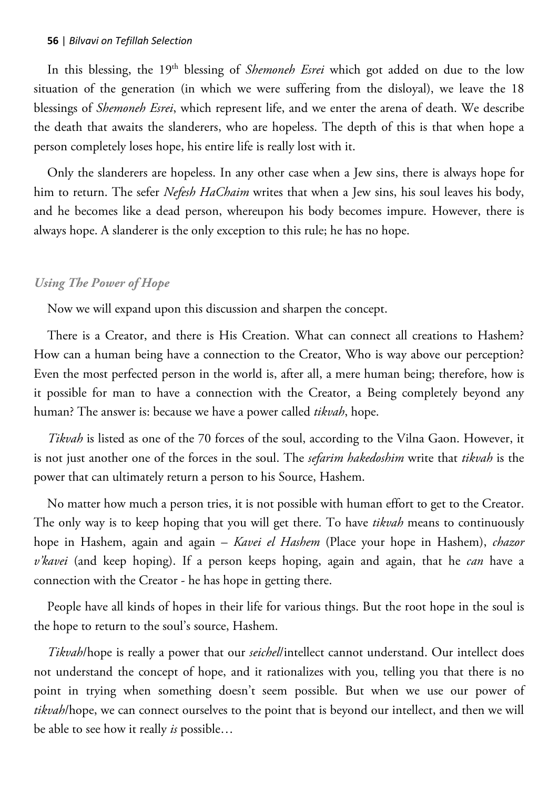In this blessing, the 19th blessing of *Shemoneh Esrei* which got added on due to the low situation of the generation (in which we were suffering from the disloyal), we leave the 18 blessings of *Shemoneh Esrei*, which represent life, and we enter the arena of death. We describe the death that awaits the slanderers, who are hopeless. The depth of this is that when hope a person completely loses hope, his entire life is really lost with it.

Only the slanderers are hopeless. In any other case when a Jew sins, there is always hope for him to return. The sefer *Nefesh HaChaim* writes that when a Jew sins, his soul leaves his body, and he becomes like a dead person, whereupon his body becomes impure. However, there is always hope. A slanderer is the only exception to this rule; he has no hope.

## *Using The Power of Hope*

Now we will expand upon this discussion and sharpen the concept.

There is a Creator, and there is His Creation. What can connect all creations to Hashem? How can a human being have a connection to the Creator, Who is way above our perception? Even the most perfected person in the world is, after all, a mere human being; therefore, how is it possible for man to have a connection with the Creator, a Being completely beyond any human? The answer is: because we have a power called *tikvah*, hope.

*Tikvah* is listed as one of the 70 forces of the soul, according to the Vilna Gaon. However, it is not just another one of the forces in the soul. The *sefarim hakedoshim* write that *tikvah* is the power that can ultimately return a person to his Source, Hashem.

No matter how much a person tries, it is not possible with human effort to get to the Creator. The only way is to keep hoping that you will get there. To have *tikvah* means to continuously hope in Hashem, again and again – *Kavei el Hashem* (Place your hope in Hashem), *chazor v'kavei* (and keep hoping). If a person keeps hoping, again and again, that he *can* have a connection with the Creator - he has hope in getting there.

People have all kinds of hopes in their life for various things. But the root hope in the soul is the hope to return to the soul's source, Hashem.

*Tikvah*/hope is really a power that our *seichel*/intellect cannot understand. Our intellect does not understand the concept of hope, and it rationalizes with you, telling you that there is no point in trying when something doesn't seem possible. But when we use our power of *tikvah*/hope, we can connect ourselves to the point that is beyond our intellect, and then we will be able to see how it really *is* possible…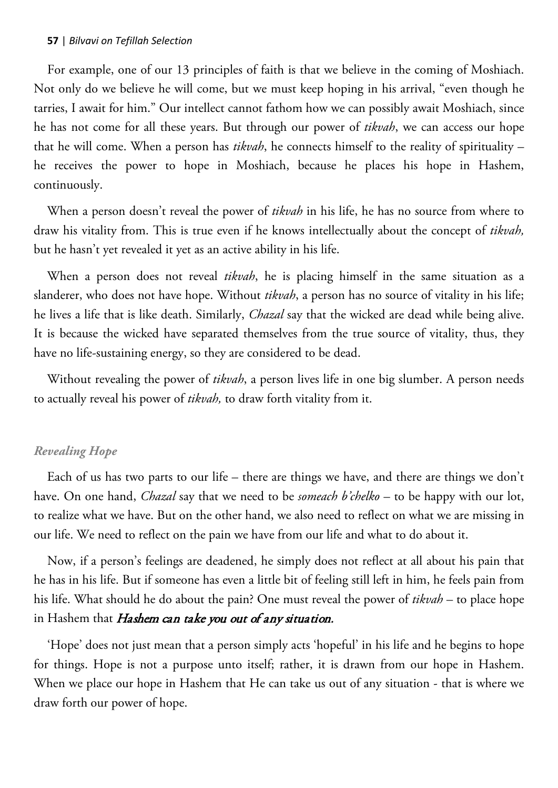For example, one of our 13 principles of faith is that we believe in the coming of Moshiach. Not only do we believe he will come, but we must keep hoping in his arrival, "even though he tarries, I await for him." Our intellect cannot fathom how we can possibly await Moshiach, since he has not come for all these years. But through our power of *tikvah*, we can access our hope that he will come. When a person has *tikvah*, he connects himself to the reality of spirituality – he receives the power to hope in Moshiach, because he places his hope in Hashem, continuously.

When a person doesn't reveal the power of *tikvah* in his life, he has no source from where to draw his vitality from. This is true even if he knows intellectually about the concept of *tikvah,* but he hasn't yet revealed it yet as an active ability in his life.

When a person does not reveal *tikvah*, he is placing himself in the same situation as a slanderer, who does not have hope. Without *tikvah*, a person has no source of vitality in his life; he lives a life that is like death. Similarly, *Chazal* say that the wicked are dead while being alive. It is because the wicked have separated themselves from the true source of vitality, thus, they have no life-sustaining energy, so they are considered to be dead.

Without revealing the power of *tikvah*, a person lives life in one big slumber. A person needs to actually reveal his power of *tikvah,* to draw forth vitality from it.

# *Revealing Hope*

Each of us has two parts to our life – there are things we have, and there are things we don't have. On one hand, *Chazal* say that we need to be *someach b'chelko* – to be happy with our lot, to realize what we have. But on the other hand, we also need to reflect on what we are missing in our life. We need to reflect on the pain we have from our life and what to do about it.

Now, if a person's feelings are deadened, he simply does not reflect at all about his pain that he has in his life. But if someone has even a little bit of feeling still left in him, he feels pain from his life. What should he do about the pain? One must reveal the power of *tikvah* – to place hope in Hashem that Hashem can take you out of any situation.

'Hope' does not just mean that a person simply acts 'hopeful' in his life and he begins to hope for things. Hope is not a purpose unto itself; rather, it is drawn from our hope in Hashem. When we place our hope in Hashem that He can take us out of any situation - that is where we draw forth our power of hope.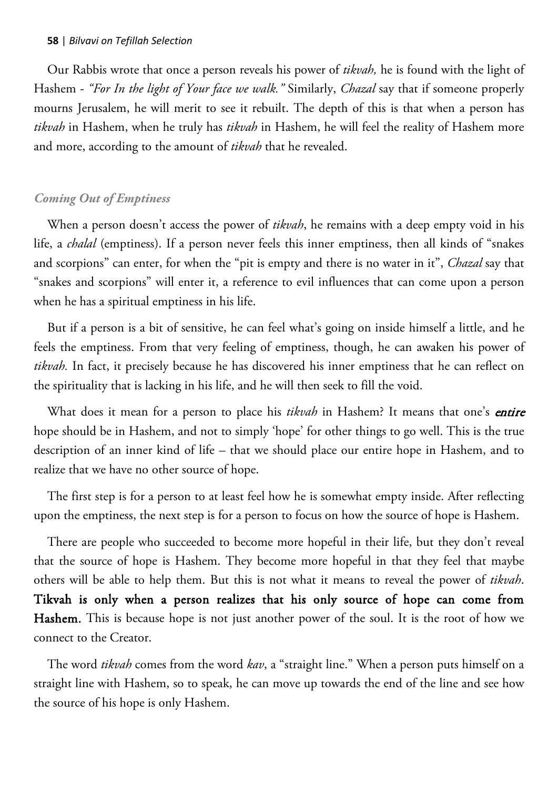Our Rabbis wrote that once a person reveals his power of *tikvah,* he is found with the light of Hashem - *"For In the light of Your face we walk."* Similarly, *Chazal* say that if someone properly mourns Jerusalem, he will merit to see it rebuilt. The depth of this is that when a person has *tikvah* in Hashem, when he truly has *tikvah* in Hashem, he will feel the reality of Hashem more and more, according to the amount of *tikvah* that he revealed.

### *Coming Out of Emptiness*

When a person doesn't access the power of *tikvah*, he remains with a deep empty void in his life, a *chalal* (emptiness). If a person never feels this inner emptiness, then all kinds of "snakes and scorpions" can enter, for when the "pit is empty and there is no water in it", *Chazal* say that "snakes and scorpions" will enter it, a reference to evil influences that can come upon a person when he has a spiritual emptiness in his life.

But if a person is a bit of sensitive, he can feel what's going on inside himself a little, and he feels the emptiness. From that very feeling of emptiness, though, he can awaken his power of *tikvah.* In fact, it precisely because he has discovered his inner emptiness that he can reflect on the spirituality that is lacking in his life, and he will then seek to fill the void.

What does it mean for a person to place his *tikvah* in Hashem? It means that one's *entire* hope should be in Hashem, and not to simply 'hope' for other things to go well. This is the true description of an inner kind of life – that we should place our entire hope in Hashem, and to realize that we have no other source of hope.

The first step is for a person to at least feel how he is somewhat empty inside. After reflecting upon the emptiness, the next step is for a person to focus on how the source of hope is Hashem.

There are people who succeeded to become more hopeful in their life, but they don't reveal that the source of hope is Hashem. They become more hopeful in that they feel that maybe others will be able to help them. But this is not what it means to reveal the power of *tikvah*. Tikvah is only when a person realizes that his only source of hope can come from Hashem. This is because hope is not just another power of the soul. It is the root of how we connect to the Creator.

The word *tikvah* comes from the word *kav*, a "straight line." When a person puts himself on a straight line with Hashem, so to speak, he can move up towards the end of the line and see how the source of his hope is only Hashem.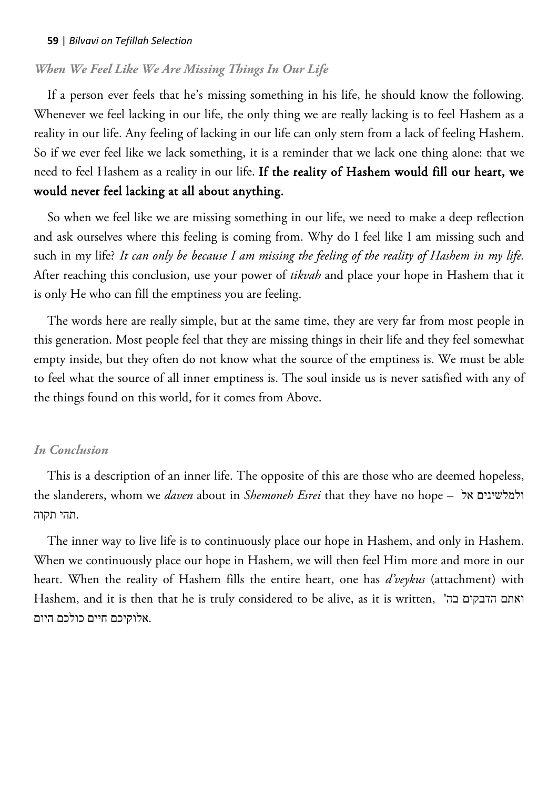### *When We Feel Like We Are Missing Things In Our Life*

If a person ever feels that he's missing something in his life, he should know the following. Whenever we feel lacking in our life, the only thing we are really lacking is to feel Hashem as a reality in our life. Any feeling of lacking in our life can only stem from a lack of feeling Hashem. So if we ever feel like we lack something, it is a reminder that we lack one thing alone: that we need to feel Hashem as a reality in our life. If the reality of Hashem would fill our heart, we would never feel lacking at all about anything.

So when we feel like we are missing something in our life, we need to make a deep reflection and ask ourselves where this feeling is coming from. Why do I feel like I am missing such and such in my life? *It can only be because I am missing the feeling of the reality of Hashem in my life.* After reaching this conclusion, use your power of *tikvah* and place your hope in Hashem that it is only He who can fill the emptiness you are feeling.

The words here are really simple, but at the same time, they are very far from most people in this generation. Most people feel that they are missing things in their life and they feel somewhat empty inside, but they often do not know what the source of the emptiness is. We must be able to feel what the source of all inner emptiness is. The soul inside us is never satisfied with any of the things found on this world, for it comes from Above.

### *In Conclusion*

This is a description of an inner life. The opposite of this are those who are deemed hopeless, the slanderers, whom we *daven* about in *Shemoneh Esrei* that they have no hope – אל ולמלשינים .תהי תקוה

The inner way to live life is to continuously place our hope in Hashem, and only in Hashem. When we continuously place our hope in Hashem, we will then feel Him more and more in our heart. When the reality of Hashem fills the entire heart, one has *d'veykus* (attachment) with Hashem, and it is then that he is truly considered to be alive, as it is written, 'בה הדבקים ואתם .אלוקיכם חיים כולכם היום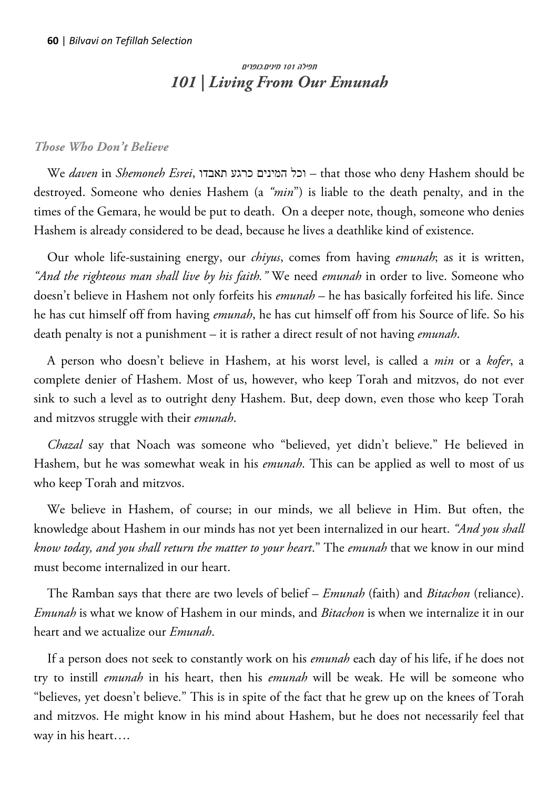# תפילה 101 מינים.כופרים *101 | Living From Our Emunah*

### *Those Who Don't Believe*

We *daven* in *Shemoneh Esrei*, תאבדו כרגע המינים וכל – that those who deny Hashem should be destroyed. Someone who denies Hashem (a *"min*") is liable to the death penalty, and in the times of the Gemara, he would be put to death. On a deeper note, though, someone who denies Hashem is already considered to be dead, because he lives a deathlike kind of existence.

Our whole life-sustaining energy, our *chiyus*, comes from having *emunah*; as it is written, *"And the righteous man shall live by his faith."* We need *emunah* in order to live. Someone who doesn't believe in Hashem not only forfeits his *emunah* – he has basically forfeited his life. Since he has cut himself off from having *emunah*, he has cut himself off from his Source of life. So his death penalty is not a punishment – it is rather a direct result of not having *emunah*.

A person who doesn't believe in Hashem, at his worst level, is called a *min* or a *kofer*, a complete denier of Hashem. Most of us, however, who keep Torah and mitzvos, do not ever sink to such a level as to outright deny Hashem. But, deep down, even those who keep Torah and mitzvos struggle with their *emunah*.

*Chazal* say that Noach was someone who "believed, yet didn't believe." He believed in Hashem, but he was somewhat weak in his *emunah*. This can be applied as well to most of us who keep Torah and mitzvos.

We believe in Hashem, of course; in our minds, we all believe in Him. But often, the knowledge about Hashem in our minds has not yet been internalized in our heart. *"And you shall know today, and you shall return the matter to your heart*." The *emunah* that we know in our mind must become internalized in our heart.

The Ramban says that there are two levels of belief – *Emunah* (faith) and *Bitachon* (reliance). *Emunah* is what we know of Hashem in our minds, and *Bitachon* is when we internalize it in our heart and we actualize our *Emunah*.

If a person does not seek to constantly work on his *emunah* each day of his life, if he does not try to instill *emunah* in his heart, then his *emunah* will be weak. He will be someone who "believes, yet doesn't believe." This is in spite of the fact that he grew up on the knees of Torah and mitzvos. He might know in his mind about Hashem, but he does not necessarily feel that way in his heart….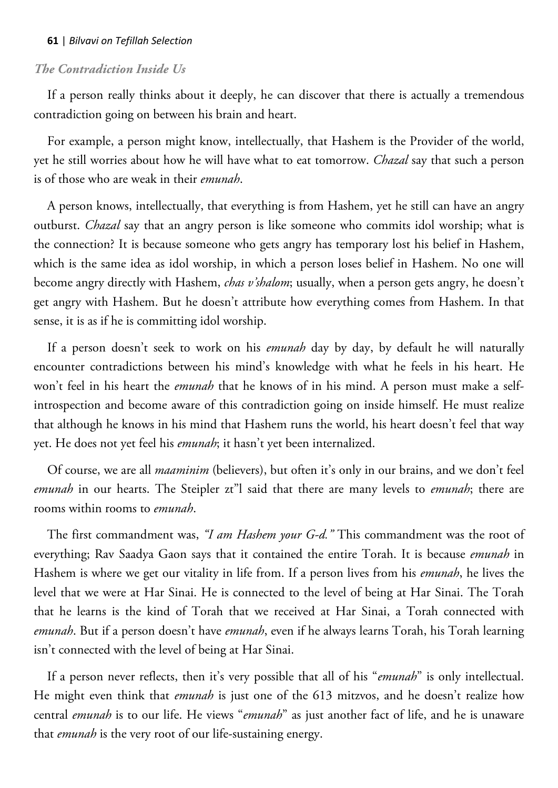### *The Contradiction Inside Us*

If a person really thinks about it deeply, he can discover that there is actually a tremendous contradiction going on between his brain and heart.

For example, a person might know, intellectually, that Hashem is the Provider of the world, yet he still worries about how he will have what to eat tomorrow. *Chazal* say that such a person is of those who are weak in their *emunah*.

A person knows, intellectually, that everything is from Hashem, yet he still can have an angry outburst. *Chazal* say that an angry person is like someone who commits idol worship; what is the connection? It is because someone who gets angry has temporary lost his belief in Hashem, which is the same idea as idol worship, in which a person loses belief in Hashem. No one will become angry directly with Hashem, *chas v'shalom*; usually, when a person gets angry, he doesn't get angry with Hashem. But he doesn't attribute how everything comes from Hashem. In that sense, it is as if he is committing idol worship.

If a person doesn't seek to work on his *emunah* day by day, by default he will naturally encounter contradictions between his mind's knowledge with what he feels in his heart. He won't feel in his heart the *emunah* that he knows of in his mind. A person must make a selfintrospection and become aware of this contradiction going on inside himself. He must realize that although he knows in his mind that Hashem runs the world, his heart doesn't feel that way yet. He does not yet feel his *emunah*; it hasn't yet been internalized.

Of course, we are all *maaminim* (believers), but often it's only in our brains, and we don't feel *emunah* in our hearts. The Steipler zt"l said that there are many levels to *emunah*; there are rooms within rooms to *emunah*.

The first commandment was, *"I am Hashem your G-d."* This commandment was the root of everything; Rav Saadya Gaon says that it contained the entire Torah. It is because *emunah* in Hashem is where we get our vitality in life from. If a person lives from his *emunah*, he lives the level that we were at Har Sinai. He is connected to the level of being at Har Sinai. The Torah that he learns is the kind of Torah that we received at Har Sinai, a Torah connected with *emunah*. But if a person doesn't have *emunah*, even if he always learns Torah, his Torah learning isn't connected with the level of being at Har Sinai.

If a person never reflects, then it's very possible that all of his "*emunah*" is only intellectual. He might even think that *emunah* is just one of the 613 mitzvos, and he doesn't realize how central *emunah* is to our life. He views "*emunah*" as just another fact of life, and he is unaware that *emunah* is the very root of our life-sustaining energy.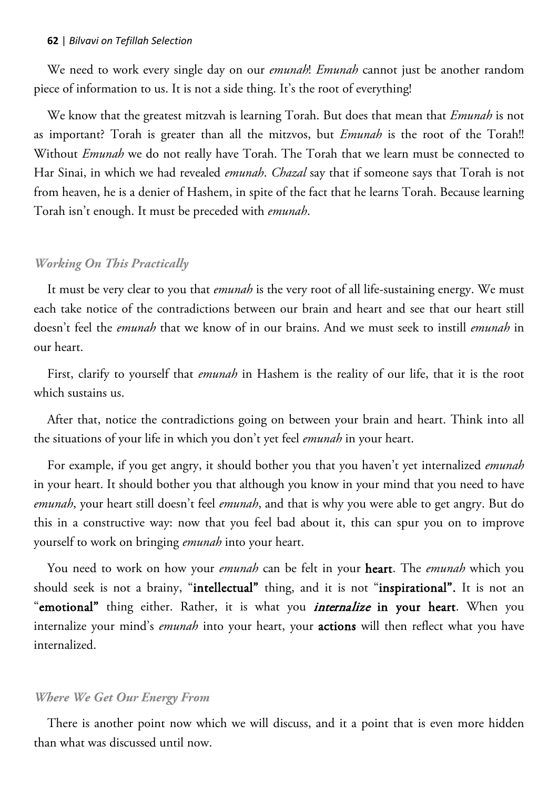We need to work every single day on our *emunah*! *Emunah* cannot just be another random piece of information to us. It is not a side thing. It's the root of everything!

We know that the greatest mitzvah is learning Torah. But does that mean that *Emunah* is not as important? Torah is greater than all the mitzvos, but *Emunah* is the root of the Torah!! Without *Emunah* we do not really have Torah. The Torah that we learn must be connected to Har Sinai, in which we had revealed *emunah*. *Chazal* say that if someone says that Torah is not from heaven, he is a denier of Hashem, in spite of the fact that he learns Torah. Because learning Torah isn't enough. It must be preceded with *emunah*.

### *Working On This Practically*

It must be very clear to you that *emunah* is the very root of all life-sustaining energy. We must each take notice of the contradictions between our brain and heart and see that our heart still doesn't feel the *emunah* that we know of in our brains. And we must seek to instill *emunah* in our heart.

First, clarify to yourself that *emunah* in Hashem is the reality of our life, that it is the root which sustains us.

After that, notice the contradictions going on between your brain and heart. Think into all the situations of your life in which you don't yet feel *emunah* in your heart.

For example, if you get angry, it should bother you that you haven't yet internalized *emunah* in your heart. It should bother you that although you know in your mind that you need to have *emunah*, your heart still doesn't feel *emunah*, and that is why you were able to get angry. But do this in a constructive way: now that you feel bad about it, this can spur you on to improve yourself to work on bringing *emunah* into your heart.

You need to work on how your *emunah* can be felt in your heart. The *emunah* which you should seek is not a brainy, "intellectual" thing, and it is not "inspirational". It is not an "emotional" thing either. Rather, it is what you *internalize* in your heart. When you internalize your mind's *emunah* into your heart, your actions will then reflect what you have internalized.

#### *Where We Get Our Energy From*

There is another point now which we will discuss, and it a point that is even more hidden than what was discussed until now.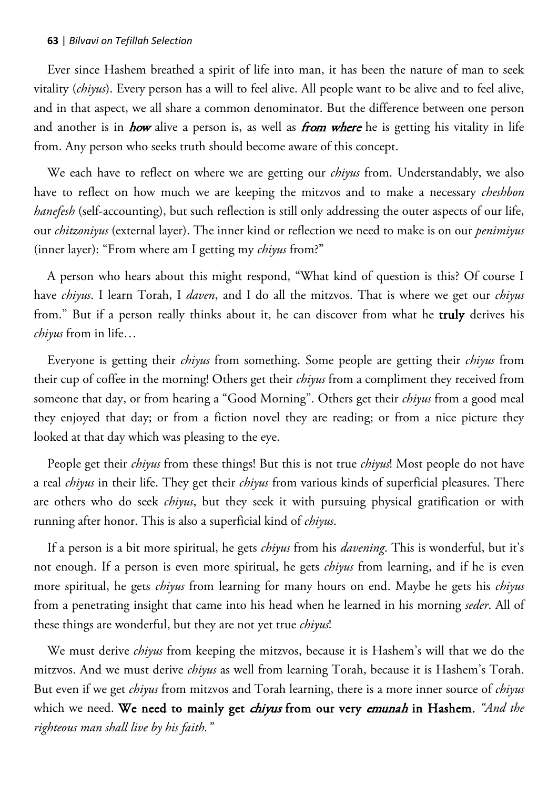Ever since Hashem breathed a spirit of life into man, it has been the nature of man to seek vitality (*chiyus*). Every person has a will to feel alive. All people want to be alive and to feel alive, and in that aspect, we all share a common denominator. But the difference between one person and another is in *how* alive a person is, as well as *from where* he is getting his vitality in life from. Any person who seeks truth should become aware of this concept.

We each have to reflect on where we are getting our *chiyus* from. Understandably, we also have to reflect on how much we are keeping the mitzvos and to make a necessary *cheshbon hanefesh* (self-accounting), but such reflection is still only addressing the outer aspects of our life, our *chitzoniyus* (external layer). The inner kind or reflection we need to make is on our *penimiyus* (inner layer): "From where am I getting my *chiyus* from?"

A person who hears about this might respond, "What kind of question is this? Of course I have *chiyus*. I learn Torah, I *daven*, and I do all the mitzvos. That is where we get our *chiyus* from." But if a person really thinks about it, he can discover from what he truly derives his *chiyus* from in life…

Everyone is getting their *chiyus* from something. Some people are getting their *chiyus* from their cup of coffee in the morning! Others get their *chiyus* from a compliment they received from someone that day, or from hearing a "Good Morning". Others get their *chiyus* from a good meal they enjoyed that day; or from a fiction novel they are reading; or from a nice picture they looked at that day which was pleasing to the eye.

People get their *chiyus* from these things! But this is not true *chiyus*! Most people do not have a real *chiyus* in their life. They get their *chiyus* from various kinds of superficial pleasures. There are others who do seek *chiyus*, but they seek it with pursuing physical gratification or with running after honor. This is also a superficial kind of *chiyus*.

If a person is a bit more spiritual, he gets *chiyus* from his *davening*. This is wonderful, but it's not enough. If a person is even more spiritual, he gets *chiyus* from learning, and if he is even more spiritual, he gets *chiyus* from learning for many hours on end. Maybe he gets his *chiyus* from a penetrating insight that came into his head when he learned in his morning *seder*. All of these things are wonderful, but they are not yet true *chiyus*!

We must derive *chiyus* from keeping the mitzvos, because it is Hashem's will that we do the mitzvos. And we must derive *chiyus* as well from learning Torah, because it is Hashem's Torah. But even if we get *chiyus* from mitzvos and Torah learning, there is a more inner source of *chiyus* which we need. We need to mainly get chiyus from our very emunah in Hashem. *"And the righteous man shall live by his faith."*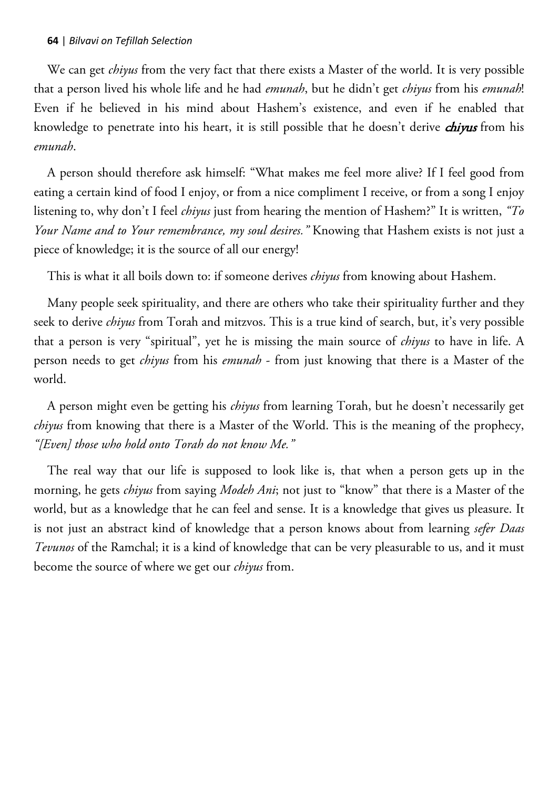We can get *chiyus* from the very fact that there exists a Master of the world. It is very possible that a person lived his whole life and he had *emunah*, but he didn't get *chiyus* from his *emunah*! Even if he believed in his mind about Hashem's existence, and even if he enabled that knowledge to penetrate into his heart, it is still possible that he doesn't derive *chiyus* from his *emunah*.

A person should therefore ask himself: "What makes me feel more alive? If I feel good from eating a certain kind of food I enjoy, or from a nice compliment I receive, or from a song I enjoy listening to, why don't I feel *chiyus* just from hearing the mention of Hashem?" It is written, *"To Your Name and to Your remembrance, my soul desires."* Knowing that Hashem exists is not just a piece of knowledge; it is the source of all our energy!

This is what it all boils down to: if someone derives *chiyus* from knowing about Hashem.

Many people seek spirituality, and there are others who take their spirituality further and they seek to derive *chiyus* from Torah and mitzvos. This is a true kind of search, but, it's very possible that a person is very "spiritual", yet he is missing the main source of *chiyus* to have in life. A person needs to get *chiyus* from his *emunah* - from just knowing that there is a Master of the world.

A person might even be getting his *chiyus* from learning Torah, but he doesn't necessarily get *chiyus* from knowing that there is a Master of the World. This is the meaning of the prophecy, *"[Even] those who hold onto Torah do not know Me."* 

The real way that our life is supposed to look like is, that when a person gets up in the morning, he gets *chiyus* from saying *Modeh Ani*; not just to "know" that there is a Master of the world, but as a knowledge that he can feel and sense. It is a knowledge that gives us pleasure. It is not just an abstract kind of knowledge that a person knows about from learning *sefer Daas Tevunos* of the Ramchal; it is a kind of knowledge that can be very pleasurable to us, and it must become the source of where we get our *chiyus* from.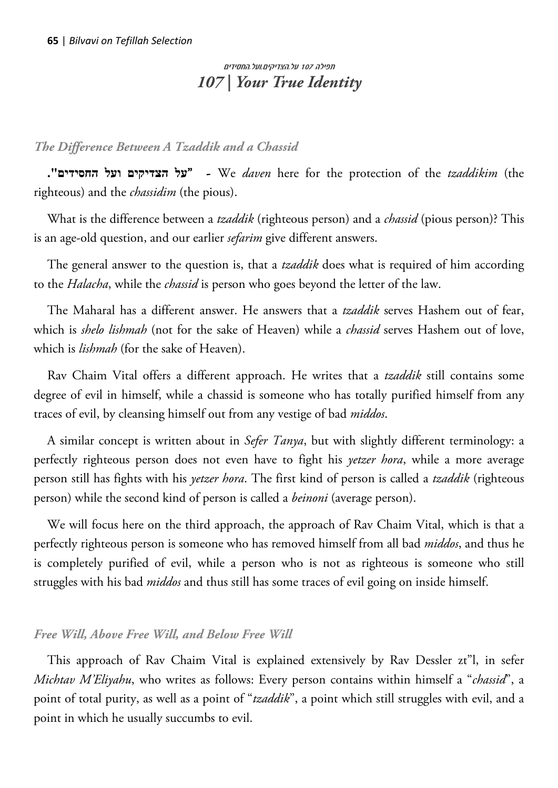# תפילה 107 על.הצדיקים.ועל.החסידים *107 | Your True Identity*

## *The Difference Between A Tzaddik and a Chassid*

**."החסידים ועל הצדיקים על** "- We *daven* here for the protection of the *tzaddikim* (the righteous) and the *chassidim* (the pious).

What is the difference between a *tzaddik* (righteous person) and a *chassid* (pious person)? This is an age-old question, and our earlier *sefarim* give different answers.

The general answer to the question is, that a *tzaddik* does what is required of him according to the *Halacha*, while the *chassid* is person who goes beyond the letter of the law.

The Maharal has a different answer. He answers that a *tzaddik* serves Hashem out of fear, which is *shelo lishmah* (not for the sake of Heaven) while a *chassid* serves Hashem out of love, which is *lishmah* (for the sake of Heaven).

Rav Chaim Vital offers a different approach. He writes that a *tzaddik* still contains some degree of evil in himself, while a chassid is someone who has totally purified himself from any traces of evil, by cleansing himself out from any vestige of bad *middos*.

A similar concept is written about in *Sefer Tanya*, but with slightly different terminology: a perfectly righteous person does not even have to fight his *yetzer hora*, while a more average person still has fights with his *yetzer hora*. The first kind of person is called a *tzaddik* (righteous person) while the second kind of person is called a *beinoni* (average person).

We will focus here on the third approach, the approach of Rav Chaim Vital, which is that a perfectly righteous person is someone who has removed himself from all bad *middos*, and thus he is completely purified of evil, while a person who is not as righteous is someone who still struggles with his bad *middos* and thus still has some traces of evil going on inside himself.

### *Free Will, Above Free Will, and Below Free Will*

This approach of Rav Chaim Vital is explained extensively by Rav Dessler zt"l, in sefer *Michtav M'Eliyahu*, who writes as follows: Every person contains within himself a "*chassid*", a point of total purity, as well as a point of "*tzaddik*", a point which still struggles with evil, and a point in which he usually succumbs to evil.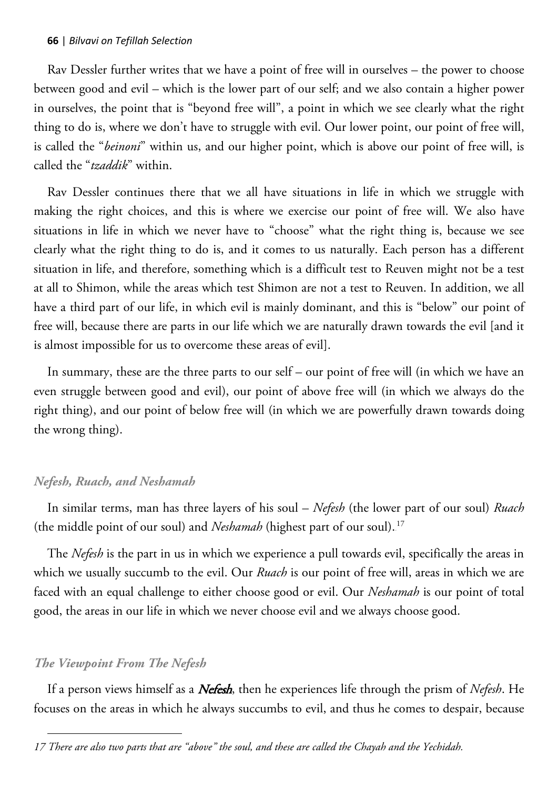Rav Dessler further writes that we have a point of free will in ourselves – the power to choose between good and evil – which is the lower part of our self; and we also contain a higher power in ourselves, the point that is "beyond free will", a point in which we see clearly what the right thing to do is, where we don't have to struggle with evil. Our lower point, our point of free will, is called the "*beinoni*" within us, and our higher point, which is above our point of free will, is called the "*tzaddik*" within.

Rav Dessler continues there that we all have situations in life in which we struggle with making the right choices, and this is where we exercise our point of free will. We also have situations in life in which we never have to "choose" what the right thing is, because we see clearly what the right thing to do is, and it comes to us naturally. Each person has a different situation in life, and therefore, something which is a difficult test to Reuven might not be a test at all to Shimon, while the areas which test Shimon are not a test to Reuven. In addition, we all have a third part of our life, in which evil is mainly dominant, and this is "below" our point of free will, because there are parts in our life which we are naturally drawn towards the evil [and it is almost impossible for us to overcome these areas of evil].

In summary, these are the three parts to our self – our point of free will (in which we have an even struggle between good and evil), our point of above free will (in which we always do the right thing), and our point of below free will (in which we are powerfully drawn towards doing the wrong thing).

### *Nefesh, Ruach, and Neshamah*

In similar terms, man has three layers of his soul – *Nefesh* (the lower part of our soul) *Ruach*  (the middle point of our soul) and *Neshamah* (highest part of our soul).<sup>17</sup>

The *Nefesh* is the part in us in which we experience a pull towards evil, specifically the areas in which we usually succumb to the evil. Our *Ruach* is our point of free will, areas in which we are faced with an equal challenge to either choose good or evil. Our *Neshamah* is our point of total good, the areas in our life in which we never choose evil and we always choose good.

## *The Viewpoint From The Nefesh*

 $\overline{a}$ 

If a person views himself as a Nefesh, then he experiences life through the prism of *Nefesh*. He focuses on the areas in which he always succumbs to evil, and thus he comes to despair, because

*<sup>17</sup> There are also two parts that are "above" the soul, and these are called the Chayah and the Yechidah.*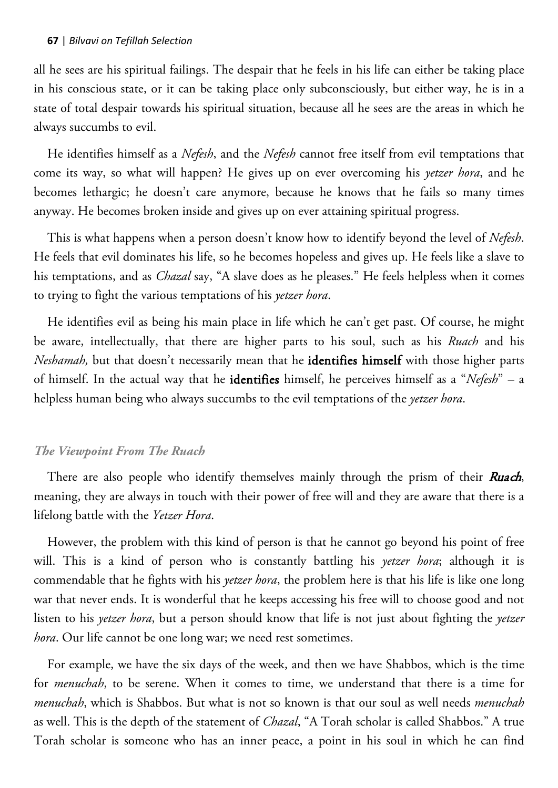all he sees are his spiritual failings. The despair that he feels in his life can either be taking place in his conscious state, or it can be taking place only subconsciously, but either way, he is in a state of total despair towards his spiritual situation, because all he sees are the areas in which he always succumbs to evil.

He identifies himself as a *Nefesh*, and the *Nefesh* cannot free itself from evil temptations that come its way, so what will happen? He gives up on ever overcoming his *yetzer hora*, and he becomes lethargic; he doesn't care anymore, because he knows that he fails so many times anyway. He becomes broken inside and gives up on ever attaining spiritual progress.

This is what happens when a person doesn't know how to identify beyond the level of *Nefesh*. He feels that evil dominates his life, so he becomes hopeless and gives up. He feels like a slave to his temptations, and as *Chazal* say, "A slave does as he pleases." He feels helpless when it comes to trying to fight the various temptations of his *yetzer hora*.

He identifies evil as being his main place in life which he can't get past. Of course, he might be aware, intellectually, that there are higher parts to his soul, such as his *Ruach* and his *Neshamah,* but that doesn't necessarily mean that he identifies himself with those higher parts of himself. In the actual way that he identifies himself, he perceives himself as a "*Nefesh*" – a helpless human being who always succumbs to the evil temptations of the *yetzer hora*.

### *The Viewpoint From The Ruach*

There are also people who identify themselves mainly through the prism of their Ruach, meaning, they are always in touch with their power of free will and they are aware that there is a lifelong battle with the *Yetzer Hora*.

However, the problem with this kind of person is that he cannot go beyond his point of free will. This is a kind of person who is constantly battling his *yetzer hora*; although it is commendable that he fights with his *yetzer hora*, the problem here is that his life is like one long war that never ends. It is wonderful that he keeps accessing his free will to choose good and not listen to his *yetzer hora*, but a person should know that life is not just about fighting the *yetzer hora*. Our life cannot be one long war; we need rest sometimes.

For example, we have the six days of the week, and then we have Shabbos, which is the time for *menuchah*, to be serene. When it comes to time, we understand that there is a time for *menuchah*, which is Shabbos. But what is not so known is that our soul as well needs *menuchah* as well. This is the depth of the statement of *Chazal*, "A Torah scholar is called Shabbos." A true Torah scholar is someone who has an inner peace, a point in his soul in which he can find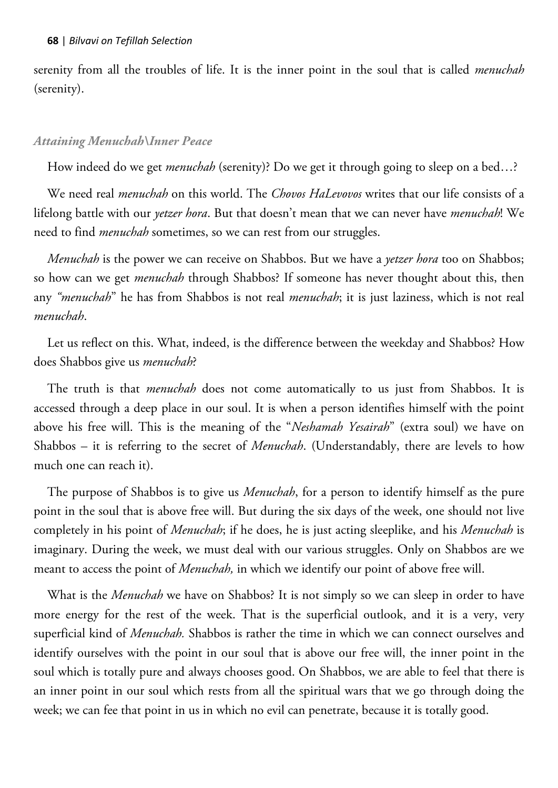serenity from all the troubles of life. It is the inner point in the soul that is called *menuchah*  (serenity).

#### *Attaining Menuchah\Inner Peace*

How indeed do we get *menuchah* (serenity)? Do we get it through going to sleep on a bed…?

We need real *menuchah* on this world. The *Chovos HaLevovos* writes that our life consists of a lifelong battle with our *yetzer hora*. But that doesn't mean that we can never have *menuchah*! We need to find *menuchah* sometimes, so we can rest from our struggles.

*Menuchah* is the power we can receive on Shabbos. But we have a *yetzer hora* too on Shabbos; so how can we get *menuchah* through Shabbos? If someone has never thought about this, then any *"menuchah*" he has from Shabbos is not real *menuchah*; it is just laziness, which is not real *menuchah*.

Let us reflect on this. What, indeed, is the difference between the weekday and Shabbos? How does Shabbos give us *menuchah*?

The truth is that *menuchah* does not come automatically to us just from Shabbos. It is accessed through a deep place in our soul. It is when a person identifies himself with the point above his free will. This is the meaning of the "*Neshamah Yesairah*" (extra soul) we have on Shabbos – it is referring to the secret of *Menuchah*. (Understandably, there are levels to how much one can reach it).

The purpose of Shabbos is to give us *Menuchah*, for a person to identify himself as the pure point in the soul that is above free will. But during the six days of the week, one should not live completely in his point of *Menuchah*; if he does, he is just acting sleeplike, and his *Menuchah* is imaginary. During the week, we must deal with our various struggles. Only on Shabbos are we meant to access the point of *Menuchah,* in which we identify our point of above free will.

What is the *Menuchah* we have on Shabbos? It is not simply so we can sleep in order to have more energy for the rest of the week. That is the superficial outlook, and it is a very, very superficial kind of *Menuchah.* Shabbos is rather the time in which we can connect ourselves and identify ourselves with the point in our soul that is above our free will, the inner point in the soul which is totally pure and always chooses good. On Shabbos, we are able to feel that there is an inner point in our soul which rests from all the spiritual wars that we go through doing the week; we can fee that point in us in which no evil can penetrate, because it is totally good.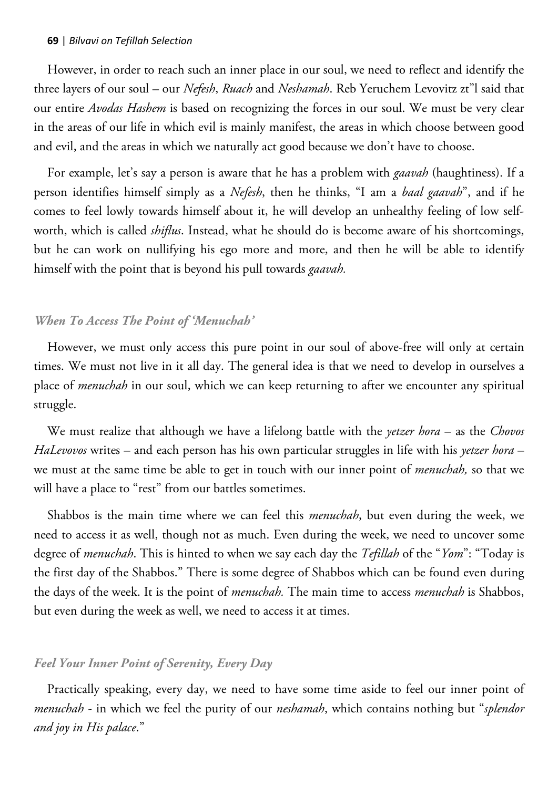However, in order to reach such an inner place in our soul, we need to reflect and identify the three layers of our soul – our *Nefesh*, *Ruach* and *Neshamah*. Reb Yeruchem Levovitz zt"l said that our entire *Avodas Hashem* is based on recognizing the forces in our soul. We must be very clear in the areas of our life in which evil is mainly manifest, the areas in which choose between good and evil, and the areas in which we naturally act good because we don't have to choose.

For example, let's say a person is aware that he has a problem with *gaavah* (haughtiness). If a person identifies himself simply as a *Nefesh*, then he thinks, "I am a *baal gaavah*", and if he comes to feel lowly towards himself about it, he will develop an unhealthy feeling of low selfworth, which is called *shiflus*. Instead, what he should do is become aware of his shortcomings, but he can work on nullifying his ego more and more, and then he will be able to identify himself with the point that is beyond his pull towards *gaavah.*

### *When To Access The Point of 'Menuchah'*

However, we must only access this pure point in our soul of above-free will only at certain times. We must not live in it all day. The general idea is that we need to develop in ourselves a place of *menuchah* in our soul, which we can keep returning to after we encounter any spiritual struggle.

We must realize that although we have a lifelong battle with the *yetzer hora* – as the *Chovos HaLevovos* writes – and each person has his own particular struggles in life with his *yetzer hora* – we must at the same time be able to get in touch with our inner point of *menuchah,* so that we will have a place to "rest" from our battles sometimes.

Shabbos is the main time where we can feel this *menuchah*, but even during the week, we need to access it as well, though not as much. Even during the week, we need to uncover some degree of *menuchah*. This is hinted to when we say each day the *Tefillah* of the "*Yom*": "Today is the first day of the Shabbos." There is some degree of Shabbos which can be found even during the days of the week. It is the point of *menuchah.* The main time to access *menuchah* is Shabbos, but even during the week as well, we need to access it at times.

### *Feel Your Inner Point of Serenity, Every Day*

Practically speaking, every day, we need to have some time aside to feel our inner point of *menuchah* - in which we feel the purity of our *neshamah*, which contains nothing but "*splendor and joy in His palace*."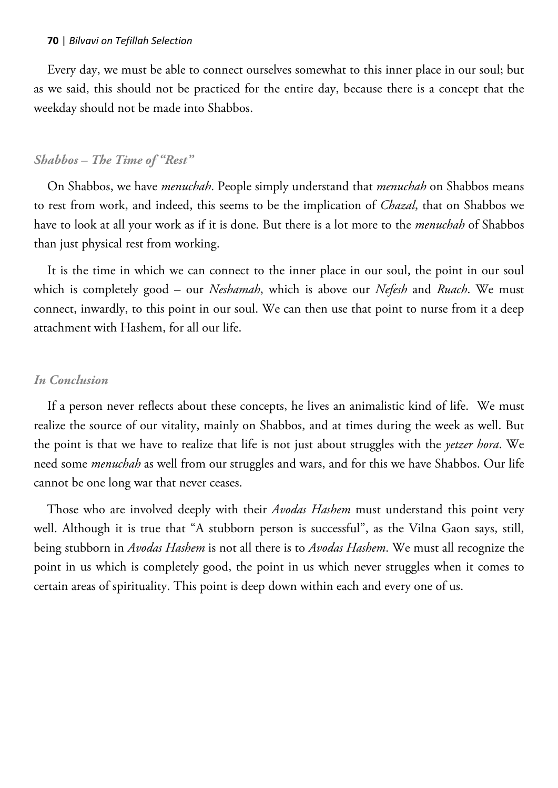Every day, we must be able to connect ourselves somewhat to this inner place in our soul; but as we said, this should not be practiced for the entire day, because there is a concept that the weekday should not be made into Shabbos.

### *Shabbos – The Time of "Rest"*

On Shabbos, we have *menuchah*. People simply understand that *menuchah* on Shabbos means to rest from work, and indeed, this seems to be the implication of *Chazal*, that on Shabbos we have to look at all your work as if it is done. But there is a lot more to the *menuchah* of Shabbos than just physical rest from working.

It is the time in which we can connect to the inner place in our soul, the point in our soul which is completely good – our *Neshamah*, which is above our *Nefesh* and *Ruach*. We must connect, inwardly, to this point in our soul. We can then use that point to nurse from it a deep attachment with Hashem, for all our life.

#### *In Conclusion*

If a person never reflects about these concepts, he lives an animalistic kind of life. We must realize the source of our vitality, mainly on Shabbos, and at times during the week as well. But the point is that we have to realize that life is not just about struggles with the *yetzer hora*. We need some *menuchah* as well from our struggles and wars, and for this we have Shabbos. Our life cannot be one long war that never ceases.

Those who are involved deeply with their *Avodas Hashem* must understand this point very well. Although it is true that "A stubborn person is successful", as the Vilna Gaon says, still, being stubborn in *Avodas Hashem* is not all there is to *Avodas Hashem*. We must all recognize the point in us which is completely good, the point in us which never struggles when it comes to certain areas of spirituality. This point is deep down within each and every one of us.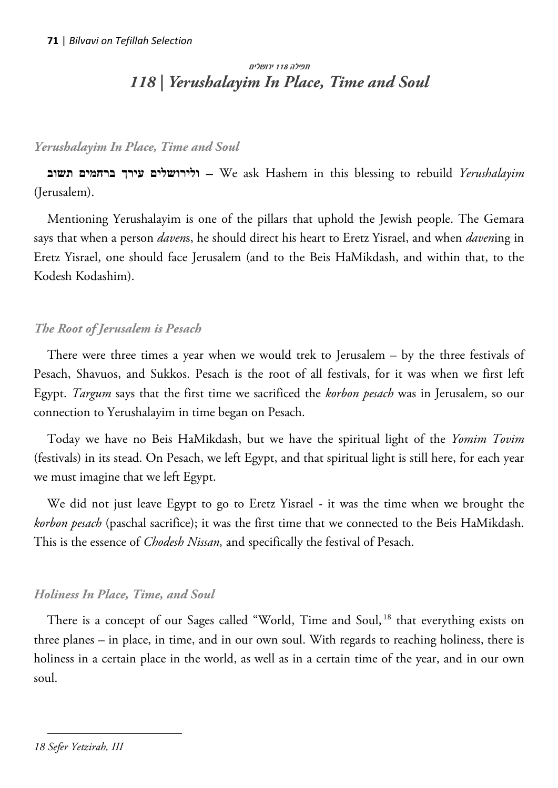# תפילה 118 ירושלים *118 | Yerushalayim In Place, Time and Soul*

## *Yerushalayim In Place, Time and Soul*

**תשוב ברחמים עירך ולירושלים** – We ask Hashem in this blessing to rebuild *Yerushalayim* (Jerusalem).

Mentioning Yerushalayim is one of the pillars that uphold the Jewish people. The Gemara says that when a person *daven*s, he should direct his heart to Eretz Yisrael, and when *daven*ing in Eretz Yisrael, one should face Jerusalem (and to the Beis HaMikdash, and within that, to the Kodesh Kodashim).

# *The Root of Jerusalem is Pesach*

There were three times a year when we would trek to Jerusalem – by the three festivals of Pesach, Shavuos, and Sukkos. Pesach is the root of all festivals, for it was when we first left Egypt. *Targum* says that the first time we sacrificed the *korbon pesach* was in Jerusalem, so our connection to Yerushalayim in time began on Pesach.

Today we have no Beis HaMikdash, but we have the spiritual light of the *Yomim Tovim* (festivals) in its stead. On Pesach, we left Egypt, and that spiritual light is still here, for each year we must imagine that we left Egypt.

We did not just leave Egypt to go to Eretz Yisrael - it was the time when we brought the *korbon pesach* (paschal sacrifice); it was the first time that we connected to the Beis HaMikdash. This is the essence of *Chodesh Nissan,* and specifically the festival of Pesach.

# *Holiness In Place, Time, and Soul*

There is a concept of our Sages called "World, Time and Soul, $^{18}$  that everything exists on three planes – in place, in time, and in our own soul. With regards to reaching holiness, there is holiness in a certain place in the world, as well as in a certain time of the year, and in our own soul.

 $\overline{a}$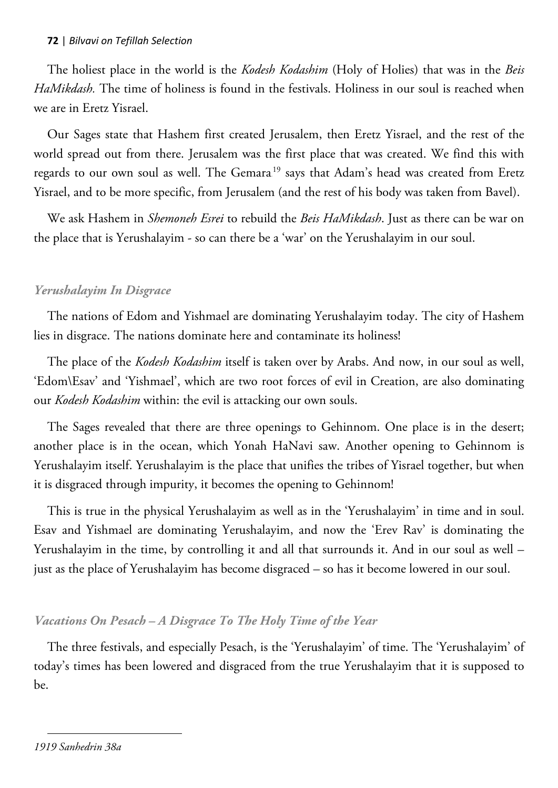The holiest place in the world is the *Kodesh Kodashim* (Holy of Holies) that was in the *Beis HaMikdash.* The time of holiness is found in the festivals. Holiness in our soul is reached when we are in Eretz Yisrael.

Our Sages state that Hashem first created Jerusalem, then Eretz Yisrael, and the rest of the world spread out from there. Jerusalem was the first place that was created. We find this with regards to our own soul as well. The Gemara<sup>19</sup> says that Adam's head was created from Eretz Yisrael, and to be more specific, from Jerusalem (and the rest of his body was taken from Bavel).

We ask Hashem in *Shemoneh Esrei* to rebuild the *Beis HaMikdash*. Just as there can be war on the place that is Yerushalayim - so can there be a 'war' on the Yerushalayim in our soul.

## *Yerushalayim In Disgrace*

The nations of Edom and Yishmael are dominating Yerushalayim today. The city of Hashem lies in disgrace. The nations dominate here and contaminate its holiness!

The place of the *Kodesh Kodashim* itself is taken over by Arabs. And now, in our soul as well, 'Edom\Esav' and 'Yishmael', which are two root forces of evil in Creation, are also dominating our *Kodesh Kodashim* within: the evil is attacking our own souls.

The Sages revealed that there are three openings to Gehinnom. One place is in the desert; another place is in the ocean, which Yonah HaNavi saw. Another opening to Gehinnom is Yerushalayim itself. Yerushalayim is the place that unifies the tribes of Yisrael together, but when it is disgraced through impurity, it becomes the opening to Gehinnom!

This is true in the physical Yerushalayim as well as in the 'Yerushalayim' in time and in soul. Esav and Yishmael are dominating Yerushalayim, and now the 'Erev Rav' is dominating the Yerushalayim in the time, by controlling it and all that surrounds it. And in our soul as well – just as the place of Yerushalayim has become disgraced – so has it become lowered in our soul.

# *Vacations On Pesach – A Disgrace To The Holy Time of the Year*

The three festivals, and especially Pesach, is the 'Yerushalayim' of time. The 'Yerushalayim' of today's times has been lowered and disgraced from the true Yerushalayim that it is supposed to be.

 $\overline{a}$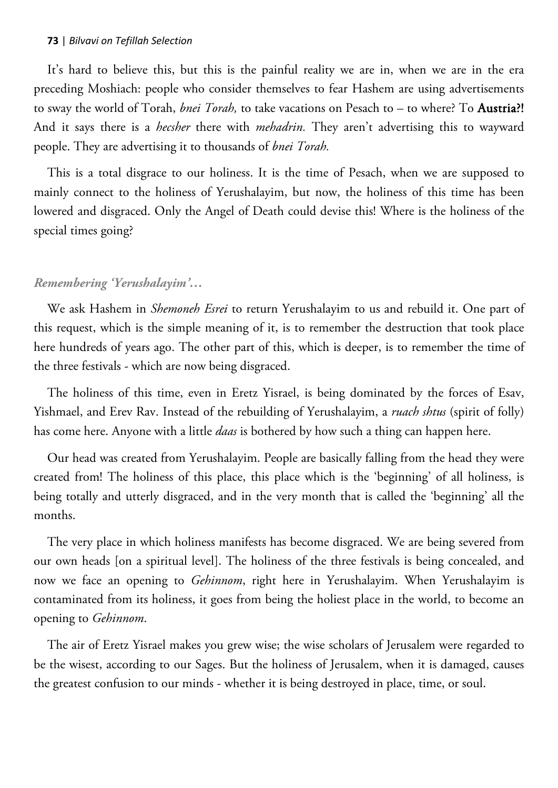It's hard to believe this, but this is the painful reality we are in, when we are in the era preceding Moshiach: people who consider themselves to fear Hashem are using advertisements to sway the world of Torah, *bnei Torah,* to take vacations on Pesach to – to where? To Austria?! And it says there is a *hecsher* there with *mehadrin.* They aren't advertising this to wayward people. They are advertising it to thousands of *bnei Torah.*

This is a total disgrace to our holiness. It is the time of Pesach, when we are supposed to mainly connect to the holiness of Yerushalayim, but now, the holiness of this time has been lowered and disgraced. Only the Angel of Death could devise this! Where is the holiness of the special times going?

## *Remembering 'Yerushalayim'…*

We ask Hashem in *Shemoneh Esrei* to return Yerushalayim to us and rebuild it. One part of this request, which is the simple meaning of it, is to remember the destruction that took place here hundreds of years ago. The other part of this, which is deeper, is to remember the time of the three festivals - which are now being disgraced.

The holiness of this time, even in Eretz Yisrael, is being dominated by the forces of Esav, Yishmael, and Erev Rav. Instead of the rebuilding of Yerushalayim, a *ruach shtus* (spirit of folly) has come here. Anyone with a little *daas* is bothered by how such a thing can happen here.

Our head was created from Yerushalayim. People are basically falling from the head they were created from! The holiness of this place, this place which is the 'beginning' of all holiness, is being totally and utterly disgraced, and in the very month that is called the 'beginning' all the months.

The very place in which holiness manifests has become disgraced. We are being severed from our own heads [on a spiritual level]. The holiness of the three festivals is being concealed, and now we face an opening to *Gehinnom*, right here in Yerushalayim. When Yerushalayim is contaminated from its holiness, it goes from being the holiest place in the world, to become an opening to *Gehinnom*.

The air of Eretz Yisrael makes you grew wise; the wise scholars of Jerusalem were regarded to be the wisest, according to our Sages. But the holiness of Jerusalem, when it is damaged, causes the greatest confusion to our minds - whether it is being destroyed in place, time, or soul.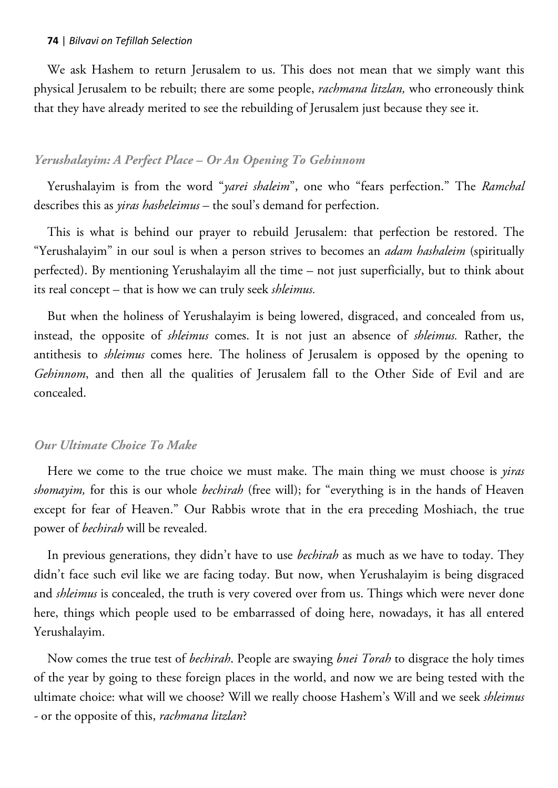We ask Hashem to return Jerusalem to us. This does not mean that we simply want this physical Jerusalem to be rebuilt; there are some people, *rachmana litzlan,* who erroneously think that they have already merited to see the rebuilding of Jerusalem just because they see it.

### *Yerushalayim: A Perfect Place – Or An Opening To Gehinnom*

Yerushalayim is from the word "*yarei shaleim*", one who "fears perfection." The *Ramchal*  describes this as *yiras hasheleimus* – the soul's demand for perfection.

This is what is behind our prayer to rebuild Jerusalem: that perfection be restored. The "Yerushalayim" in our soul is when a person strives to becomes an *adam hashaleim* (spiritually perfected). By mentioning Yerushalayim all the time – not just superficially, but to think about its real concept – that is how we can truly seek *shleimus.*

But when the holiness of Yerushalayim is being lowered, disgraced, and concealed from us, instead, the opposite of *shleimus* comes. It is not just an absence of *shleimus.* Rather, the antithesis to *shleimus* comes here. The holiness of Jerusalem is opposed by the opening to *Gehinnom*, and then all the qualities of Jerusalem fall to the Other Side of Evil and are concealed.

#### *Our Ultimate Choice To Make*

Here we come to the true choice we must make. The main thing we must choose is *yiras shomayim,* for this is our whole *bechirah* (free will); for "everything is in the hands of Heaven except for fear of Heaven." Our Rabbis wrote that in the era preceding Moshiach, the true power of *bechirah* will be revealed.

In previous generations, they didn't have to use *bechirah* as much as we have to today. They didn't face such evil like we are facing today. But now, when Yerushalayim is being disgraced and *shleimus* is concealed, the truth is very covered over from us. Things which were never done here, things which people used to be embarrassed of doing here, nowadays, it has all entered Yerushalayim.

Now comes the true test of *bechirah*. People are swaying *bnei Torah* to disgrace the holy times of the year by going to these foreign places in the world, and now we are being tested with the ultimate choice: what will we choose? Will we really choose Hashem's Will and we seek *shleimus -* or the opposite of this, *rachmana litzlan*?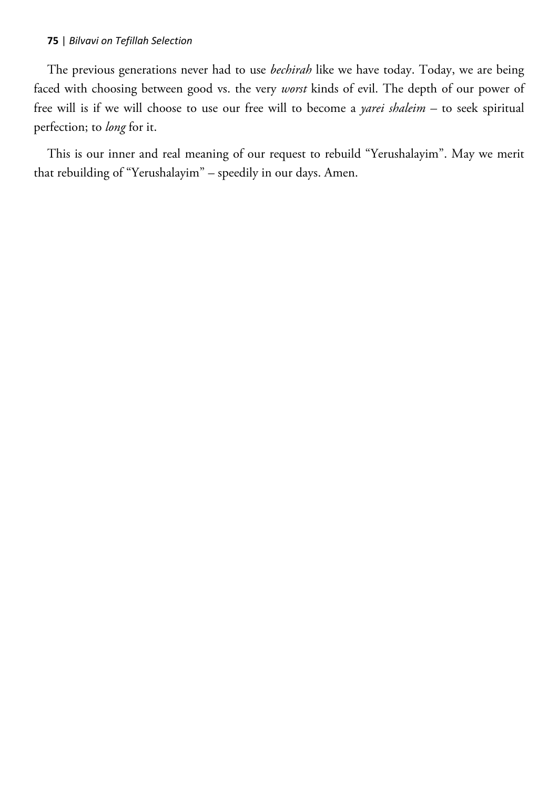The previous generations never had to use *bechirah* like we have today. Today, we are being faced with choosing between good vs. the very *worst* kinds of evil. The depth of our power of free will is if we will choose to use our free will to become a *yarei shaleim –* to seek spiritual perfection; to *long* for it.

This is our inner and real meaning of our request to rebuild "Yerushalayim". May we merit that rebuilding of "Yerushalayim" – speedily in our days. Amen.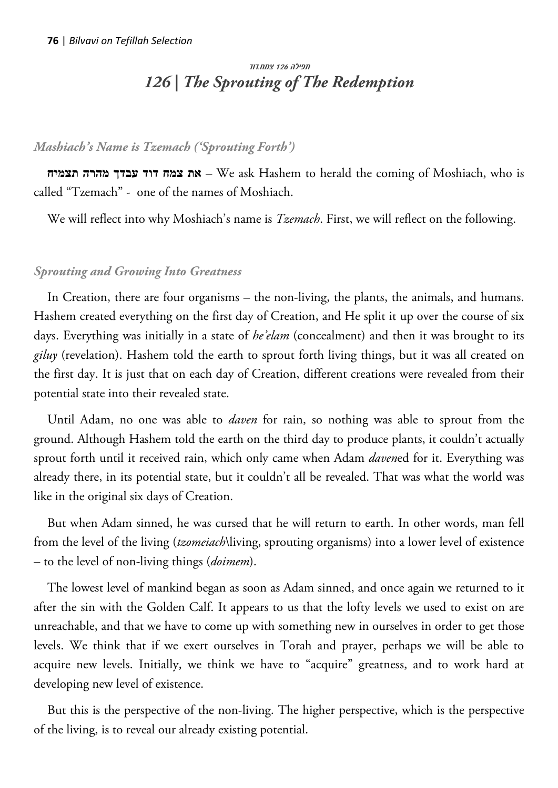# תפילה 126 צמח.דוד *126 | The Sprouting of The Redemption*

# *Mashiach's Name is Tzemach ('Sprouting Forth')*

**תצמיח מהרה עבדך דוד צמח את** – We ask Hashem to herald the coming of Moshiach, who is called "Tzemach" - one of the names of Moshiach.

We will reflect into why Moshiach's name is *Tzemach*. First, we will reflect on the following.

## *Sprouting and Growing Into Greatness*

In Creation, there are four organisms – the non-living, the plants, the animals, and humans. Hashem created everything on the first day of Creation, and He split it up over the course of six days. Everything was initially in a state of *he'elam* (concealment) and then it was brought to its *giluy* (revelation). Hashem told the earth to sprout forth living things, but it was all created on the first day. It is just that on each day of Creation, different creations were revealed from their potential state into their revealed state.

Until Adam, no one was able to *daven* for rain, so nothing was able to sprout from the ground. Although Hashem told the earth on the third day to produce plants, it couldn't actually sprout forth until it received rain, which only came when Adam *daven*ed for it. Everything was already there, in its potential state, but it couldn't all be revealed. That was what the world was like in the original six days of Creation.

But when Adam sinned, he was cursed that he will return to earth. In other words, man fell from the level of the living (*tzomeiach*\living, sprouting organisms) into a lower level of existence – to the level of non-living things (*doimem*).

The lowest level of mankind began as soon as Adam sinned, and once again we returned to it after the sin with the Golden Calf. It appears to us that the lofty levels we used to exist on are unreachable, and that we have to come up with something new in ourselves in order to get those levels. We think that if we exert ourselves in Torah and prayer, perhaps we will be able to acquire new levels. Initially, we think we have to "acquire" greatness, and to work hard at developing new level of existence.

But this is the perspective of the non-living. The higher perspective, which is the perspective of the living, is to reveal our already existing potential.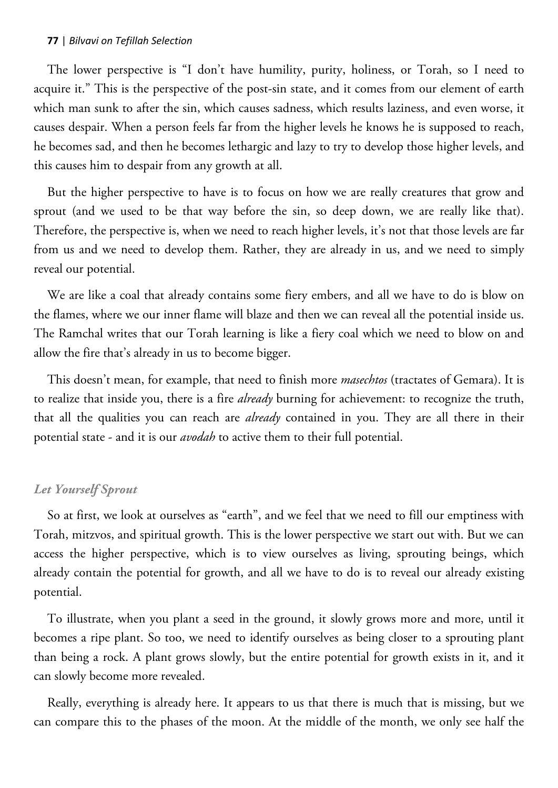The lower perspective is "I don't have humility, purity, holiness, or Torah, so I need to acquire it." This is the perspective of the post-sin state, and it comes from our element of earth which man sunk to after the sin, which causes sadness, which results laziness, and even worse, it causes despair. When a person feels far from the higher levels he knows he is supposed to reach, he becomes sad, and then he becomes lethargic and lazy to try to develop those higher levels, and this causes him to despair from any growth at all.

But the higher perspective to have is to focus on how we are really creatures that grow and sprout (and we used to be that way before the sin, so deep down, we are really like that). Therefore, the perspective is, when we need to reach higher levels, it's not that those levels are far from us and we need to develop them. Rather, they are already in us, and we need to simply reveal our potential.

We are like a coal that already contains some fiery embers, and all we have to do is blow on the flames, where we our inner flame will blaze and then we can reveal all the potential inside us. The Ramchal writes that our Torah learning is like a fiery coal which we need to blow on and allow the fire that's already in us to become bigger.

This doesn't mean, for example, that need to finish more *masechtos* (tractates of Gemara). It is to realize that inside you, there is a fire *already* burning for achievement: to recognize the truth, that all the qualities you can reach are *already* contained in you. They are all there in their potential state - and it is our *avodah* to active them to their full potential.

## *Let Yourself Sprout*

So at first, we look at ourselves as "earth", and we feel that we need to fill our emptiness with Torah, mitzvos, and spiritual growth. This is the lower perspective we start out with. But we can access the higher perspective, which is to view ourselves as living, sprouting beings, which already contain the potential for growth, and all we have to do is to reveal our already existing potential.

To illustrate, when you plant a seed in the ground, it slowly grows more and more, until it becomes a ripe plant. So too, we need to identify ourselves as being closer to a sprouting plant than being a rock. A plant grows slowly, but the entire potential for growth exists in it, and it can slowly become more revealed.

Really, everything is already here. It appears to us that there is much that is missing, but we can compare this to the phases of the moon. At the middle of the month, we only see half the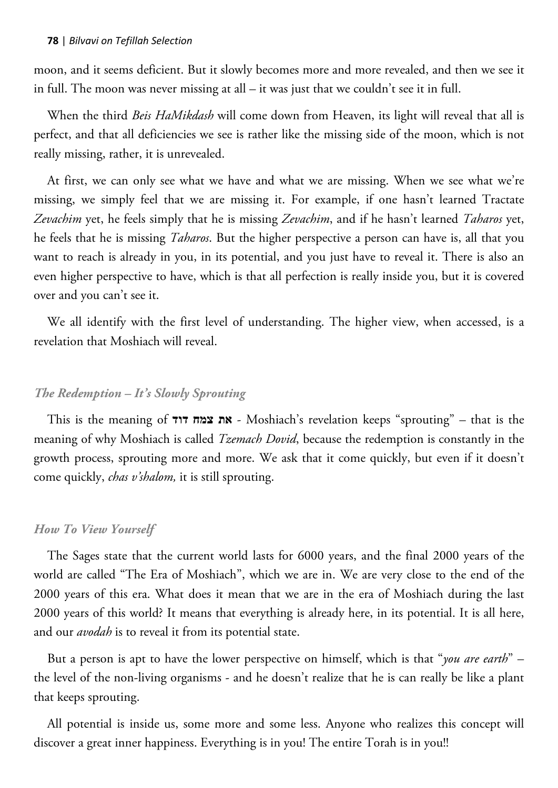moon, and it seems deficient. But it slowly becomes more and more revealed, and then we see it in full. The moon was never missing at all – it was just that we couldn't see it in full.

When the third *Beis HaMikdash* will come down from Heaven, its light will reveal that all is perfect, and that all deficiencies we see is rather like the missing side of the moon, which is not really missing, rather, it is unrevealed.

At first, we can only see what we have and what we are missing. When we see what we're missing, we simply feel that we are missing it. For example, if one hasn't learned Tractate *Zevachim* yet, he feels simply that he is missing *Zevachim*, and if he hasn't learned *Taharos* yet, he feels that he is missing *Taharos*. But the higher perspective a person can have is, all that you want to reach is already in you, in its potential, and you just have to reveal it. There is also an even higher perspective to have, which is that all perfection is really inside you, but it is covered over and you can't see it.

We all identify with the first level of understanding. The higher view, when accessed, is a revelation that Moshiach will reveal.

### *The Redemption – It's Slowly Sprouting*

This is the meaning of **דוד צמח את** - Moshiach's revelation keeps "sprouting" – that is the meaning of why Moshiach is called *Tzemach Dovid*, because the redemption is constantly in the growth process, sprouting more and more. We ask that it come quickly, but even if it doesn't come quickly, *chas v'shalom,* it is still sprouting.

#### *How To View Yourself*

The Sages state that the current world lasts for 6000 years, and the final 2000 years of the world are called "The Era of Moshiach", which we are in. We are very close to the end of the 2000 years of this era. What does it mean that we are in the era of Moshiach during the last 2000 years of this world? It means that everything is already here, in its potential. It is all here, and our *avodah* is to reveal it from its potential state.

But a person is apt to have the lower perspective on himself, which is that "*you are earth*" – the level of the non-living organisms - and he doesn't realize that he is can really be like a plant that keeps sprouting.

All potential is inside us, some more and some less. Anyone who realizes this concept will discover a great inner happiness. Everything is in you! The entire Torah is in you!!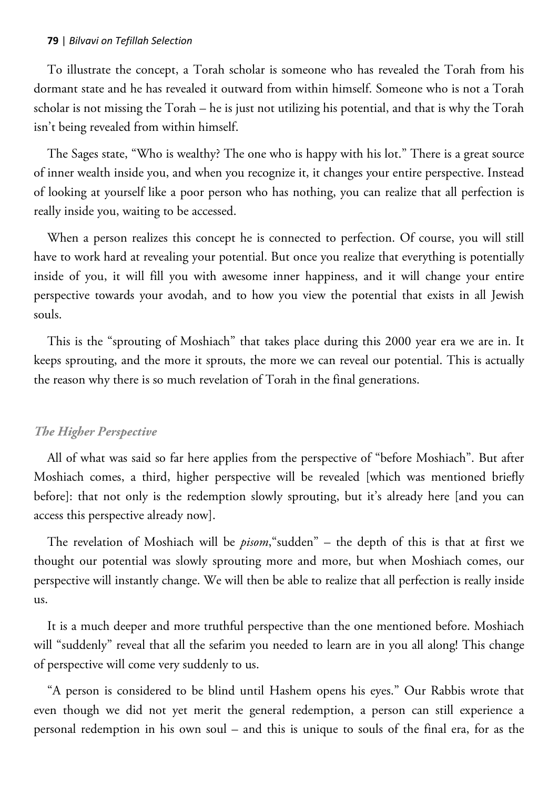To illustrate the concept, a Torah scholar is someone who has revealed the Torah from his dormant state and he has revealed it outward from within himself. Someone who is not a Torah scholar is not missing the Torah – he is just not utilizing his potential, and that is why the Torah isn't being revealed from within himself.

The Sages state, "Who is wealthy? The one who is happy with his lot." There is a great source of inner wealth inside you, and when you recognize it, it changes your entire perspective. Instead of looking at yourself like a poor person who has nothing, you can realize that all perfection is really inside you, waiting to be accessed.

When a person realizes this concept he is connected to perfection. Of course, you will still have to work hard at revealing your potential. But once you realize that everything is potentially inside of you, it will fill you with awesome inner happiness, and it will change your entire perspective towards your avodah, and to how you view the potential that exists in all Jewish souls.

This is the "sprouting of Moshiach" that takes place during this 2000 year era we are in. It keeps sprouting, and the more it sprouts, the more we can reveal our potential. This is actually the reason why there is so much revelation of Torah in the final generations.

#### *The Higher Perspective*

All of what was said so far here applies from the perspective of "before Moshiach". But after Moshiach comes, a third, higher perspective will be revealed [which was mentioned briefly before]: that not only is the redemption slowly sprouting, but it's already here [and you can access this perspective already now].

The revelation of Moshiach will be *pisom*,"sudden" – the depth of this is that at first we thought our potential was slowly sprouting more and more, but when Moshiach comes, our perspective will instantly change. We will then be able to realize that all perfection is really inside us.

It is a much deeper and more truthful perspective than the one mentioned before. Moshiach will "suddenly" reveal that all the sefarim you needed to learn are in you all along! This change of perspective will come very suddenly to us.

"A person is considered to be blind until Hashem opens his eyes." Our Rabbis wrote that even though we did not yet merit the general redemption, a person can still experience a personal redemption in his own soul – and this is unique to souls of the final era, for as the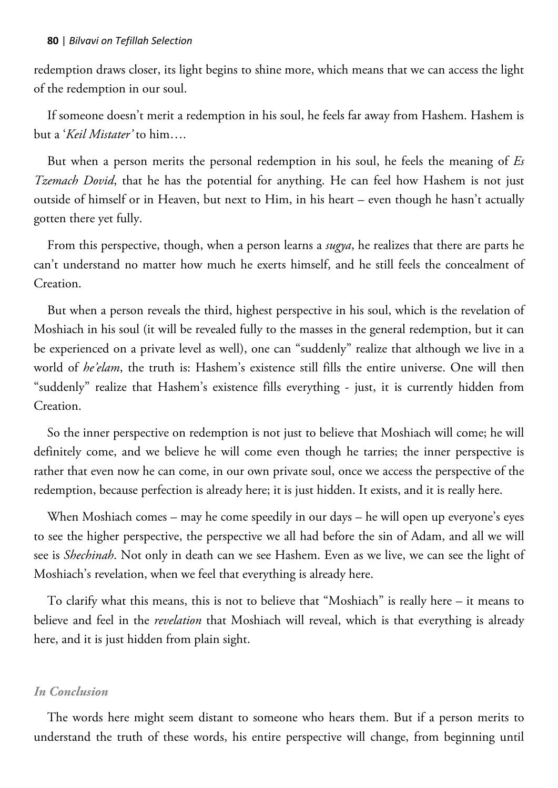redemption draws closer, its light begins to shine more, which means that we can access the light of the redemption in our soul.

If someone doesn't merit a redemption in his soul, he feels far away from Hashem. Hashem is but a '*Keil Mistater'* to him….

But when a person merits the personal redemption in his soul, he feels the meaning of *Es Tzemach Dovid*, that he has the potential for anything. He can feel how Hashem is not just outside of himself or in Heaven, but next to Him, in his heart – even though he hasn't actually gotten there yet fully.

From this perspective, though, when a person learns a *sugya*, he realizes that there are parts he can't understand no matter how much he exerts himself, and he still feels the concealment of Creation.

But when a person reveals the third, highest perspective in his soul, which is the revelation of Moshiach in his soul (it will be revealed fully to the masses in the general redemption, but it can be experienced on a private level as well), one can "suddenly" realize that although we live in a world of *he'elam*, the truth is: Hashem's existence still fills the entire universe. One will then "suddenly" realize that Hashem's existence fills everything - just, it is currently hidden from Creation.

So the inner perspective on redemption is not just to believe that Moshiach will come; he will definitely come, and we believe he will come even though he tarries; the inner perspective is rather that even now he can come, in our own private soul, once we access the perspective of the redemption, because perfection is already here; it is just hidden. It exists, and it is really here.

When Moshiach comes – may he come speedily in our days – he will open up everyone's eyes to see the higher perspective, the perspective we all had before the sin of Adam, and all we will see is *Shechinah*. Not only in death can we see Hashem. Even as we live, we can see the light of Moshiach's revelation, when we feel that everything is already here.

To clarify what this means, this is not to believe that "Moshiach" is really here – it means to believe and feel in the *revelation* that Moshiach will reveal, which is that everything is already here, and it is just hidden from plain sight.

## *In Conclusion*

The words here might seem distant to someone who hears them. But if a person merits to understand the truth of these words, his entire perspective will change, from beginning until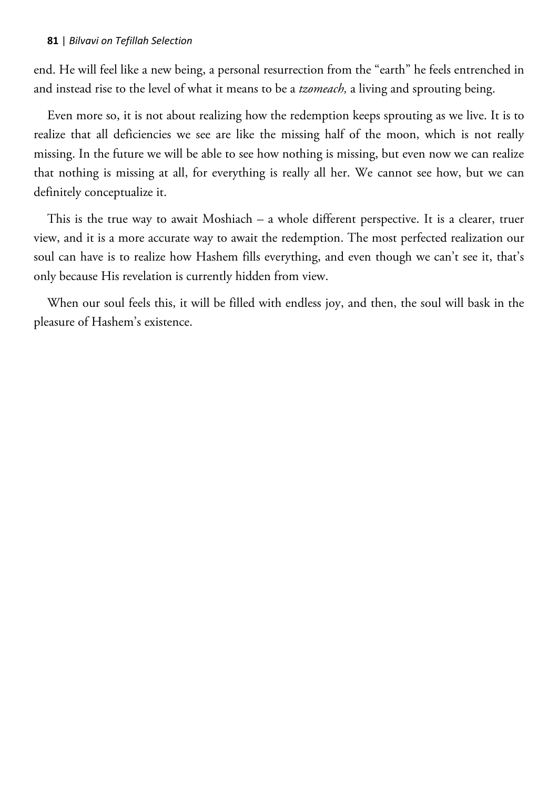end. He will feel like a new being, a personal resurrection from the "earth" he feels entrenched in and instead rise to the level of what it means to be a *tzomeach,* a living and sprouting being.

Even more so, it is not about realizing how the redemption keeps sprouting as we live. It is to realize that all deficiencies we see are like the missing half of the moon, which is not really missing. In the future we will be able to see how nothing is missing, but even now we can realize that nothing is missing at all, for everything is really all her. We cannot see how, but we can definitely conceptualize it.

This is the true way to await Moshiach – a whole different perspective. It is a clearer, truer view, and it is a more accurate way to await the redemption. The most perfected realization our soul can have is to realize how Hashem fills everything, and even though we can't see it, that's only because His revelation is currently hidden from view.

When our soul feels this, it will be filled with endless joy, and then, the soul will bask in the pleasure of Hashem's existence.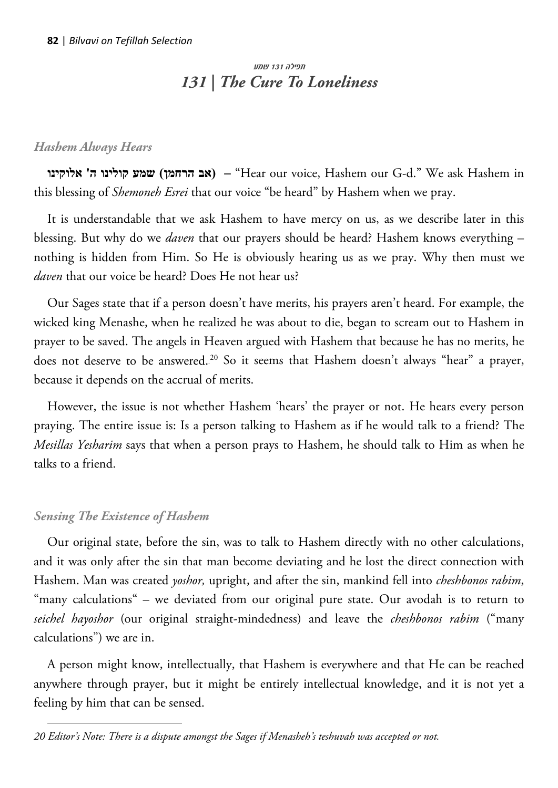# תפילה 131 שמע *131 | The Cure To Loneliness*

# *Hashem Always Hears*

**אלוקינו' ה קולינו שמע) הרחמן אב**" **– (**Hear our voice, Hashem our G-d." We ask Hashem in this blessing of *Shemoneh Esrei* that our voice "be heard" by Hashem when we pray.

It is understandable that we ask Hashem to have mercy on us, as we describe later in this blessing. But why do we *daven* that our prayers should be heard? Hashem knows everything – nothing is hidden from Him. So He is obviously hearing us as we pray. Why then must we *daven* that our voice be heard? Does He not hear us?

Our Sages state that if a person doesn't have merits, his prayers aren't heard. For example, the wicked king Menashe, when he realized he was about to die, began to scream out to Hashem in prayer to be saved. The angels in Heaven argued with Hashem that because he has no merits, he does not deserve to be answered.<sup>20</sup> So it seems that Hashem doesn't always "hear" a prayer, because it depends on the accrual of merits.

However, the issue is not whether Hashem 'hears' the prayer or not. He hears every person praying. The entire issue is: Is a person talking to Hashem as if he would talk to a friend? The *Mesillas Yesharim* says that when a person prays to Hashem, he should talk to Him as when he talks to a friend.

# *Sensing The Existence of Hashem*

 $\overline{a}$ 

Our original state, before the sin, was to talk to Hashem directly with no other calculations, and it was only after the sin that man become deviating and he lost the direct connection with Hashem. Man was created *yoshor,* upright, and after the sin, mankind fell into *cheshbonos rabim*, "many calculations" – we deviated from our original pure state. Our avodah is to return to *seichel hayoshor* (our original straight-mindedness) and leave the *cheshbonos rabim* ("many calculations") we are in.

A person might know, intellectually, that Hashem is everywhere and that He can be reached anywhere through prayer, but it might be entirely intellectual knowledge, and it is not yet a feeling by him that can be sensed.

*<sup>20</sup> Editor's Note: There is a dispute amongst the Sages if Menasheh's teshuvah was accepted or not.*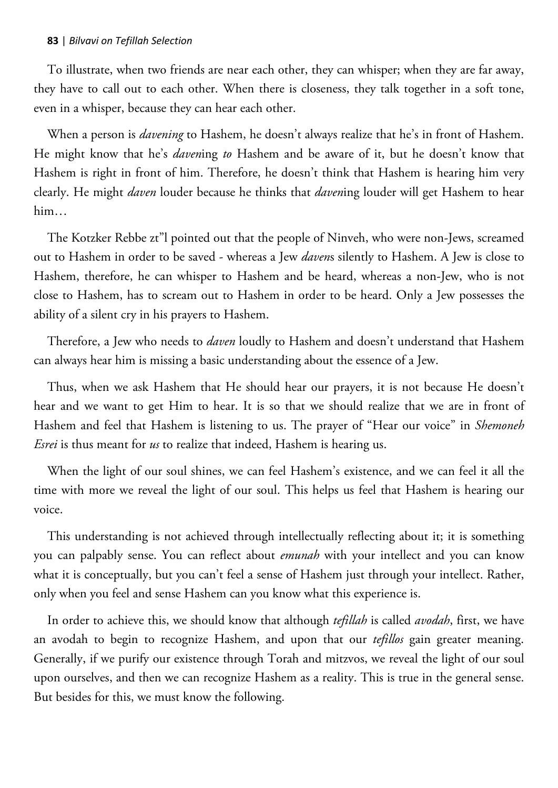To illustrate, when two friends are near each other, they can whisper; when they are far away, they have to call out to each other. When there is closeness, they talk together in a soft tone, even in a whisper, because they can hear each other.

When a person is *davening* to Hashem, he doesn't always realize that he's in front of Hashem. He might know that he's *daven*ing *to* Hashem and be aware of it, but he doesn't know that Hashem is right in front of him. Therefore, he doesn't think that Hashem is hearing him very clearly. He might *daven* louder because he thinks that *daven*ing louder will get Hashem to hear him…

The Kotzker Rebbe zt"l pointed out that the people of Ninveh, who were non-Jews, screamed out to Hashem in order to be saved - whereas a Jew *daven*s silently to Hashem. A Jew is close to Hashem, therefore, he can whisper to Hashem and be heard, whereas a non-Jew, who is not close to Hashem, has to scream out to Hashem in order to be heard. Only a Jew possesses the ability of a silent cry in his prayers to Hashem.

Therefore, a Jew who needs to *daven* loudly to Hashem and doesn't understand that Hashem can always hear him is missing a basic understanding about the essence of a Jew.

Thus, when we ask Hashem that He should hear our prayers, it is not because He doesn't hear and we want to get Him to hear. It is so that we should realize that we are in front of Hashem and feel that Hashem is listening to us. The prayer of "Hear our voice" in *Shemoneh Esrei* is thus meant for *us* to realize that indeed, Hashem is hearing us.

When the light of our soul shines, we can feel Hashem's existence, and we can feel it all the time with more we reveal the light of our soul. This helps us feel that Hashem is hearing our voice.

This understanding is not achieved through intellectually reflecting about it; it is something you can palpably sense. You can reflect about *emunah* with your intellect and you can know what it is conceptually, but you can't feel a sense of Hashem just through your intellect. Rather, only when you feel and sense Hashem can you know what this experience is.

In order to achieve this, we should know that although *tefillah* is called *avodah*, first, we have an avodah to begin to recognize Hashem, and upon that our *tefillos* gain greater meaning. Generally, if we purify our existence through Torah and mitzvos, we reveal the light of our soul upon ourselves, and then we can recognize Hashem as a reality. This is true in the general sense. But besides for this, we must know the following.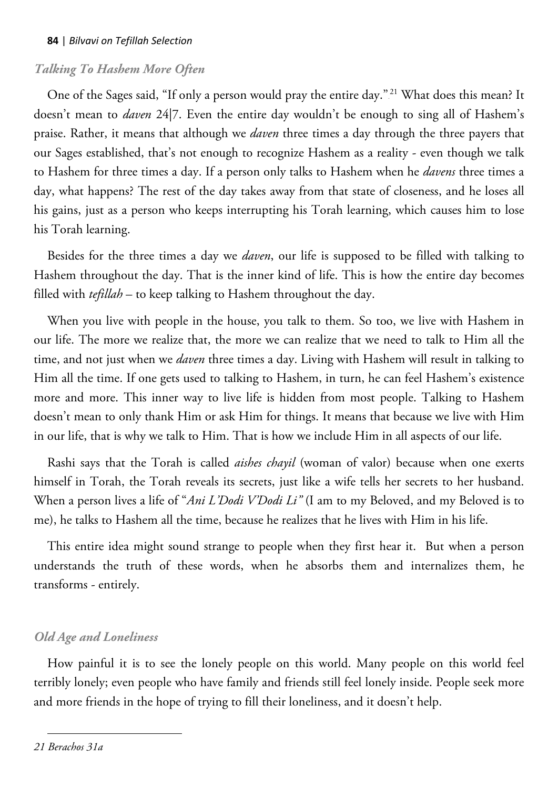## *Talking To Hashem More Often*

One of the Sages said, "If only a person would pray the entire day."<sup>21</sup> What does this mean? It doesn't mean to *daven* 24|7. Even the entire day wouldn't be enough to sing all of Hashem's praise. Rather, it means that although we *daven* three times a day through the three payers that our Sages established, that's not enough to recognize Hashem as a reality - even though we talk to Hashem for three times a day. If a person only talks to Hashem when he *davens* three times a day, what happens? The rest of the day takes away from that state of closeness, and he loses all his gains, just as a person who keeps interrupting his Torah learning, which causes him to lose his Torah learning.

Besides for the three times a day we *daven*, our life is supposed to be filled with talking to Hashem throughout the day. That is the inner kind of life. This is how the entire day becomes filled with *tefillah* – to keep talking to Hashem throughout the day.

When you live with people in the house, you talk to them. So too, we live with Hashem in our life. The more we realize that, the more we can realize that we need to talk to Him all the time, and not just when we *daven* three times a day. Living with Hashem will result in talking to Him all the time. If one gets used to talking to Hashem, in turn, he can feel Hashem's existence more and more. This inner way to live life is hidden from most people. Talking to Hashem doesn't mean to only thank Him or ask Him for things. It means that because we live with Him in our life, that is why we talk to Him. That is how we include Him in all aspects of our life.

Rashi says that the Torah is called *aishes chayil* (woman of valor) because when one exerts himself in Torah, the Torah reveals its secrets, just like a wife tells her secrets to her husband. When a person lives a life of "*Ani L'Dodi V'Dodi Li"* (I am to my Beloved, and my Beloved is to me), he talks to Hashem all the time, because he realizes that he lives with Him in his life.

This entire idea might sound strange to people when they first hear it. But when a person understands the truth of these words, when he absorbs them and internalizes them, he transforms - entirely.

# *Old Age and Loneliness*

How painful it is to see the lonely people on this world. Many people on this world feel terribly lonely; even people who have family and friends still feel lonely inside. People seek more and more friends in the hope of trying to fill their loneliness, and it doesn't help.

 $\overline{a}$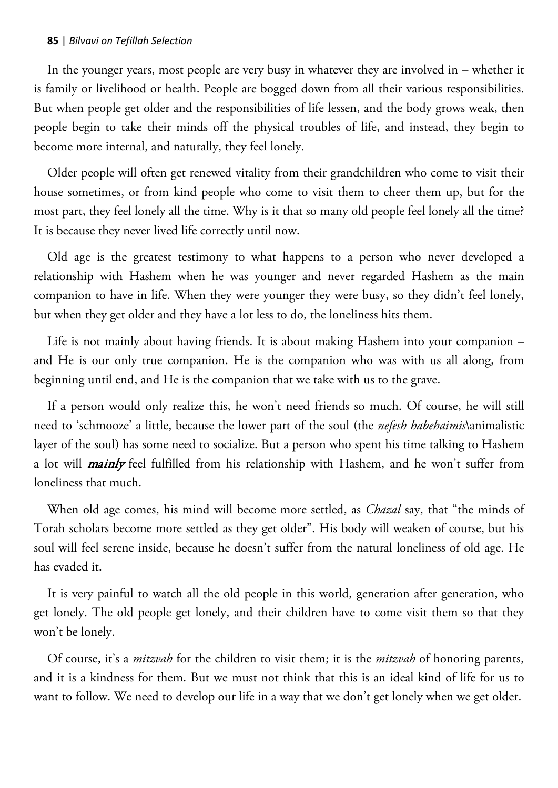In the younger years, most people are very busy in whatever they are involved in – whether it is family or livelihood or health. People are bogged down from all their various responsibilities. But when people get older and the responsibilities of life lessen, and the body grows weak, then people begin to take their minds off the physical troubles of life, and instead, they begin to become more internal, and naturally, they feel lonely.

Older people will often get renewed vitality from their grandchildren who come to visit their house sometimes, or from kind people who come to visit them to cheer them up, but for the most part, they feel lonely all the time. Why is it that so many old people feel lonely all the time? It is because they never lived life correctly until now.

Old age is the greatest testimony to what happens to a person who never developed a relationship with Hashem when he was younger and never regarded Hashem as the main companion to have in life. When they were younger they were busy, so they didn't feel lonely, but when they get older and they have a lot less to do, the loneliness hits them.

Life is not mainly about having friends. It is about making Hashem into your companion – and He is our only true companion. He is the companion who was with us all along, from beginning until end, and He is the companion that we take with us to the grave.

If a person would only realize this, he won't need friends so much. Of course, he will still need to 'schmooze' a little, because the lower part of the soul (the *nefesh habehaimis*\animalistic layer of the soul) has some need to socialize. But a person who spent his time talking to Hashem a lot will *mainly* feel fulfilled from his relationship with Hashem, and he won't suffer from loneliness that much.

When old age comes, his mind will become more settled, as *Chazal* say, that "the minds of Torah scholars become more settled as they get older". His body will weaken of course, but his soul will feel serene inside, because he doesn't suffer from the natural loneliness of old age. He has evaded it.

It is very painful to watch all the old people in this world, generation after generation, who get lonely. The old people get lonely, and their children have to come visit them so that they won't be lonely.

Of course, it's a *mitzvah* for the children to visit them; it is the *mitzvah* of honoring parents, and it is a kindness for them. But we must not think that this is an ideal kind of life for us to want to follow. We need to develop our life in a way that we don't get lonely when we get older.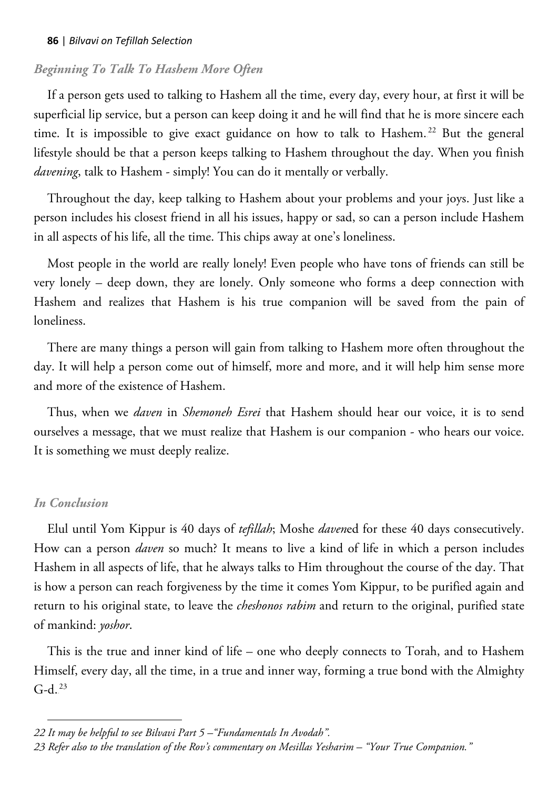## *Beginning To Talk To Hashem More Often*

If a person gets used to talking to Hashem all the time, every day, every hour, at first it will be superficial lip service, but a person can keep doing it and he will find that he is more sincere each time. It is impossible to give exact guidance on how to talk to Hashem.<sup>22</sup> But the general lifestyle should be that a person keeps talking to Hashem throughout the day. When you finish *davening*, talk to Hashem - simply! You can do it mentally or verbally.

Throughout the day, keep talking to Hashem about your problems and your joys. Just like a person includes his closest friend in all his issues, happy or sad, so can a person include Hashem in all aspects of his life, all the time. This chips away at one's loneliness.

Most people in the world are really lonely! Even people who have tons of friends can still be very lonely – deep down, they are lonely. Only someone who forms a deep connection with Hashem and realizes that Hashem is his true companion will be saved from the pain of loneliness.

There are many things a person will gain from talking to Hashem more often throughout the day. It will help a person come out of himself, more and more, and it will help him sense more and more of the existence of Hashem.

Thus, when we *daven* in *Shemoneh Esrei* that Hashem should hear our voice, it is to send ourselves a message, that we must realize that Hashem is our companion - who hears our voice. It is something we must deeply realize.

## *In Conclusion*

 $\overline{a}$ 

Elul until Yom Kippur is 40 days of *tefillah*; Moshe *daven*ed for these 40 days consecutively. How can a person *daven* so much? It means to live a kind of life in which a person includes Hashem in all aspects of life, that he always talks to Him throughout the course of the day. That is how a person can reach forgiveness by the time it comes Yom Kippur, to be purified again and return to his original state, to leave the *cheshonos rabim* and return to the original, purified state of mankind: *yoshor*.

This is the true and inner kind of life – one who deeply connects to Torah, and to Hashem Himself, every day, all the time, in a true and inner way, forming a true bond with the Almighty  $G-d.<sup>23</sup>$ 

*<sup>22</sup> It may be helpful to see Bilvavi Part 5 –"Fundamentals In Avodah".*

*<sup>23</sup> Refer also to the translation of the Rov's commentary on Mesillas Yesharim – "Your True Companion."*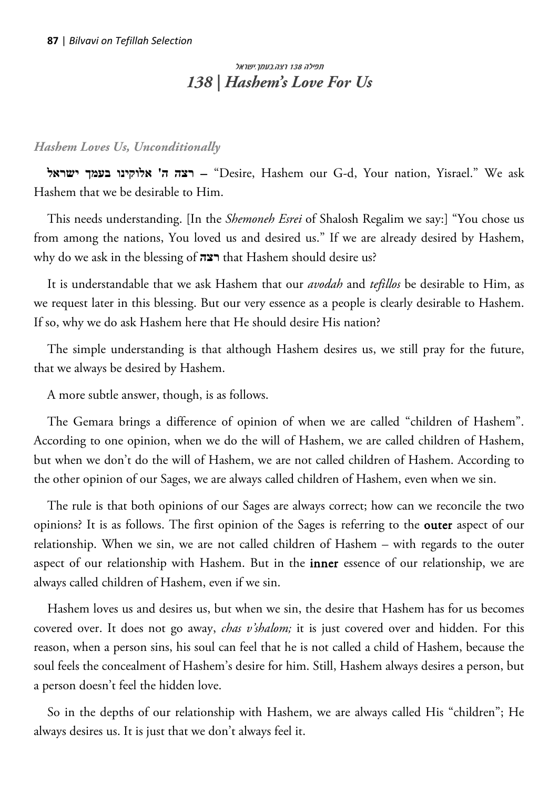# תפילה 138 רצה.בעמך.ישראל *138 | Hashem's Love For Us*

*Hashem Loves Us, Unconditionally*

**ישראל בעמך אלוקינו' ה רצה**" – Desire, Hashem our G-d, Your nation, Yisrael." We ask Hashem that we be desirable to Him.

This needs understanding. [In the *Shemoneh Esrei* of Shalosh Regalim we say:] "You chose us from among the nations, You loved us and desired us." If we are already desired by Hashem, why do we ask in the blessing of **רצה** that Hashem should desire us?

It is understandable that we ask Hashem that our *avodah* and *tefillos* be desirable to Him, as we request later in this blessing. But our very essence as a people is clearly desirable to Hashem. If so, why we do ask Hashem here that He should desire His nation?

The simple understanding is that although Hashem desires us, we still pray for the future, that we always be desired by Hashem.

A more subtle answer, though, is as follows.

The Gemara brings a difference of opinion of when we are called "children of Hashem". According to one opinion, when we do the will of Hashem, we are called children of Hashem, but when we don't do the will of Hashem, we are not called children of Hashem. According to the other opinion of our Sages, we are always called children of Hashem, even when we sin.

The rule is that both opinions of our Sages are always correct; how can we reconcile the two opinions? It is as follows. The first opinion of the Sages is referring to the outer aspect of our relationship. When we sin, we are not called children of Hashem – with regards to the outer aspect of our relationship with Hashem. But in the inner essence of our relationship, we are always called children of Hashem, even if we sin.

Hashem loves us and desires us, but when we sin, the desire that Hashem has for us becomes covered over. It does not go away, *chas v'shalom;* it is just covered over and hidden. For this reason, when a person sins, his soul can feel that he is not called a child of Hashem, because the soul feels the concealment of Hashem's desire for him. Still, Hashem always desires a person, but a person doesn't feel the hidden love.

So in the depths of our relationship with Hashem, we are always called His "children"; He always desires us. It is just that we don't always feel it.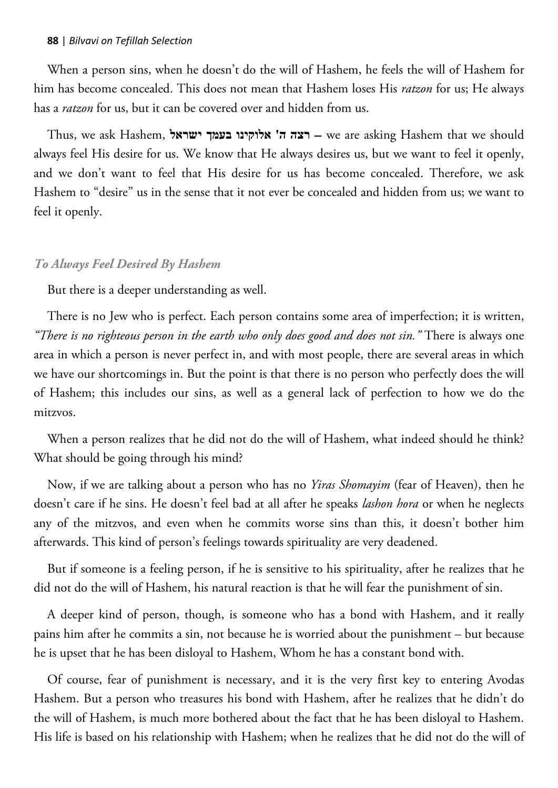When a person sins, when he doesn't do the will of Hashem, he feels the will of Hashem for him has become concealed. This does not mean that Hashem loses His *ratzon* for us; He always has a *ratzon* for us, but it can be covered over and hidden from us.

Thus, we ask Hashem, **ישראל בעמך אלוקינו' ה רצה** – we are asking Hashem that we should always feel His desire for us. We know that He always desires us, but we want to feel it openly, and we don't want to feel that His desire for us has become concealed. Therefore, we ask Hashem to "desire" us in the sense that it not ever be concealed and hidden from us; we want to feel it openly.

#### *To Always Feel Desired By Hashem*

But there is a deeper understanding as well.

There is no Jew who is perfect. Each person contains some area of imperfection; it is written, *"There is no righteous person in the earth who only does good and does not sin."* There is always one area in which a person is never perfect in, and with most people, there are several areas in which we have our shortcomings in. But the point is that there is no person who perfectly does the will of Hashem; this includes our sins, as well as a general lack of perfection to how we do the mitzvos.

When a person realizes that he did not do the will of Hashem, what indeed should he think? What should be going through his mind?

Now, if we are talking about a person who has no *Yiras Shomayim* (fear of Heaven), then he doesn't care if he sins. He doesn't feel bad at all after he speaks *lashon hora* or when he neglects any of the mitzvos, and even when he commits worse sins than this, it doesn't bother him afterwards. This kind of person's feelings towards spirituality are very deadened.

But if someone is a feeling person, if he is sensitive to his spirituality, after he realizes that he did not do the will of Hashem, his natural reaction is that he will fear the punishment of sin.

A deeper kind of person, though, is someone who has a bond with Hashem, and it really pains him after he commits a sin, not because he is worried about the punishment – but because he is upset that he has been disloyal to Hashem, Whom he has a constant bond with.

Of course, fear of punishment is necessary, and it is the very first key to entering Avodas Hashem. But a person who treasures his bond with Hashem, after he realizes that he didn't do the will of Hashem, is much more bothered about the fact that he has been disloyal to Hashem. His life is based on his relationship with Hashem; when he realizes that he did not do the will of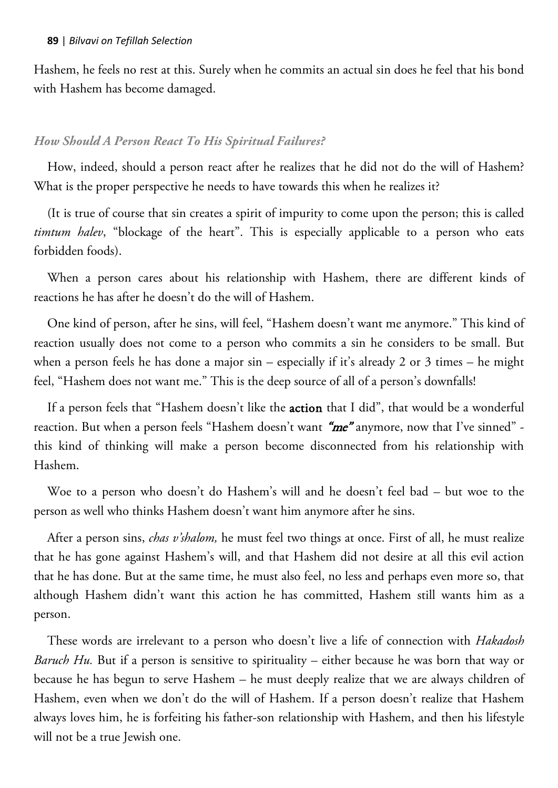Hashem, he feels no rest at this. Surely when he commits an actual sin does he feel that his bond with Hashem has become damaged.

## *How Should A Person React To His Spiritual Failures?*

How, indeed, should a person react after he realizes that he did not do the will of Hashem? What is the proper perspective he needs to have towards this when he realizes it?

(It is true of course that sin creates a spirit of impurity to come upon the person; this is called *timtum halev*, "blockage of the heart". This is especially applicable to a person who eats forbidden foods).

When a person cares about his relationship with Hashem, there are different kinds of reactions he has after he doesn't do the will of Hashem.

One kind of person, after he sins, will feel, "Hashem doesn't want me anymore." This kind of reaction usually does not come to a person who commits a sin he considers to be small. But when a person feels he has done a major sin – especially if it's already 2 or 3 times – he might feel, "Hashem does not want me." This is the deep source of all of a person's downfalls!

If a person feels that "Hashem doesn't like the action that I did", that would be a wonderful reaction. But when a person feels "Hashem doesn't want "me" anymore, now that I've sinned" this kind of thinking will make a person become disconnected from his relationship with Hashem.

Woe to a person who doesn't do Hashem's will and he doesn't feel bad – but woe to the person as well who thinks Hashem doesn't want him anymore after he sins.

After a person sins, *chas v'shalom,* he must feel two things at once. First of all, he must realize that he has gone against Hashem's will, and that Hashem did not desire at all this evil action that he has done. But at the same time, he must also feel, no less and perhaps even more so, that although Hashem didn't want this action he has committed, Hashem still wants him as a person.

These words are irrelevant to a person who doesn't live a life of connection with *Hakadosh Baruch Hu.* But if a person is sensitive to spirituality – either because he was born that way or because he has begun to serve Hashem – he must deeply realize that we are always children of Hashem, even when we don't do the will of Hashem. If a person doesn't realize that Hashem always loves him, he is forfeiting his father-son relationship with Hashem, and then his lifestyle will not be a true Jewish one.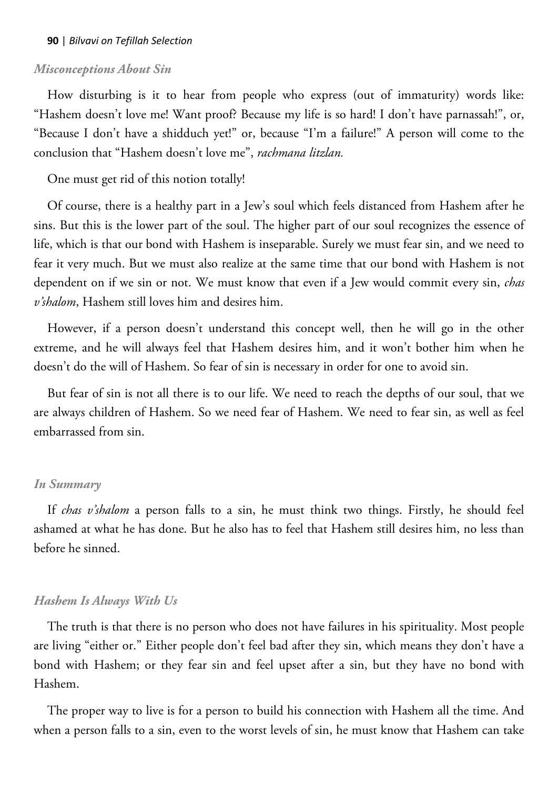## *Misconceptions About Sin*

How disturbing is it to hear from people who express (out of immaturity) words like: "Hashem doesn't love me! Want proof? Because my life is so hard! I don't have parnassah!", or, "Because I don't have a shidduch yet!" or, because "I'm a failure!" A person will come to the conclusion that "Hashem doesn't love me", *rachmana litzlan.* 

One must get rid of this notion totally!

Of course, there is a healthy part in a Jew's soul which feels distanced from Hashem after he sins. But this is the lower part of the soul. The higher part of our soul recognizes the essence of life, which is that our bond with Hashem is inseparable. Surely we must fear sin, and we need to fear it very much. But we must also realize at the same time that our bond with Hashem is not dependent on if we sin or not. We must know that even if a Jew would commit every sin, *chas v'shalom*, Hashem still loves him and desires him.

However, if a person doesn't understand this concept well, then he will go in the other extreme, and he will always feel that Hashem desires him, and it won't bother him when he doesn't do the will of Hashem. So fear of sin is necessary in order for one to avoid sin.

But fear of sin is not all there is to our life. We need to reach the depths of our soul, that we are always children of Hashem. So we need fear of Hashem. We need to fear sin, as well as feel embarrassed from sin.

#### *In Summary*

If *chas v'shalom* a person falls to a sin, he must think two things. Firstly, he should feel ashamed at what he has done. But he also has to feel that Hashem still desires him, no less than before he sinned.

#### *Hashem Is Always With Us*

The truth is that there is no person who does not have failures in his spirituality. Most people are living "either or." Either people don't feel bad after they sin, which means they don't have a bond with Hashem; or they fear sin and feel upset after a sin, but they have no bond with Hashem.

The proper way to live is for a person to build his connection with Hashem all the time. And when a person falls to a sin, even to the worst levels of sin, he must know that Hashem can take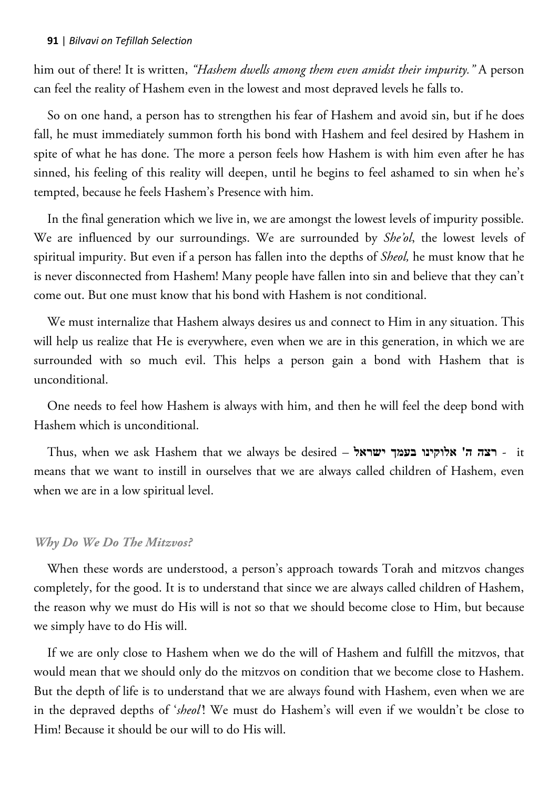him out of there! It is written, *"Hashem dwells among them even amidst their impurity."* A person can feel the reality of Hashem even in the lowest and most depraved levels he falls to.

So on one hand, a person has to strengthen his fear of Hashem and avoid sin, but if he does fall, he must immediately summon forth his bond with Hashem and feel desired by Hashem in spite of what he has done. The more a person feels how Hashem is with him even after he has sinned, his feeling of this reality will deepen, until he begins to feel ashamed to sin when he's tempted, because he feels Hashem's Presence with him.

In the final generation which we live in, we are amongst the lowest levels of impurity possible. We are influenced by our surroundings. We are surrounded by *She'ol*, the lowest levels of spiritual impurity. But even if a person has fallen into the depths of *Sheol,* he must know that he is never disconnected from Hashem! Many people have fallen into sin and believe that they can't come out. But one must know that his bond with Hashem is not conditional.

We must internalize that Hashem always desires us and connect to Him in any situation. This will help us realize that He is everywhere, even when we are in this generation, in which we are surrounded with so much evil. This helps a person gain a bond with Hashem that is unconditional.

One needs to feel how Hashem is always with him, and then he will feel the deep bond with Hashem which is unconditional.

Thus, when we ask Hashem that we always be desired – **ישראל בעמך אלוקינו' ה רצה** - it means that we want to instill in ourselves that we are always called children of Hashem, even when we are in a low spiritual level.

### *Why Do We Do The Mitzvos?*

When these words are understood, a person's approach towards Torah and mitzvos changes completely, for the good. It is to understand that since we are always called children of Hashem, the reason why we must do His will is not so that we should become close to Him, but because we simply have to do His will.

If we are only close to Hashem when we do the will of Hashem and fulfill the mitzvos, that would mean that we should only do the mitzvos on condition that we become close to Hashem. But the depth of life is to understand that we are always found with Hashem, even when we are in the depraved depths of '*sheol'*! We must do Hashem's will even if we wouldn't be close to Him! Because it should be our will to do His will.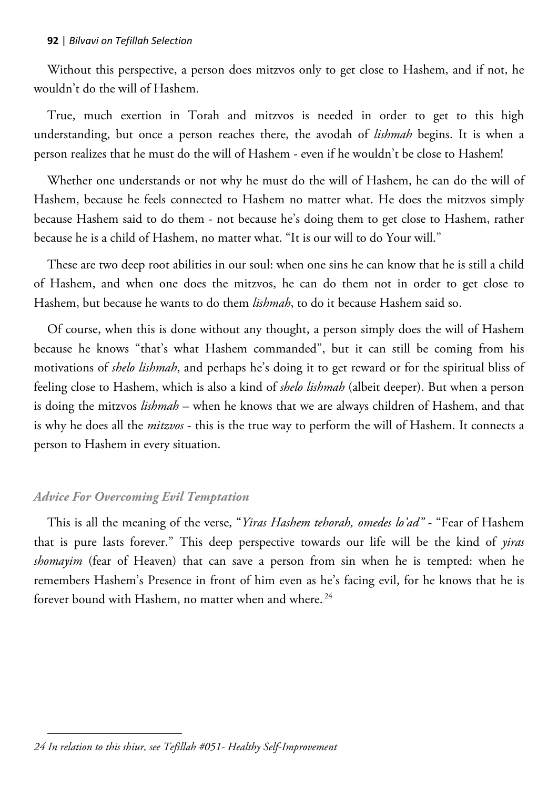Without this perspective, a person does mitzvos only to get close to Hashem, and if not, he wouldn't do the will of Hashem.

True, much exertion in Torah and mitzvos is needed in order to get to this high understanding, but once a person reaches there, the avodah of *lishmah* begins. It is when a person realizes that he must do the will of Hashem - even if he wouldn't be close to Hashem!

Whether one understands or not why he must do the will of Hashem, he can do the will of Hashem, because he feels connected to Hashem no matter what. He does the mitzvos simply because Hashem said to do them - not because he's doing them to get close to Hashem, rather because he is a child of Hashem, no matter what. "It is our will to do Your will."

These are two deep root abilities in our soul: when one sins he can know that he is still a child of Hashem, and when one does the mitzvos, he can do them not in order to get close to Hashem, but because he wants to do them *lishmah*, to do it because Hashem said so.

Of course, when this is done without any thought, a person simply does the will of Hashem because he knows "that's what Hashem commanded", but it can still be coming from his motivations of *shelo lishmah*, and perhaps he's doing it to get reward or for the spiritual bliss of feeling close to Hashem, which is also a kind of *shelo lishmah* (albeit deeper). But when a person is doing the mitzvos *lishmah* – when he knows that we are always children of Hashem, and that is why he does all the *mitzvos* - this is the true way to perform the will of Hashem. It connects a person to Hashem in every situation.

# *Advice For Overcoming Evil Temptation*

This is all the meaning of the verse, "*Yiras Hashem tehorah, omedes lo'ad"* - "Fear of Hashem that is pure lasts forever." This deep perspective towards our life will be the kind of *yiras shomayim* (fear of Heaven) that can save a person from sin when he is tempted: when he remembers Hashem's Presence in front of him even as he's facing evil, for he knows that he is forever bound with Hashem, no matter when and where. $^{24}$ 

 $\overline{a}$ *24 In relation to this shiur, see Tefillah #051- Healthy Self-Improvement*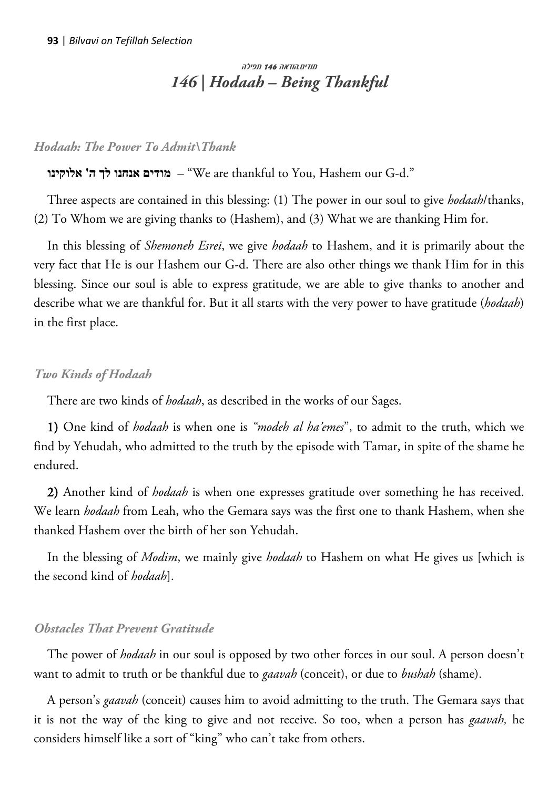# מודים.הודאה 146 תפילה *146 | Hodaah – Being Thankful*

## *Hodaah: The Power To Admit\Thank*

# **אלוקינו' ה לך אנחנו מודים**" – We are thankful to You, Hashem our G-d."

Three aspects are contained in this blessing: (1) The power in our soul to give *hodaah*/thanks, (2) To Whom we are giving thanks to (Hashem), and (3) What we are thanking Him for.

In this blessing of *Shemoneh Esrei*, we give *hodaah* to Hashem, and it is primarily about the very fact that He is our Hashem our G-d. There are also other things we thank Him for in this blessing. Since our soul is able to express gratitude, we are able to give thanks to another and describe what we are thankful for. But it all starts with the very power to have gratitude (*hodaah*) in the first place.

### *Two Kinds of Hodaah*

There are two kinds of *hodaah*, as described in the works of our Sages.

1) One kind of *hodaah* is when one is *"modeh al ha'emes*", to admit to the truth, which we find by Yehudah, who admitted to the truth by the episode with Tamar, in spite of the shame he endured.

2) Another kind of *hodaah* is when one expresses gratitude over something he has received. We learn *hodaah* from Leah, who the Gemara says was the first one to thank Hashem, when she thanked Hashem over the birth of her son Yehudah.

In the blessing of *Modim*, we mainly give *hodaah* to Hashem on what He gives us [which is the second kind of *hodaah*].

### *Obstacles That Prevent Gratitude*

The power of *hodaah* in our soul is opposed by two other forces in our soul. A person doesn't want to admit to truth or be thankful due to *gaavah* (conceit), or due to *bushah* (shame).

A person's *gaavah* (conceit) causes him to avoid admitting to the truth. The Gemara says that it is not the way of the king to give and not receive. So too, when a person has *gaavah,* he considers himself like a sort of "king" who can't take from others.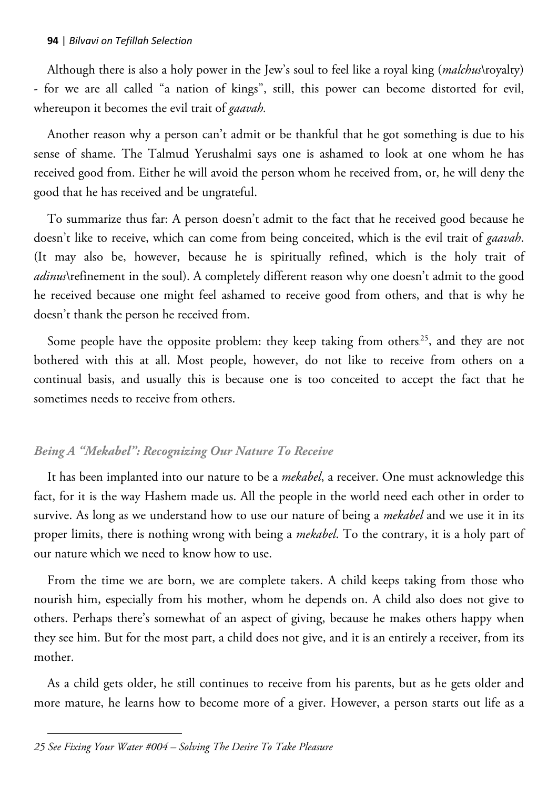Although there is also a holy power in the Jew's soul to feel like a royal king (*malchus*\royalty) - for we are all called "a nation of kings", still, this power can become distorted for evil, whereupon it becomes the evil trait of *gaavah.* 

Another reason why a person can't admit or be thankful that he got something is due to his sense of shame. The Talmud Yerushalmi says one is ashamed to look at one whom he has received good from. Either he will avoid the person whom he received from, or, he will deny the good that he has received and be ungrateful.

To summarize thus far: A person doesn't admit to the fact that he received good because he doesn't like to receive, which can come from being conceited, which is the evil trait of *gaavah*. (It may also be, however, because he is spiritually refined, which is the holy trait of *adinus*\refinement in the soul). A completely different reason why one doesn't admit to the good he received because one might feel ashamed to receive good from others, and that is why he doesn't thank the person he received from.

Some people have the opposite problem: they keep taking from others<sup>25</sup>, and they are not bothered with this at all. Most people, however, do not like to receive from others on a continual basis, and usually this is because one is too conceited to accept the fact that he sometimes needs to receive from others.

# *Being A "Mekabel": Recognizing Our Nature To Receive*

It has been implanted into our nature to be a *mekabel*, a receiver. One must acknowledge this fact, for it is the way Hashem made us. All the people in the world need each other in order to survive. As long as we understand how to use our nature of being a *mekabel* and we use it in its proper limits, there is nothing wrong with being a *mekabel*. To the contrary, it is a holy part of our nature which we need to know how to use.

From the time we are born, we are complete takers. A child keeps taking from those who nourish him, especially from his mother, whom he depends on. A child also does not give to others. Perhaps there's somewhat of an aspect of giving, because he makes others happy when they see him. But for the most part, a child does not give, and it is an entirely a receiver, from its mother.

As a child gets older, he still continues to receive from his parents, but as he gets older and more mature, he learns how to become more of a giver. However, a person starts out life as a

 $\overline{a}$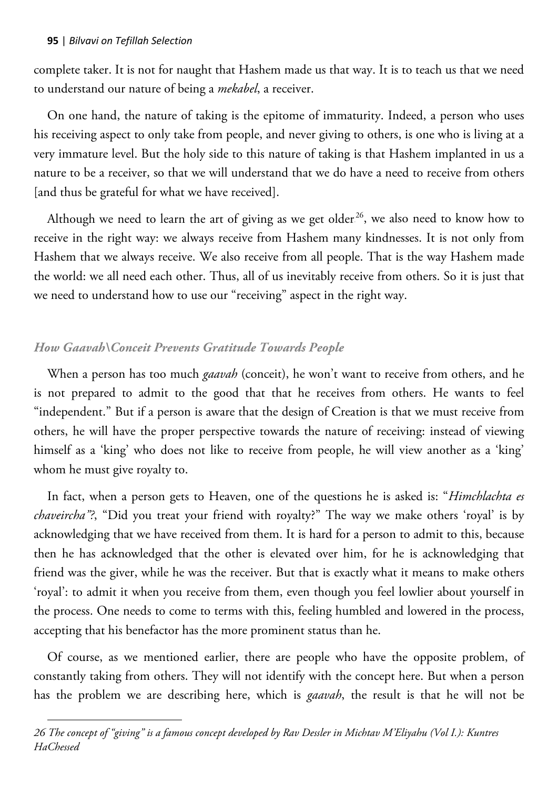$\overline{a}$ 

complete taker. It is not for naught that Hashem made us that way. It is to teach us that we need to understand our nature of being a *mekabel*, a receiver.

On one hand, the nature of taking is the epitome of immaturity. Indeed, a person who uses his receiving aspect to only take from people, and never giving to others, is one who is living at a very immature level. But the holy side to this nature of taking is that Hashem implanted in us a nature to be a receiver, so that we will understand that we do have a need to receive from others [and thus be grateful for what we have received].

Although we need to learn the art of giving as we get older $^{26}$ , we also need to know how to receive in the right way: we always receive from Hashem many kindnesses. It is not only from Hashem that we always receive. We also receive from all people. That is the way Hashem made the world: we all need each other. Thus, all of us inevitably receive from others. So it is just that we need to understand how to use our "receiving" aspect in the right way.

# *How Gaavah\Conceit Prevents Gratitude Towards People*

When a person has too much *gaavah* (conceit), he won't want to receive from others, and he is not prepared to admit to the good that that he receives from others. He wants to feel "independent." But if a person is aware that the design of Creation is that we must receive from others, he will have the proper perspective towards the nature of receiving: instead of viewing himself as a 'king' who does not like to receive from people, he will view another as a 'king' whom he must give royalty to.

In fact, when a person gets to Heaven, one of the questions he is asked is: "*Himchlachta es chaveircha"*?, "Did you treat your friend with royalty?" The way we make others 'royal' is by acknowledging that we have received from them. It is hard for a person to admit to this, because then he has acknowledged that the other is elevated over him, for he is acknowledging that friend was the giver, while he was the receiver. But that is exactly what it means to make others 'royal': to admit it when you receive from them, even though you feel lowlier about yourself in the process. One needs to come to terms with this, feeling humbled and lowered in the process, accepting that his benefactor has the more prominent status than he.

Of course, as we mentioned earlier, there are people who have the opposite problem, of constantly taking from others. They will not identify with the concept here. But when a person has the problem we are describing here, which is *gaavah*, the result is that he will not be

*<sup>26</sup> The concept of "giving" is a famous concept developed by Rav Dessler in Michtav M'Eliyahu (Vol I.): Kuntres HaChessed*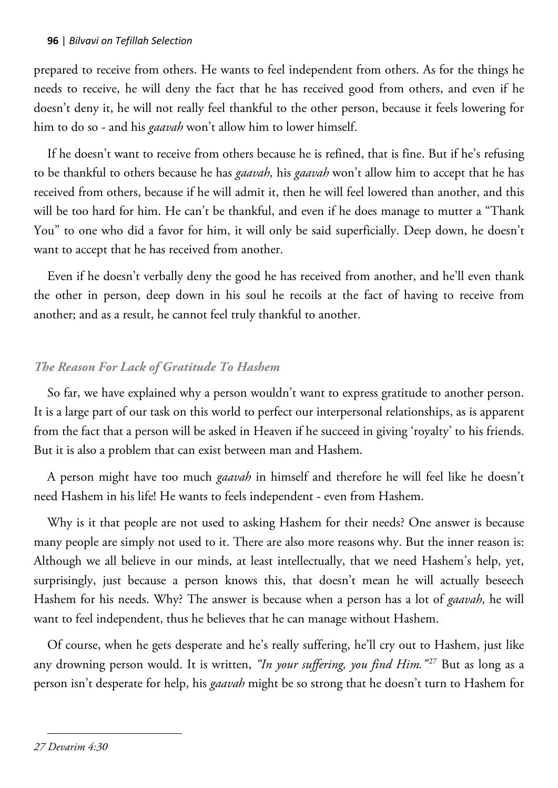prepared to receive from others. He wants to feel independent from others. As for the things he needs to receive, he will deny the fact that he has received good from others, and even if he doesn't deny it, he will not really feel thankful to the other person, because it feels lowering for him to do so - and his *gaavah* won't allow him to lower himself.

If he doesn't want to receive from others because he is refined, that is fine. But if he's refusing to be thankful to others because he has *gaavah,* his *gaavah* won't allow him to accept that he has received from others, because if he will admit it, then he will feel lowered than another, and this will be too hard for him. He can't be thankful, and even if he does manage to mutter a "Thank You" to one who did a favor for him, it will only be said superficially. Deep down, he doesn't want to accept that he has received from another.

Even if he doesn't verbally deny the good he has received from another, and he'll even thank the other in person, deep down in his soul he recoils at the fact of having to receive from another; and as a result, he cannot feel truly thankful to another.

# *The Reason For Lack of Gratitude To Hashem*

So far, we have explained why a person wouldn't want to express gratitude to another person. It is a large part of our task on this world to perfect our interpersonal relationships, as is apparent from the fact that a person will be asked in Heaven if he succeed in giving 'royalty' to his friends. But it is also a problem that can exist between man and Hashem.

A person might have too much *gaavah* in himself and therefore he will feel like he doesn't need Hashem in his life! He wants to feels independent - even from Hashem.

Why is it that people are not used to asking Hashem for their needs? One answer is because many people are simply not used to it. There are also more reasons why. But the inner reason is: Although we all believe in our minds, at least intellectually, that we need Hashem's help, yet, surprisingly, just because a person knows this, that doesn't mean he will actually beseech Hashem for his needs. Why? The answer is because when a person has a lot of *gaavah*, he will want to feel independent, thus he believes that he can manage without Hashem.

Of course, when he gets desperate and he's really suffering, he'll cry out to Hashem, just like any drowning person would. It is written, *"In your suffering, you find Him."<sup>27</sup> But as long as a* person isn't desperate for help, his *gaavah* might be so strong that he doesn't turn to Hashem for

 $\overline{a}$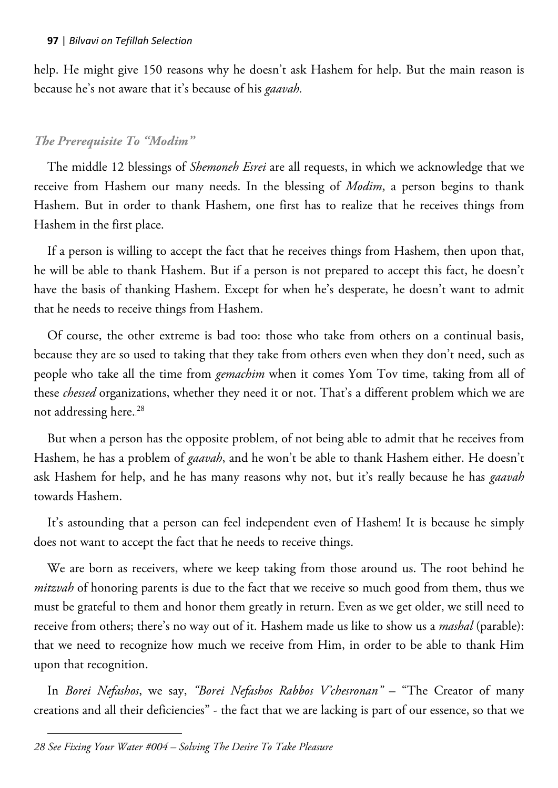help. He might give 150 reasons why he doesn't ask Hashem for help. But the main reason is because he's not aware that it's because of his *gaavah.*

# *The Prerequisite To "Modim"*

The middle 12 blessings of *Shemoneh Esrei* are all requests, in which we acknowledge that we receive from Hashem our many needs. In the blessing of *Modim*, a person begins to thank Hashem. But in order to thank Hashem, one first has to realize that he receives things from Hashem in the first place.

If a person is willing to accept the fact that he receives things from Hashem, then upon that, he will be able to thank Hashem. But if a person is not prepared to accept this fact, he doesn't have the basis of thanking Hashem. Except for when he's desperate, he doesn't want to admit that he needs to receive things from Hashem.

Of course, the other extreme is bad too: those who take from others on a continual basis, because they are so used to taking that they take from others even when they don't need, such as people who take all the time from *gemachim* when it comes Yom Tov time, taking from all of these *chessed* organizations, whether they need it or not. That's a different problem which we are not addressing here.<sup>28</sup>

But when a person has the opposite problem, of not being able to admit that he receives from Hashem, he has a problem of *gaavah*, and he won't be able to thank Hashem either. He doesn't ask Hashem for help, and he has many reasons why not, but it's really because he has *gaavah* towards Hashem.

It's astounding that a person can feel independent even of Hashem! It is because he simply does not want to accept the fact that he needs to receive things.

We are born as receivers, where we keep taking from those around us. The root behind he *mitzvah* of honoring parents is due to the fact that we receive so much good from them, thus we must be grateful to them and honor them greatly in return. Even as we get older, we still need to receive from others; there's no way out of it. Hashem made us like to show us a *mashal* (parable): that we need to recognize how much we receive from Him, in order to be able to thank Him upon that recognition.

In *Borei Nefashos*, we say, *"Borei Nefashos Rabbos V'chesronan"* – "The Creator of many creations and all their deficiencies" - the fact that we are lacking is part of our essence, so that we

 $\overline{a}$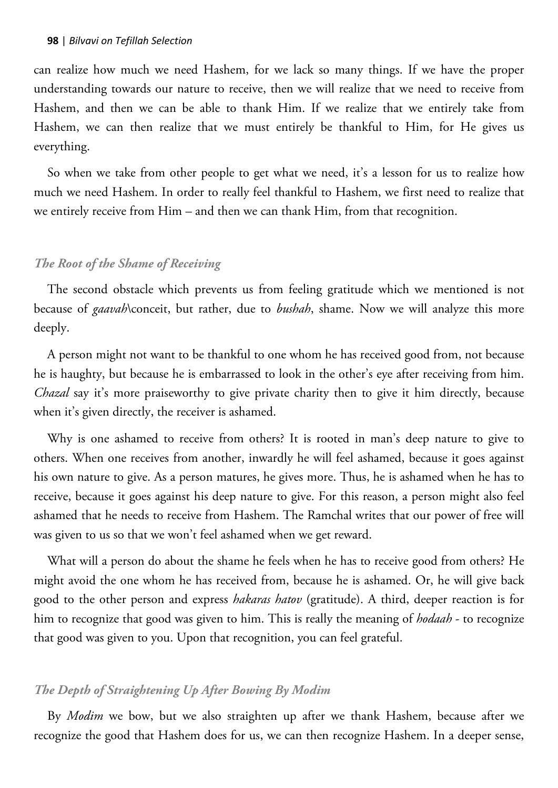can realize how much we need Hashem, for we lack so many things. If we have the proper understanding towards our nature to receive, then we will realize that we need to receive from Hashem, and then we can be able to thank Him. If we realize that we entirely take from Hashem, we can then realize that we must entirely be thankful to Him, for He gives us everything.

So when we take from other people to get what we need, it's a lesson for us to realize how much we need Hashem. In order to really feel thankful to Hashem, we first need to realize that we entirely receive from Him – and then we can thank Him, from that recognition.

### *The Root of the Shame of Receiving*

The second obstacle which prevents us from feeling gratitude which we mentioned is not because of *gaavah*\conceit, but rather, due to *bushah*, shame. Now we will analyze this more deeply.

A person might not want to be thankful to one whom he has received good from, not because he is haughty, but because he is embarrassed to look in the other's eye after receiving from him. *Chazal* say it's more praiseworthy to give private charity then to give it him directly, because when it's given directly, the receiver is ashamed.

Why is one ashamed to receive from others? It is rooted in man's deep nature to give to others. When one receives from another, inwardly he will feel ashamed, because it goes against his own nature to give. As a person matures, he gives more. Thus, he is ashamed when he has to receive, because it goes against his deep nature to give. For this reason, a person might also feel ashamed that he needs to receive from Hashem. The Ramchal writes that our power of free will was given to us so that we won't feel ashamed when we get reward.

What will a person do about the shame he feels when he has to receive good from others? He might avoid the one whom he has received from, because he is ashamed. Or, he will give back good to the other person and express *hakaras hatov* (gratitude). A third, deeper reaction is for him to recognize that good was given to him. This is really the meaning of *hodaah* - to recognize that good was given to you. Upon that recognition, you can feel grateful.

### *The Depth of Straightening Up After Bowing By Modim*

By *Modim* we bow, but we also straighten up after we thank Hashem, because after we recognize the good that Hashem does for us, we can then recognize Hashem. In a deeper sense,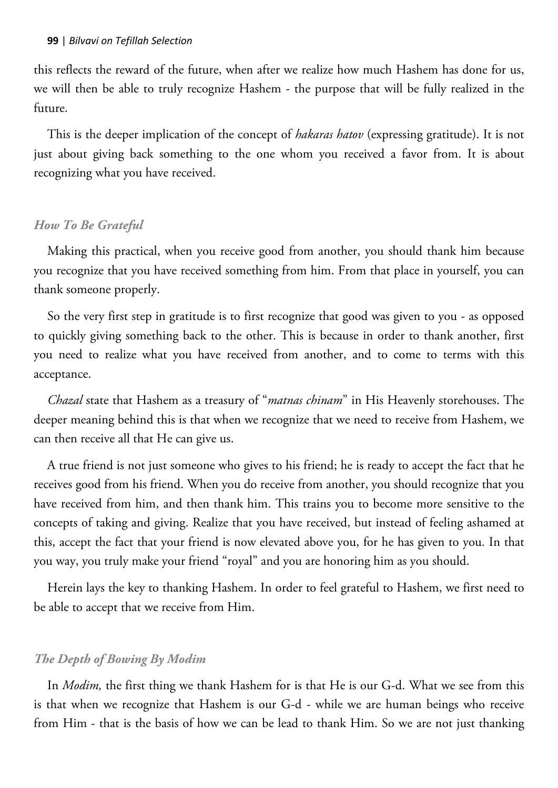this reflects the reward of the future, when after we realize how much Hashem has done for us, we will then be able to truly recognize Hashem - the purpose that will be fully realized in the future.

This is the deeper implication of the concept of *hakaras hatov* (expressing gratitude). It is not just about giving back something to the one whom you received a favor from. It is about recognizing what you have received.

## *How To Be Grateful*

Making this practical, when you receive good from another, you should thank him because you recognize that you have received something from him. From that place in yourself, you can thank someone properly.

So the very first step in gratitude is to first recognize that good was given to you - as opposed to quickly giving something back to the other. This is because in order to thank another, first you need to realize what you have received from another, and to come to terms with this acceptance.

*Chazal* state that Hashem as a treasury of "*matnas chinam*" in His Heavenly storehouses. The deeper meaning behind this is that when we recognize that we need to receive from Hashem, we can then receive all that He can give us.

A true friend is not just someone who gives to his friend; he is ready to accept the fact that he receives good from his friend. When you do receive from another, you should recognize that you have received from him, and then thank him. This trains you to become more sensitive to the concepts of taking and giving. Realize that you have received, but instead of feeling ashamed at this, accept the fact that your friend is now elevated above you, for he has given to you. In that you way, you truly make your friend "royal" and you are honoring him as you should.

Herein lays the key to thanking Hashem. In order to feel grateful to Hashem, we first need to be able to accept that we receive from Him.

# *The Depth of Bowing By Modim*

In *Modim,* the first thing we thank Hashem for is that He is our G-d. What we see from this is that when we recognize that Hashem is our G-d - while we are human beings who receive from Him - that is the basis of how we can be lead to thank Him. So we are not just thanking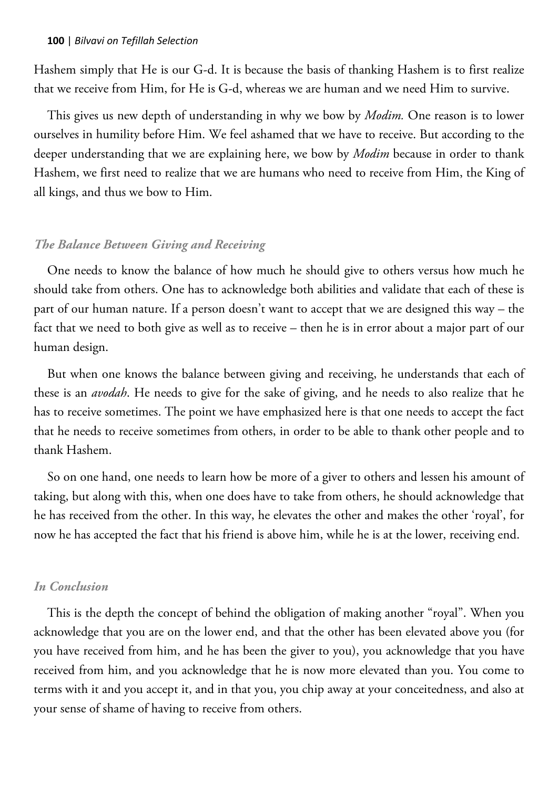Hashem simply that He is our G-d. It is because the basis of thanking Hashem is to first realize that we receive from Him, for He is G-d, whereas we are human and we need Him to survive.

This gives us new depth of understanding in why we bow by *Modim.* One reason is to lower ourselves in humility before Him. We feel ashamed that we have to receive. But according to the deeper understanding that we are explaining here, we bow by *Modim* because in order to thank Hashem, we first need to realize that we are humans who need to receive from Him, the King of all kings, and thus we bow to Him.

### *The Balance Between Giving and Receiving*

One needs to know the balance of how much he should give to others versus how much he should take from others. One has to acknowledge both abilities and validate that each of these is part of our human nature. If a person doesn't want to accept that we are designed this way – the fact that we need to both give as well as to receive – then he is in error about a major part of our human design.

But when one knows the balance between giving and receiving, he understands that each of these is an *avodah*. He needs to give for the sake of giving, and he needs to also realize that he has to receive sometimes. The point we have emphasized here is that one needs to accept the fact that he needs to receive sometimes from others, in order to be able to thank other people and to thank Hashem.

So on one hand, one needs to learn how be more of a giver to others and lessen his amount of taking, but along with this, when one does have to take from others, he should acknowledge that he has received from the other. In this way, he elevates the other and makes the other 'royal', for now he has accepted the fact that his friend is above him, while he is at the lower, receiving end.

### *In Conclusion*

This is the depth the concept of behind the obligation of making another "royal". When you acknowledge that you are on the lower end, and that the other has been elevated above you (for you have received from him, and he has been the giver to you), you acknowledge that you have received from him, and you acknowledge that he is now more elevated than you. You come to terms with it and you accept it, and in that you, you chip away at your conceitedness, and also at your sense of shame of having to receive from others.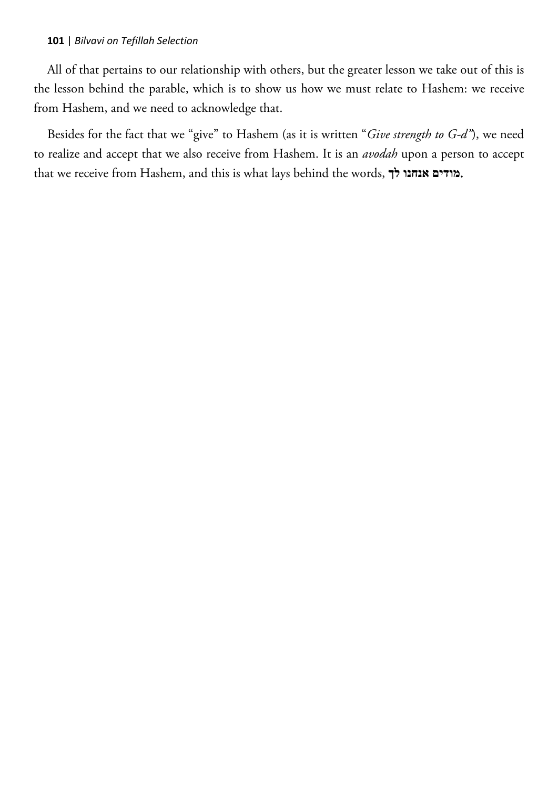All of that pertains to our relationship with others, but the greater lesson we take out of this is the lesson behind the parable, which is to show us how we must relate to Hashem: we receive from Hashem, and we need to acknowledge that.

Besides for the fact that we "give" to Hashem (as it is written "*Give strength to G-d"*), we need to realize and accept that we also receive from Hashem. It is an *avodah* upon a person to accept that we receive from Hashem, and this is what lays behind the words, **לך אנחנו מודים**.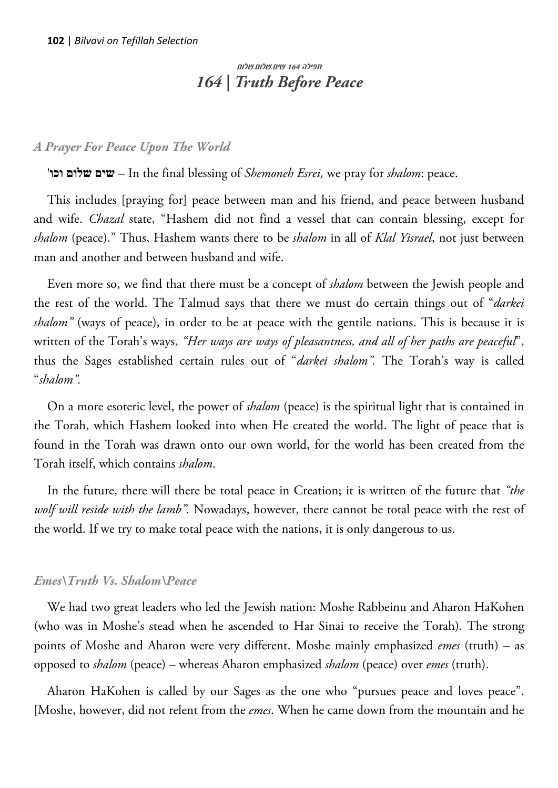# תפילה 164 שים.שלום.שלום *164 | Truth Before Peace*

### *A Prayer For Peace Upon The World*

'**וכו שלום שים** – In the final blessing of *Shemoneh Esrei,* we pray for *shalom*: peace.

This includes [praying for] peace between man and his friend, and peace between husband and wife. *Chazal* state, "Hashem did not find a vessel that can contain blessing, except for *shalom* (peace)." Thus, Hashem wants there to be *shalom* in all of *Klal Yisrael*, not just between man and another and between husband and wife.

Even more so, we find that there must be a concept of *shalom* between the Jewish people and the rest of the world. The Talmud says that there we must do certain things out of "*darkei shalom"* (ways of peace), in order to be at peace with the gentile nations. This is because it is written of the Torah's ways, *"Her ways are ways of pleasantness, and all of her paths are peaceful*", thus the Sages established certain rules out of "*darkei shalom".* The Torah's way is called "*shalom".* 

On a more esoteric level, the power of *shalom* (peace) is the spiritual light that is contained in the Torah, which Hashem looked into when He created the world. The light of peace that is found in the Torah was drawn onto our own world, for the world has been created from the Torah itself, which contains *shalom*.

In the future, there will there be total peace in Creation; it is written of the future that *"the wolf will reside with the lamb".* Nowadays, however, there cannot be total peace with the rest of the world. If we try to make total peace with the nations, it is only dangerous to us.

### *Emes\Truth Vs. Shalom\Peace*

We had two great leaders who led the Jewish nation: Moshe Rabbeinu and Aharon HaKohen (who was in Moshe's stead when he ascended to Har Sinai to receive the Torah). The strong points of Moshe and Aharon were very different. Moshe mainly emphasized *emes* (truth) – as opposed to *shalom* (peace) – whereas Aharon emphasized *shalom* (peace) over *emes* (truth).

Aharon HaKohen is called by our Sages as the one who "pursues peace and loves peace". [Moshe, however, did not relent from the *emes*. When he came down from the mountain and he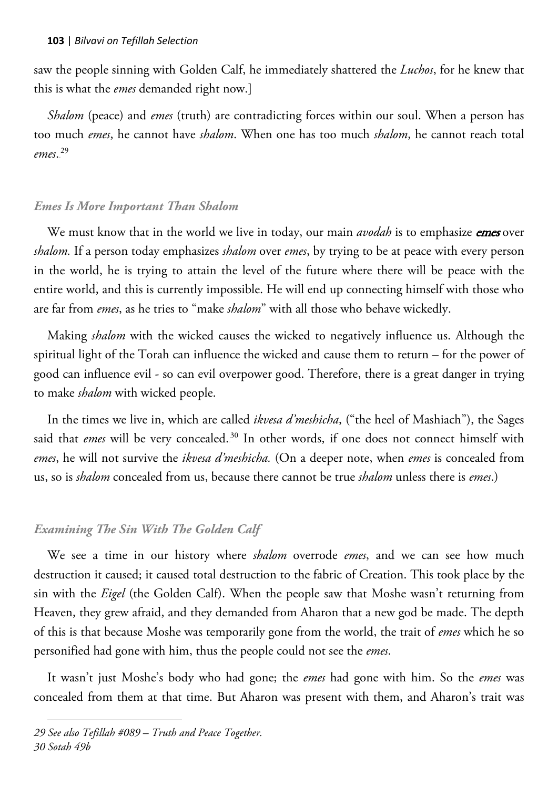saw the people sinning with Golden Calf, he immediately shattered the *Luchos*, for he knew that this is what the *emes* demanded right now.]

*Shalom* (peace) and *emes* (truth) are contradicting forces within our soul. When a person has too much *emes*, he cannot have *shalom*. When one has too much *shalom*, he cannot reach total emes.<sup>29</sup>

# *Emes Is More Important Than Shalom*

We must know that in the world we live in today, our main *avodah* is to emphasize *emes* over *shalom.* If a person today emphasizes *shalom* over *emes*, by trying to be at peace with every person in the world, he is trying to attain the level of the future where there will be peace with the entire world, and this is currently impossible. He will end up connecting himself with those who are far from *emes*, as he tries to "make *shalom*" with all those who behave wickedly.

Making *shalom* with the wicked causes the wicked to negatively influence us. Although the spiritual light of the Torah can influence the wicked and cause them to return – for the power of good can influence evil - so can evil overpower good. Therefore, there is a great danger in trying to make *shalom* with wicked people.

In the times we live in, which are called *ikvesa d'meshicha*, ("the heel of Mashiach"), the Sages said that *emes* will be very concealed.<sup>30</sup> In other words, if one does not connect himself with *emes*, he will not survive the *ikvesa d'meshicha.* (On a deeper note, when *emes* is concealed from us, so is *shalom* concealed from us, because there cannot be true *shalom* unless there is *emes*.)

# *Examining The Sin With The Golden Calf*

We see a time in our history where *shalom* overrode *emes*, and we can see how much destruction it caused; it caused total destruction to the fabric of Creation. This took place by the sin with the *Eigel* (the Golden Calf). When the people saw that Moshe wasn't returning from Heaven, they grew afraid, and they demanded from Aharon that a new god be made. The depth of this is that because Moshe was temporarily gone from the world, the trait of *emes* which he so personified had gone with him, thus the people could not see the *emes*.

It wasn't just Moshe's body who had gone; the *emes* had gone with him. So the *emes* was concealed from them at that time. But Aharon was present with them, and Aharon's trait was

 $\overline{a}$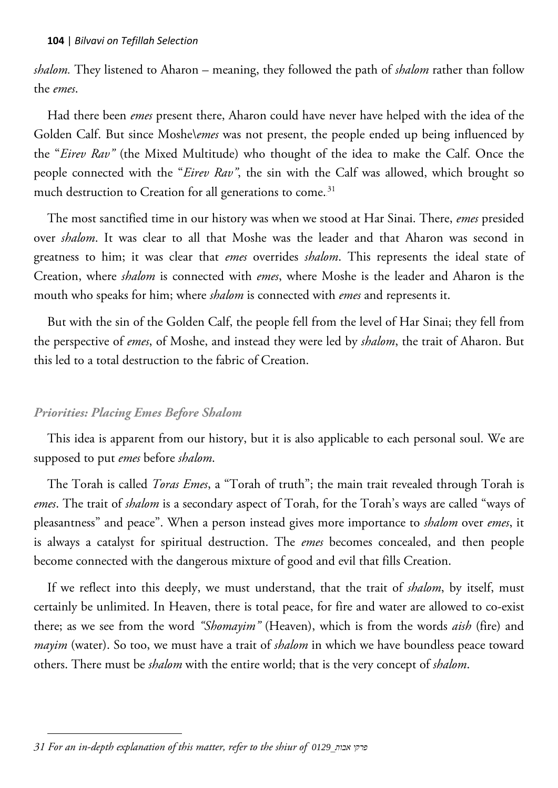*shalom.* They listened to Aharon – meaning, they followed the path of *shalom* rather than follow the *emes*.

Had there been *emes* present there, Aharon could have never have helped with the idea of the Golden Calf. But since Moshe\*emes* was not present, the people ended up being influenced by the "*Eirev Rav"* (the Mixed Multitude) who thought of the idea to make the Calf. Once the people connected with the "*Eirev Rav"*, the sin with the Calf was allowed, which brought so much destruction to Creation for all generations to come.<sup>31</sup>

The most sanctified time in our history was when we stood at Har Sinai. There, *emes* presided over *shalom*. It was clear to all that Moshe was the leader and that Aharon was second in greatness to him; it was clear that *emes* overrides *shalom*. This represents the ideal state of Creation, where *shalom* is connected with *emes*, where Moshe is the leader and Aharon is the mouth who speaks for him; where *shalom* is connected with *emes* and represents it.

But with the sin of the Golden Calf, the people fell from the level of Har Sinai; they fell from the perspective of *emes*, of Moshe, and instead they were led by *shalom*, the trait of Aharon. But this led to a total destruction to the fabric of Creation.

# *Priorities: Placing Emes Before Shalom*

This idea is apparent from our history, but it is also applicable to each personal soul. We are supposed to put *emes* before *shalom*.

The Torah is called *Toras Emes*, a "Torah of truth"; the main trait revealed through Torah is *emes*. The trait of *shalom* is a secondary aspect of Torah, for the Torah's ways are called "ways of pleasantness" and peace". When a person instead gives more importance to *shalom* over *emes*, it is always a catalyst for spiritual destruction. The *emes* becomes concealed, and then people become connected with the dangerous mixture of good and evil that fills Creation.

If we reflect into this deeply, we must understand, that the trait of *shalom*, by itself, must certainly be unlimited. In Heaven, there is total peace, for fire and water are allowed to co-exist there; as we see from the word *"Shomayim"* (Heaven), which is from the words *aish* (fire) and *mayim* (water). So too, we must have a trait of *shalom* in which we have boundless peace toward others. There must be *shalom* with the entire world; that is the very concept of *shalom*.

 $\overline{a}$ *31 For an in-depth explanation of this matter, refer to the shiur of 0129\_אבות פרקי*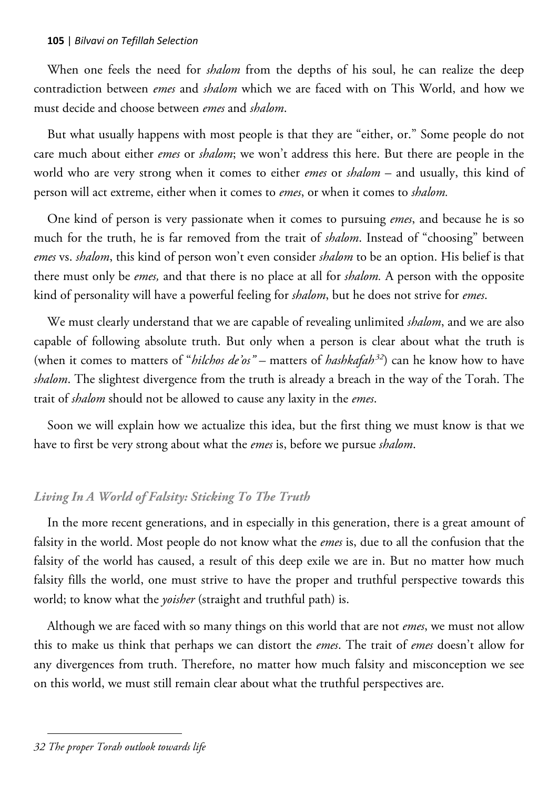When one feels the need for *shalom* from the depths of his soul, he can realize the deep contradiction between *emes* and *shalom* which we are faced with on This World, and how we must decide and choose between *emes* and *shalom*.

But what usually happens with most people is that they are "either, or." Some people do not care much about either *emes* or *shalom*; we won't address this here. But there are people in the world who are very strong when it comes to either *emes* or *shalom* – and usually, this kind of person will act extreme, either when it comes to *emes*, or when it comes to *shalom.*

One kind of person is very passionate when it comes to pursuing *emes*, and because he is so much for the truth, he is far removed from the trait of *shalom*. Instead of "choosing" between *emes* vs. *shalom*, this kind of person won't even consider *shalom* to be an option. His belief is that there must only be *emes,* and that there is no place at all for *shalom.* A person with the opposite kind of personality will have a powerful feeling for *shalom*, but he does not strive for *emes*.

We must clearly understand that we are capable of revealing unlimited *shalom*, and we are also capable of following absolute truth. But only when a person is clear about what the truth is (when it comes to matters of "*hilchos de'os*" – matters of *hashkafah*<sup>32</sup>) can he know how to have *shalom*. The slightest divergence from the truth is already a breach in the way of the Torah. The trait of *shalom* should not be allowed to cause any laxity in the *emes*.

Soon we will explain how we actualize this idea, but the first thing we must know is that we have to first be very strong about what the *emes* is, before we pursue *shalom*.

# *Living In A World of Falsity: Sticking To The Truth*

In the more recent generations, and in especially in this generation, there is a great amount of falsity in the world. Most people do not know what the *emes* is, due to all the confusion that the falsity of the world has caused, a result of this deep exile we are in. But no matter how much falsity fills the world, one must strive to have the proper and truthful perspective towards this world; to know what the *yoisher* (straight and truthful path) is.

Although we are faced with so many things on this world that are not *emes*, we must not allow this to make us think that perhaps we can distort the *emes*. The trait of *emes* doesn't allow for any divergences from truth. Therefore, no matter how much falsity and misconception we see on this world, we must still remain clear about what the truthful perspectives are.

 $\overline{a}$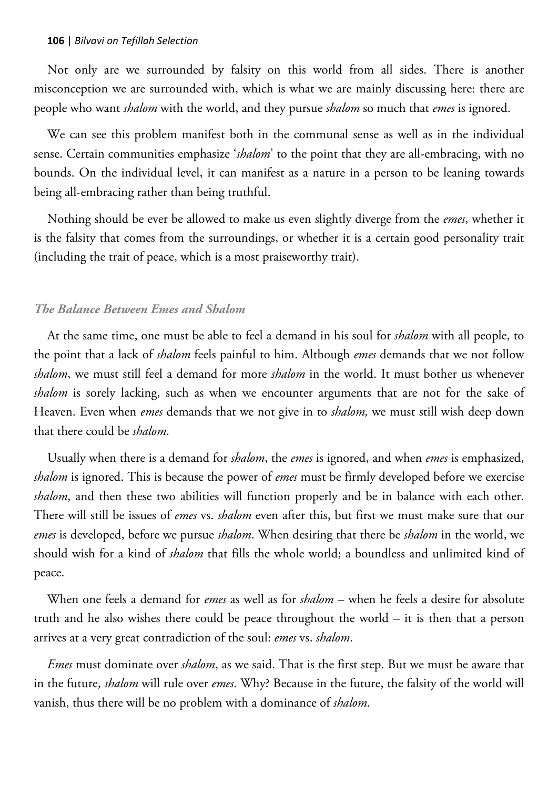Not only are we surrounded by falsity on this world from all sides. There is another misconception we are surrounded with, which is what we are mainly discussing here: there are people who want *shalom* with the world, and they pursue *shalom* so much that *emes* is ignored.

We can see this problem manifest both in the communal sense as well as in the individual sense. Certain communities emphasize '*shalom*' to the point that they are all-embracing, with no bounds. On the individual level, it can manifest as a nature in a person to be leaning towards being all-embracing rather than being truthful.

Nothing should be ever be allowed to make us even slightly diverge from the *emes*, whether it is the falsity that comes from the surroundings, or whether it is a certain good personality trait (including the trait of peace, which is a most praiseworthy trait).

### *The Balance Between Emes and Shalom*

At the same time, one must be able to feel a demand in his soul for *shalom* with all people, to the point that a lack of *shalom* feels painful to him. Although *emes* demands that we not follow *shalom*, we must still feel a demand for more *shalom* in the world. It must bother us whenever *shalom* is sorely lacking, such as when we encounter arguments that are not for the sake of Heaven. Even when *emes* demands that we not give in to *shalom,* we must still wish deep down that there could be *shalom*.

Usually when there is a demand for *shalom*, the *emes* is ignored, and when *emes* is emphasized, *shalom* is ignored. This is because the power of *emes* must be firmly developed before we exercise *shalom*, and then these two abilities will function properly and be in balance with each other. There will still be issues of *emes* vs. *shalom* even after this, but first we must make sure that our *emes* is developed, before we pursue *shalom*. When desiring that there be *shalom* in the world, we should wish for a kind of *shalom* that fills the whole world; a boundless and unlimited kind of peace.

When one feels a demand for *emes* as well as for *shalom* – when he feels a desire for absolute truth and he also wishes there could be peace throughout the world – it is then that a person arrives at a very great contradiction of the soul: *emes* vs. *shalom*.

*Emes* must dominate over *shalom*, as we said. That is the first step. But we must be aware that in the future, *shalom* will rule over *emes*. Why? Because in the future, the falsity of the world will vanish, thus there will be no problem with a dominance of *shalom*.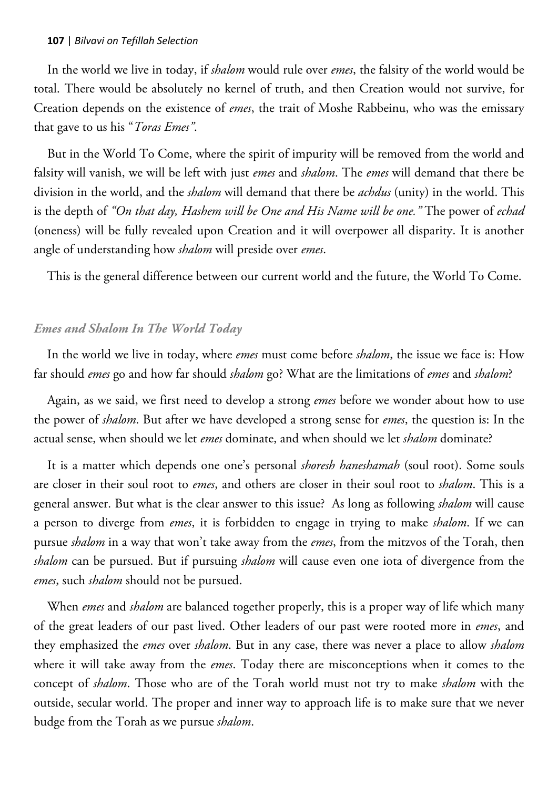In the world we live in today, if *shalom* would rule over *emes*, the falsity of the world would be total. There would be absolutely no kernel of truth, and then Creation would not survive, for Creation depends on the existence of *emes*, the trait of Moshe Rabbeinu, who was the emissary that gave to us his "*Toras Emes"*.

But in the World To Come, where the spirit of impurity will be removed from the world and falsity will vanish, we will be left with just *emes* and *shalom*. The *emes* will demand that there be division in the world, and the *shalom* will demand that there be *achdus* (unity) in the world. This is the depth of *"On that day, Hashem will be One and His Name will be one."* The power of *echad* (oneness) will be fully revealed upon Creation and it will overpower all disparity. It is another angle of understanding how *shalom* will preside over *emes*.

This is the general difference between our current world and the future, the World To Come.

## *Emes and Shalom In The World Today*

In the world we live in today, where *emes* must come before *shalom*, the issue we face is: How far should *emes* go and how far should *shalom* go? What are the limitations of *emes* and *shalom*?

Again, as we said, we first need to develop a strong *emes* before we wonder about how to use the power of *shalom*. But after we have developed a strong sense for *emes*, the question is: In the actual sense, when should we let *emes* dominate, and when should we let *shalom* dominate?

It is a matter which depends one one's personal *shoresh haneshamah* (soul root). Some souls are closer in their soul root to *emes*, and others are closer in their soul root to *shalom*. This is a general answer. But what is the clear answer to this issue? As long as following *shalom* will cause a person to diverge from *emes*, it is forbidden to engage in trying to make *shalom*. If we can pursue *shalom* in a way that won't take away from the *emes*, from the mitzvos of the Torah, then *shalom* can be pursued. But if pursuing *shalom* will cause even one iota of divergence from the *emes*, such *shalom* should not be pursued.

When *emes* and *shalom* are balanced together properly, this is a proper way of life which many of the great leaders of our past lived. Other leaders of our past were rooted more in *emes*, and they emphasized the *emes* over *shalom*. But in any case, there was never a place to allow *shalom* where it will take away from the *emes*. Today there are misconceptions when it comes to the concept of *shalom*. Those who are of the Torah world must not try to make *shalom* with the outside, secular world. The proper and inner way to approach life is to make sure that we never budge from the Torah as we pursue *shalom*.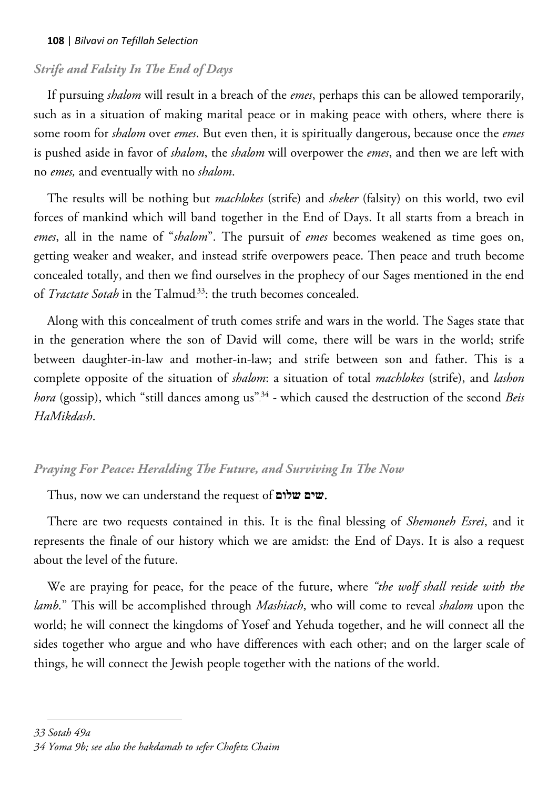## *Strife and Falsity In The End of Days*

If pursuing *shalom* will result in a breach of the *emes*, perhaps this can be allowed temporarily, such as in a situation of making marital peace or in making peace with others, where there is some room for *shalom* over *emes*. But even then, it is spiritually dangerous, because once the *emes* is pushed aside in favor of *shalom*, the *shalom* will overpower the *emes*, and then we are left with no *emes,* and eventually with no *shalom*.

The results will be nothing but *machlokes* (strife) and *sheker* (falsity) on this world, two evil forces of mankind which will band together in the End of Days. It all starts from a breach in *emes*, all in the name of "*shalom*". The pursuit of *emes* becomes weakened as time goes on, getting weaker and weaker, and instead strife overpowers peace. Then peace and truth become concealed totally, and then we find ourselves in the prophecy of our Sages mentioned in the end of *Tractate Sotah* in the Talmud<sup>33</sup>: the truth becomes concealed.

Along with this concealment of truth comes strife and wars in the world. The Sages state that in the generation where the son of David will come, there will be wars in the world; strife between daughter-in-law and mother-in-law; and strife between son and father. This is a complete opposite of the situation of *shalom*: a situation of total *machlokes* (strife), and *lashon*  hora (gossip), which "still dances among us<sup>"34</sup> - which caused the destruction of the second *Beis HaMikdash*.

## *Praying For Peace: Heralding The Future, and Surviving In The Now*

Thus, now we can understand the request of **שלום שים**.

There are two requests contained in this. It is the final blessing of *Shemoneh Esrei*, and it represents the finale of our history which we are amidst: the End of Days. It is also a request about the level of the future.

We are praying for peace, for the peace of the future, where *"the wolf shall reside with the lamb.*" This will be accomplished through *Mashiach*, who will come to reveal *shalom* upon the world; he will connect the kingdoms of Yosef and Yehuda together, and he will connect all the sides together who argue and who have differences with each other; and on the larger scale of things, he will connect the Jewish people together with the nations of the world.

 $\overline{a}$ 

*<sup>33</sup> Sotah 49a*

*<sup>34</sup> Yoma 9b; see also the hakdamah to sefer Chofetz Chaim*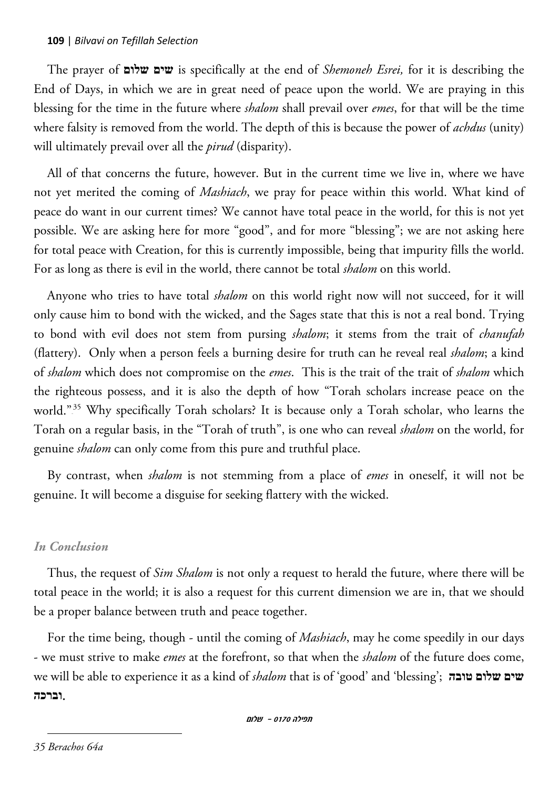The prayer of **שלום שים** is specifically at the end of *Shemoneh Esrei,* for it is describing the End of Days, in which we are in great need of peace upon the world. We are praying in this blessing for the time in the future where *shalom* shall prevail over *emes*, for that will be the time where falsity is removed from the world. The depth of this is because the power of *achdus* (unity) will ultimately prevail over all the *pirud* (disparity).

All of that concerns the future, however. But in the current time we live in, where we have not yet merited the coming of *Mashiach*, we pray for peace within this world. What kind of peace do want in our current times? We cannot have total peace in the world, for this is not yet possible. We are asking here for more "good", and for more "blessing"; we are not asking here for total peace with Creation, for this is currently impossible, being that impurity fills the world. For as long as there is evil in the world, there cannot be total *shalom* on this world.

Anyone who tries to have total *shalom* on this world right now will not succeed, for it will only cause him to bond with the wicked, and the Sages state that this is not a real bond. Trying to bond with evil does not stem from pursing *shalom*; it stems from the trait of *chanufah*  (flattery). Only when a person feels a burning desire for truth can he reveal real *shalom*; a kind of *shalom* which does not compromise on the *emes*. This is the trait of the trait of *shalom* which the righteous possess, and it is also the depth of how "Torah scholars increase peace on the world."<sup>35</sup> Why specifically Torah scholars? It is because only a Torah scholar, who learns the Torah on a regular basis, in the "Torah of truth", is one who can reveal *shalom* on the world, for genuine *shalom* can only come from this pure and truthful place.

By contrast, when *shalom* is not stemming from a place of *emes* in oneself, it will not be genuine. It will become a disguise for seeking flattery with the wicked.

#### *In Conclusion*

Thus, the request of *Sim Shalom* is not only a request to herald the future, where there will be total peace in the world; it is also a request for this current dimension we are in, that we should be a proper balance between truth and peace together.

For the time being, though - until the coming of *Mashiach*, may he come speedily in our days - we must strive to make *emes* at the forefront, so that when the *shalom* of the future does come, we will be able to experience it as a kind of *shalom* that is of 'good' and 'blessing'; **טובה שלום שים** .**וברכה**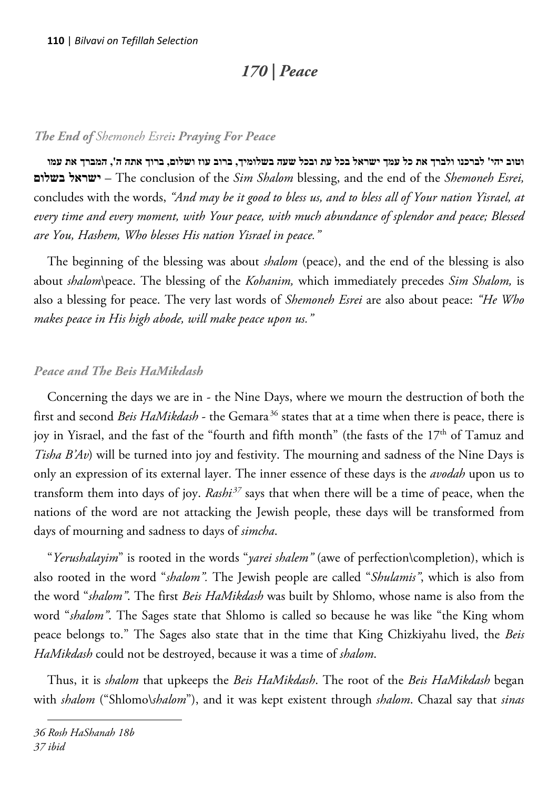# *170 | Peace*

#### *The End of Shemoneh Esrei: Praying For Peace*

**וטוב יהי' לברכנו ולברך את כל עמך ישראל בכל עת ובכל שעה בשלומיך, ברוב עוז ושלום, ברוך אתה ה', המברך את עמו בשלום ישראל** – The conclusion of the *Sim Shalom* blessing, and the end of the *Shemoneh Esrei,* concludes with the words, *"And may be it good to bless us, and to bless all of Your nation Yisrael, at every time and every moment, with Your peace, with much abundance of splendor and peace; Blessed are You, Hashem, Who blesses His nation Yisrael in peace."*

The beginning of the blessing was about *shalom* (peace), and the end of the blessing is also about *shalom*\peace. The blessing of the *Kohanim,* which immediately precedes *Sim Shalom,* is also a blessing for peace. The very last words of *Shemoneh Esrei* are also about peace: *"He Who makes peace in His high abode, will make peace upon us."*

#### *Peace and The Beis HaMikdash*

Concerning the days we are in - the Nine Days, where we mourn the destruction of both the first and second *Beis HaMikdash* - the Gemara<sup>36</sup> states that at a time when there is peace, there is joy in Yisrael, and the fast of the "fourth and fifth month" (the fasts of the 17<sup>th</sup> of Tamuz and *Tisha B'Av*) will be turned into joy and festivity. The mourning and sadness of the Nine Days is only an expression of its external layer. The inner essence of these days is the *avodah* upon us to transform them into days of joy. *Rashi<sup>37</sup>* says that when there will be a time of peace, when the nations of the word are not attacking the Jewish people, these days will be transformed from days of mourning and sadness to days of *simcha*.

"*Yerushalayim*" is rooted in the words "*yarei shalem"* (awe of perfection\completion), which is also rooted in the word "*shalom".* The Jewish people are called "*Shulamis"*, which is also from the word "*shalom"*. The first *Beis HaMikdash* was built by Shlomo, whose name is also from the word "*shalom"*. The Sages state that Shlomo is called so because he was like "the King whom peace belongs to." The Sages also state that in the time that King Chizkiyahu lived, the *Beis HaMikdash* could not be destroyed, because it was a time of *shalom*.

Thus, it is *shalom* that upkeeps the *Beis HaMikdash*. The root of the *Beis HaMikdash* began with *shalom* ("Shlomo\*shalom*"), and it was kept existent through *shalom*. Chazal say that *sinas*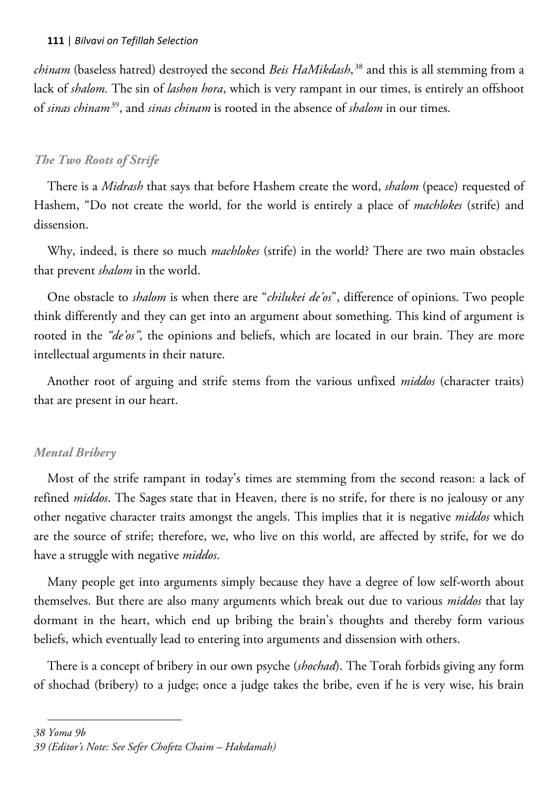chinam (baseless hatred) destroyed the second *Beis HaMikdash*,<sup>38</sup> and this is all stemming from a lack of *shalom.* The sin of *lashon hora*, which is very rampant in our times, is entirely an offshoot of *sinas chinam*<sup>39</sup>, and *sinas chinam* is rooted in the absence of *shalom* in our times.

## *The Two Roots of Strife*

There is a *Midrash* that says that before Hashem create the word, *shalom* (peace) requested of Hashem, "Do not create the world, for the world is entirely a place of *machlokes* (strife) and dissension.

Why, indeed, is there so much *machlokes* (strife) in the world? There are two main obstacles that prevent *shalom* in the world.

One obstacle to *shalom* is when there are "*chilukei de'os*", difference of opinions. Two people think differently and they can get into an argument about something. This kind of argument is rooted in the *"de'os"*, the opinions and beliefs, which are located in our brain. They are more intellectual arguments in their nature.

Another root of arguing and strife stems from the various unfixed *middos* (character traits) that are present in our heart.

# *Mental Bribery*

Most of the strife rampant in today's times are stemming from the second reason: a lack of refined *middos*. The Sages state that in Heaven, there is no strife, for there is no jealousy or any other negative character traits amongst the angels. This implies that it is negative *middos* which are the source of strife; therefore, we, who live on this world, are affected by strife, for we do have a struggle with negative *middos*.

Many people get into arguments simply because they have a degree of low self-worth about themselves. But there are also many arguments which break out due to various *middos* that lay dormant in the heart, which end up bribing the brain's thoughts and thereby form various beliefs, which eventually lead to entering into arguments and dissension with others.

There is a concept of bribery in our own psyche (*shochad*). The Torah forbids giving any form of shochad (bribery) to a judge; once a judge takes the bribe, even if he is very wise, his brain

*<sup>38</sup> Yoma 9b*

*<sup>39</sup> (Editor's Note: See Sefer Chofetz Chaim – Hakdamah)*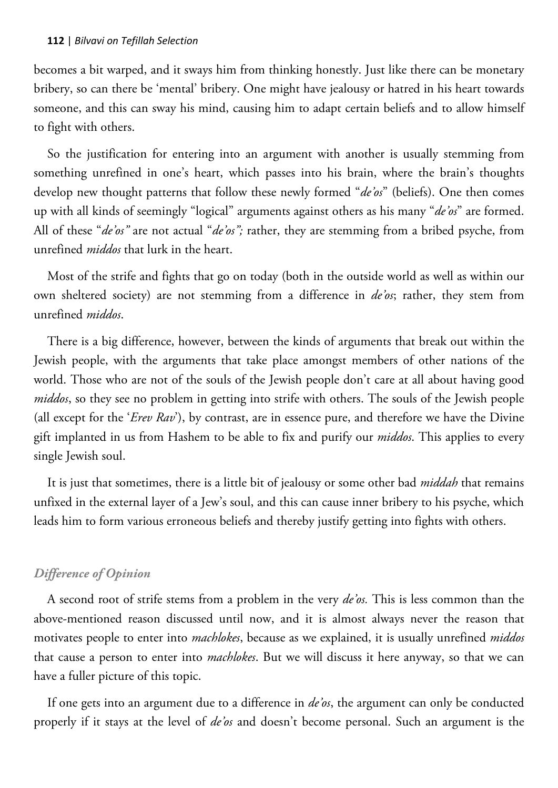becomes a bit warped, and it sways him from thinking honestly. Just like there can be monetary bribery, so can there be 'mental' bribery. One might have jealousy or hatred in his heart towards someone, and this can sway his mind, causing him to adapt certain beliefs and to allow himself to fight with others.

So the justification for entering into an argument with another is usually stemming from something unrefined in one's heart, which passes into his brain, where the brain's thoughts develop new thought patterns that follow these newly formed "*de'os*" (beliefs). One then comes up with all kinds of seemingly "logical" arguments against others as his many "*de'os*" are formed. All of these "*de'os"* are not actual "*de'os";* rather, they are stemming from a bribed psyche, from unrefined *middos* that lurk in the heart.

Most of the strife and fights that go on today (both in the outside world as well as within our own sheltered society) are not stemming from a difference in *de'os*; rather, they stem from unrefined *middos*.

There is a big difference, however, between the kinds of arguments that break out within the Jewish people, with the arguments that take place amongst members of other nations of the world. Those who are not of the souls of the Jewish people don't care at all about having good *middos*, so they see no problem in getting into strife with others. The souls of the Jewish people (all except for the '*Erev Rav*'), by contrast, are in essence pure, and therefore we have the Divine gift implanted in us from Hashem to be able to fix and purify our *middos*. This applies to every single Jewish soul.

It is just that sometimes, there is a little bit of jealousy or some other bad *middah* that remains unfixed in the external layer of a Jew's soul, and this can cause inner bribery to his psyche, which leads him to form various erroneous beliefs and thereby justify getting into fights with others.

#### *Difference of Opinion*

A second root of strife stems from a problem in the very *de'os.* This is less common than the above-mentioned reason discussed until now, and it is almost always never the reason that motivates people to enter into *machlokes*, because as we explained, it is usually unrefined *middos* that cause a person to enter into *machlokes*. But we will discuss it here anyway, so that we can have a fuller picture of this topic.

If one gets into an argument due to a difference in *de'os*, the argument can only be conducted properly if it stays at the level of *de'os* and doesn't become personal. Such an argument is the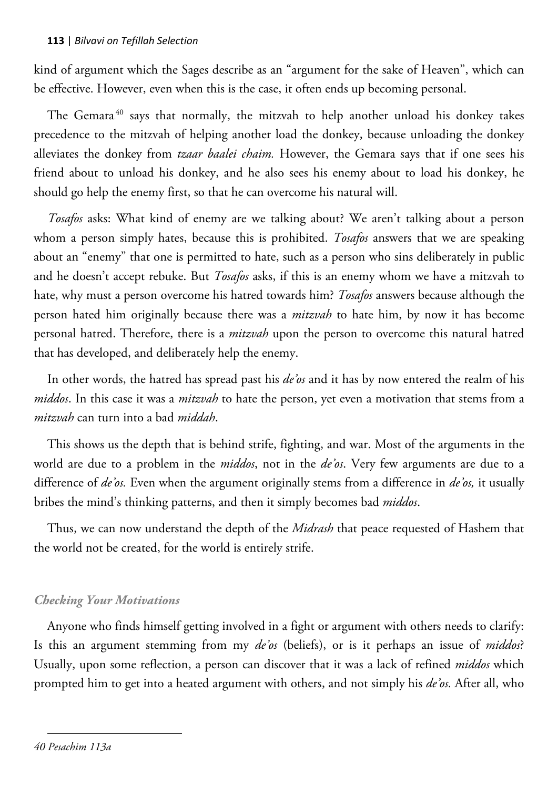kind of argument which the Sages describe as an "argument for the sake of Heaven", which can be effective. However, even when this is the case, it often ends up becoming personal.

The Gemara<sup>40</sup> says that normally, the mitzvah to help another unload his donkey takes precedence to the mitzvah of helping another load the donkey, because unloading the donkey alleviates the donkey from *tzaar baalei chaim.* However, the Gemara says that if one sees his friend about to unload his donkey, and he also sees his enemy about to load his donkey, he should go help the enemy first, so that he can overcome his natural will.

*Tosafos* asks: What kind of enemy are we talking about? We aren't talking about a person whom a person simply hates, because this is prohibited. *Tosafos* answers that we are speaking about an "enemy" that one is permitted to hate, such as a person who sins deliberately in public and he doesn't accept rebuke. But *Tosafos* asks, if this is an enemy whom we have a mitzvah to hate, why must a person overcome his hatred towards him? *Tosafos* answers because although the person hated him originally because there was a *mitzvah* to hate him, by now it has become personal hatred. Therefore, there is a *mitzvah* upon the person to overcome this natural hatred that has developed, and deliberately help the enemy.

In other words, the hatred has spread past his *de'os* and it has by now entered the realm of his *middos*. In this case it was a *mitzvah* to hate the person, yet even a motivation that stems from a *mitzvah* can turn into a bad *middah*.

This shows us the depth that is behind strife, fighting, and war. Most of the arguments in the world are due to a problem in the *middos*, not in the *de'os*. Very few arguments are due to a difference of *de'os.* Even when the argument originally stems from a difference in *de'os,* it usually bribes the mind's thinking patterns, and then it simply becomes bad *middos*.

Thus, we can now understand the depth of the *Midrash* that peace requested of Hashem that the world not be created, for the world is entirely strife.

#### *Checking Your Motivations*

Anyone who finds himself getting involved in a fight or argument with others needs to clarify: Is this an argument stemming from my *de'os* (beliefs), or is it perhaps an issue of *middos*? Usually, upon some reflection, a person can discover that it was a lack of refined *middos* which prompted him to get into a heated argument with others, and not simply his *de'os.* After all, who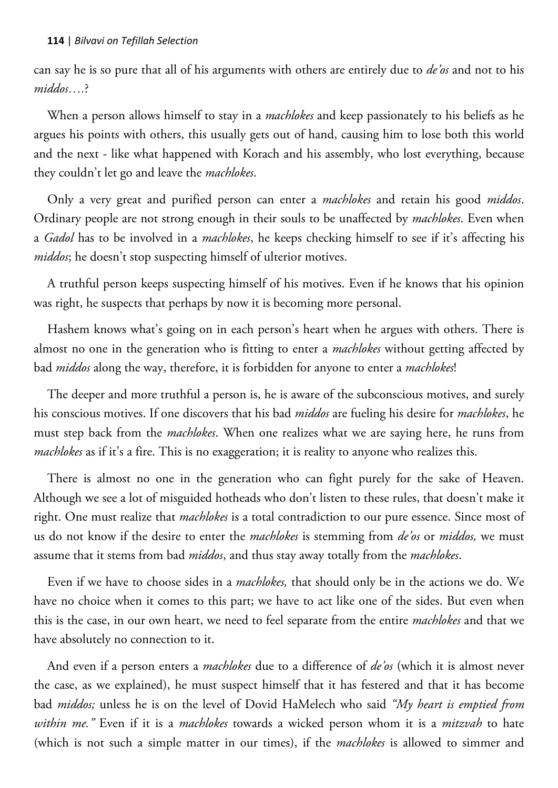#### **114** | *Bilvavi on Tefillah Selection*

can say he is so pure that all of his arguments with others are entirely due to *de'os* and not to his *middos….*?

When a person allows himself to stay in a *machlokes* and keep passionately to his beliefs as he argues his points with others, this usually gets out of hand, causing him to lose both this world and the next - like what happened with Korach and his assembly, who lost everything, because they couldn't let go and leave the *machlokes*.

Only a very great and purified person can enter a *machlokes* and retain his good *middos*. Ordinary people are not strong enough in their souls to be unaffected by *machlokes*. Even when a *Gadol* has to be involved in a *machlokes*, he keeps checking himself to see if it's affecting his *middos*; he doesn't stop suspecting himself of ulterior motives.

A truthful person keeps suspecting himself of his motives. Even if he knows that his opinion was right, he suspects that perhaps by now it is becoming more personal.

Hashem knows what's going on in each person's heart when he argues with others. There is almost no one in the generation who is fitting to enter a *machlokes* without getting affected by bad *middos* along the way, therefore, it is forbidden for anyone to enter a *machlokes*!

The deeper and more truthful a person is, he is aware of the subconscious motives, and surely his conscious motives. If one discovers that his bad *middos* are fueling his desire for *machlokes*, he must step back from the *machlokes*. When one realizes what we are saying here, he runs from *machlokes* as if it's a fire. This is no exaggeration; it is reality to anyone who realizes this.

There is almost no one in the generation who can fight purely for the sake of Heaven. Although we see a lot of misguided hotheads who don't listen to these rules, that doesn't make it right. One must realize that *machlokes* is a total contradiction to our pure essence. Since most of us do not know if the desire to enter the *machlokes* is stemming from *de'os* or *middos,* we must assume that it stems from bad *middos*, and thus stay away totally from the *machlokes*.

Even if we have to choose sides in a *machlokes,* that should only be in the actions we do. We have no choice when it comes to this part; we have to act like one of the sides. But even when this is the case, in our own heart, we need to feel separate from the entire *machlokes* and that we have absolutely no connection to it.

And even if a person enters a *machlokes* due to a difference of *de'os* (which it is almost never the case, as we explained), he must suspect himself that it has festered and that it has become bad *middos;* unless he is on the level of Dovid HaMelech who said *"My heart is emptied from within me."* Even if it is a *machlokes* towards a wicked person whom it is a *mitzvah* to hate (which is not such a simple matter in our times), if the *machlokes* is allowed to simmer and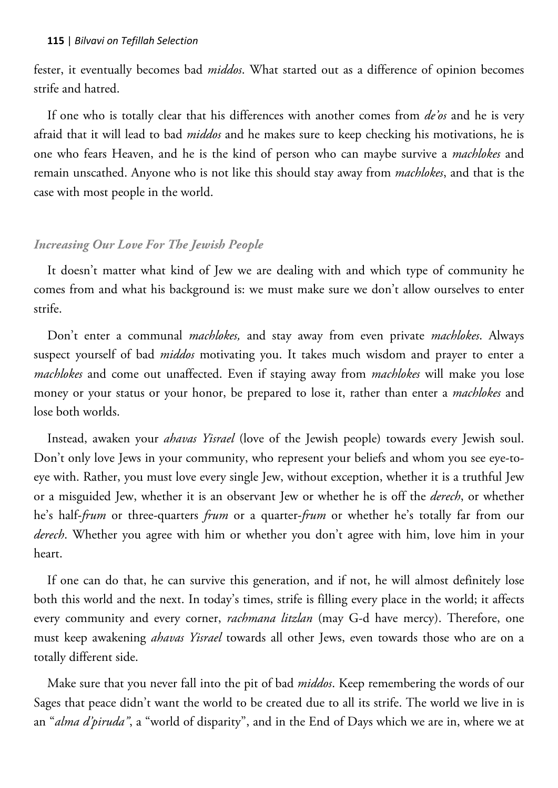fester, it eventually becomes bad *middos*. What started out as a difference of opinion becomes strife and hatred.

If one who is totally clear that his differences with another comes from *de'os* and he is very afraid that it will lead to bad *middos* and he makes sure to keep checking his motivations, he is one who fears Heaven, and he is the kind of person who can maybe survive a *machlokes* and remain unscathed. Anyone who is not like this should stay away from *machlokes*, and that is the case with most people in the world.

#### *Increasing Our Love For The Jewish People*

It doesn't matter what kind of Jew we are dealing with and which type of community he comes from and what his background is: we must make sure we don't allow ourselves to enter strife.

Don't enter a communal *machlokes,* and stay away from even private *machlokes*. Always suspect yourself of bad *middos* motivating you. It takes much wisdom and prayer to enter a *machlokes* and come out unaffected. Even if staying away from *machlokes* will make you lose money or your status or your honor, be prepared to lose it, rather than enter a *machlokes* and lose both worlds.

Instead, awaken your *ahavas Yisrael* (love of the Jewish people) towards every Jewish soul. Don't only love Jews in your community, who represent your beliefs and whom you see eye-toeye with. Rather, you must love every single Jew, without exception, whether it is a truthful Jew or a misguided Jew, whether it is an observant Jew or whether he is off the *derech*, or whether he's half-*frum* or three-quarters *frum* or a quarter-*frum* or whether he's totally far from our *derech*. Whether you agree with him or whether you don't agree with him, love him in your heart.

If one can do that, he can survive this generation, and if not, he will almost definitely lose both this world and the next. In today's times, strife is filling every place in the world; it affects every community and every corner, *rachmana litzlan* (may G-d have mercy). Therefore, one must keep awakening *ahavas Yisrael* towards all other Jews, even towards those who are on a totally different side.

Make sure that you never fall into the pit of bad *middos*. Keep remembering the words of our Sages that peace didn't want the world to be created due to all its strife. The world we live in is an "*alma d'piruda"*, a "world of disparity", and in the End of Days which we are in, where we at